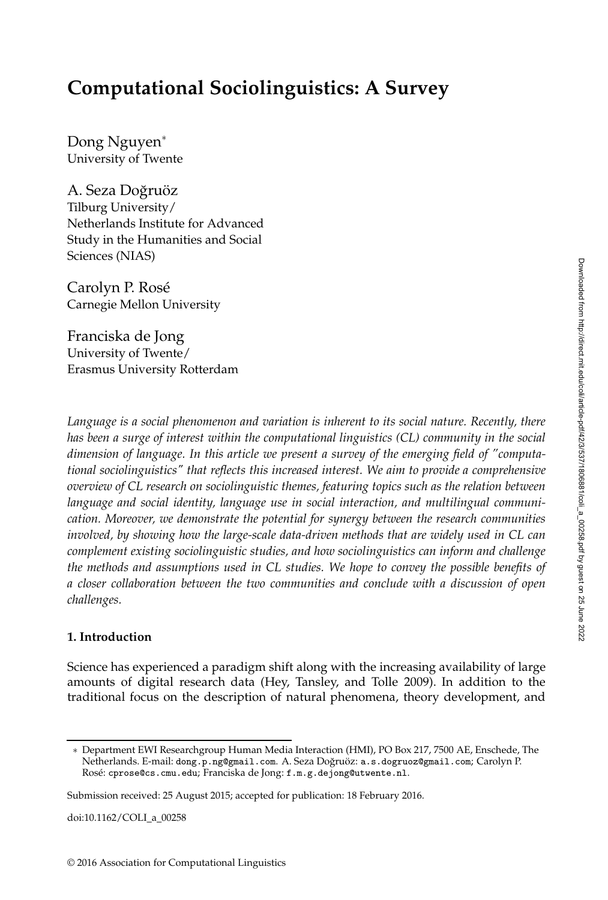# **Computational Sociolinguistics: A Survey**

Dong Nguyen<sup>∗</sup> University of Twente

A. Seza Doğruöz Tilburg University/ Netherlands Institute for Advanced Study in the Humanities and Social Sciences (NIAS)

Carolyn P. Rosé Carnegie Mellon University

Franciska de Jong University of Twente/ Erasmus University Rotterdam

*Language is a social phenomenon and variation is inherent to its social nature. Recently, there has been a surge of interest within the computational linguistics (CL) community in the social dimension of language. In this article we present a survey of the emerging field of "computational sociolinguistics" that reflects this increased interest. We aim to provide a comprehensive overview of CL research on sociolinguistic themes, featuring topics such as the relation between language and social identity, language use in social interaction, and multilingual communication. Moreover, we demonstrate the potential for synergy between the research communities involved, by showing how the large-scale data-driven methods that are widely used in CL can complement existing sociolinguistic studies, and how sociolinguistics can inform and challenge the methods and assumptions used in CL studies. We hope to convey the possible benefits of a closer collaboration between the two communities and conclude with a discussion of open challenges.*

### **1. Introduction**

Science has experienced a paradigm shift along with the increasing availability of large amounts of digital research data (Hey, Tansley, and Tolle 2009). In addition to the traditional focus on the description of natural phenomena, theory development, and

doi:10.1162/COLI\_a\_00258

<sup>∗</sup> Department EWI Researchgroup Human Media Interaction (HMI), PO Box 217, 7500 AE, Enschede, The Netherlands. E-mail: dong.p.ng@gmail.com. A. Seza Do ˘gruöz: a.s.dogruoz@gmail.com; Carolyn P. Rosé: cprose@cs.cmu.edu; Franciska de Jong: f.m.g.dejong@utwente.nl.

Submission received: 25 August 2015; accepted for publication: 18 February 2016.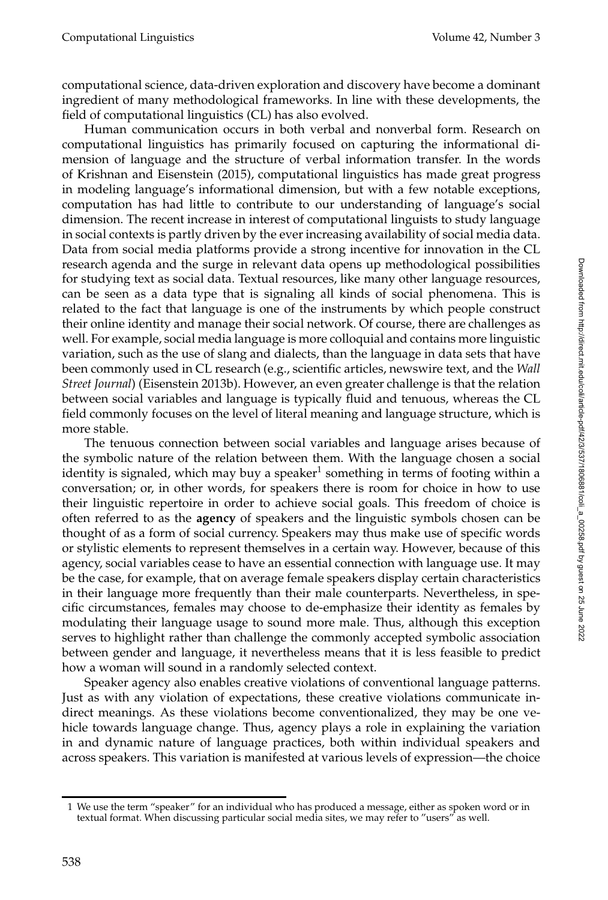computational science, data-driven exploration and discovery have become a dominant ingredient of many methodological frameworks. In line with these developments, the field of computational linguistics (CL) has also evolved.

Human communication occurs in both verbal and nonverbal form. Research on computational linguistics has primarily focused on capturing the informational dimension of language and the structure of verbal information transfer. In the words of Krishnan and Eisenstein (2015), computational linguistics has made great progress in modeling language's informational dimension, but with a few notable exceptions, computation has had little to contribute to our understanding of language's social dimension. The recent increase in interest of computational linguists to study language in social contexts is partly driven by the ever increasing availability of social media data. Data from social media platforms provide a strong incentive for innovation in the CL research agenda and the surge in relevant data opens up methodological possibilities for studying text as social data. Textual resources, like many other language resources, can be seen as a data type that is signaling all kinds of social phenomena. This is related to the fact that language is one of the instruments by which people construct their online identity and manage their social network. Of course, there are challenges as well. For example, social media language is more colloquial and contains more linguistic variation, such as the use of slang and dialects, than the language in data sets that have been commonly used in CL research (e.g., scientific articles, newswire text, and the *Wall Street Journal*) (Eisenstein 2013b). However, an even greater challenge is that the relation between social variables and language is typically fluid and tenuous, whereas the CL field commonly focuses on the level of literal meaning and language structure, which is more stable.

The tenuous connection between social variables and language arises because of the symbolic nature of the relation between them. With the language chosen a social identity is signaled, which may buy a speaker $1$  something in terms of footing within a conversation; or, in other words, for speakers there is room for choice in how to use their linguistic repertoire in order to achieve social goals. This freedom of choice is often referred to as the **agency** of speakers and the linguistic symbols chosen can be thought of as a form of social currency. Speakers may thus make use of specific words or stylistic elements to represent themselves in a certain way. However, because of this agency, social variables cease to have an essential connection with language use. It may be the case, for example, that on average female speakers display certain characteristics in their language more frequently than their male counterparts. Nevertheless, in specific circumstances, females may choose to de-emphasize their identity as females by modulating their language usage to sound more male. Thus, although this exception serves to highlight rather than challenge the commonly accepted symbolic association between gender and language, it nevertheless means that it is less feasible to predict how a woman will sound in a randomly selected context.

Speaker agency also enables creative violations of conventional language patterns. Just as with any violation of expectations, these creative violations communicate indirect meanings. As these violations become conventionalized, they may be one vehicle towards language change. Thus, agency plays a role in explaining the variation in and dynamic nature of language practices, both within individual speakers and across speakers. This variation is manifested at various levels of expression—the choice

<sup>1</sup> We use the term "speaker" for an individual who has produced a message, either as spoken word or in textual format. When discussing particular social media sites, we may refer to "users" as well.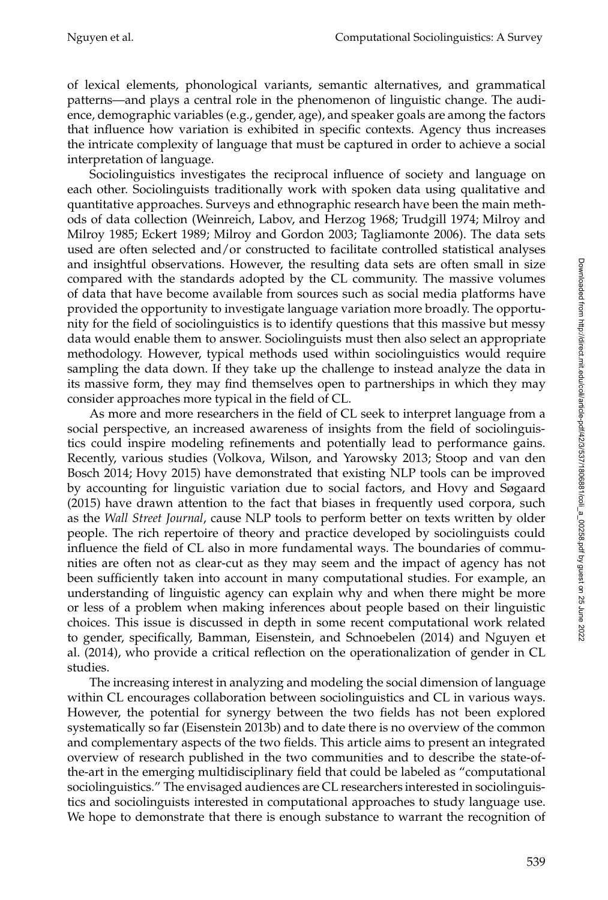of lexical elements, phonological variants, semantic alternatives, and grammatical patterns—and plays a central role in the phenomenon of linguistic change. The audience, demographic variables (e.g., gender, age), and speaker goals are among the factors that influence how variation is exhibited in specific contexts. Agency thus increases the intricate complexity of language that must be captured in order to achieve a social interpretation of language.

Sociolinguistics investigates the reciprocal influence of society and language on each other. Sociolinguists traditionally work with spoken data using qualitative and quantitative approaches. Surveys and ethnographic research have been the main methods of data collection (Weinreich, Labov, and Herzog 1968; Trudgill 1974; Milroy and Milroy 1985; Eckert 1989; Milroy and Gordon 2003; Tagliamonte 2006). The data sets used are often selected and/or constructed to facilitate controlled statistical analyses and insightful observations. However, the resulting data sets are often small in size compared with the standards adopted by the CL community. The massive volumes of data that have become available from sources such as social media platforms have provided the opportunity to investigate language variation more broadly. The opportunity for the field of sociolinguistics is to identify questions that this massive but messy data would enable them to answer. Sociolinguists must then also select an appropriate methodology. However, typical methods used within sociolinguistics would require sampling the data down. If they take up the challenge to instead analyze the data in its massive form, they may find themselves open to partnerships in which they may consider approaches more typical in the field of CL.

As more and more researchers in the field of CL seek to interpret language from a social perspective, an increased awareness of insights from the field of sociolinguistics could inspire modeling refinements and potentially lead to performance gains. Recently, various studies (Volkova, Wilson, and Yarowsky 2013; Stoop and van den Bosch 2014; Hovy 2015) have demonstrated that existing NLP tools can be improved by accounting for linguistic variation due to social factors, and Hovy and Søgaard (2015) have drawn attention to the fact that biases in frequently used corpora, such as the *Wall Street Journal*, cause NLP tools to perform better on texts written by older people. The rich repertoire of theory and practice developed by sociolinguists could influence the field of CL also in more fundamental ways. The boundaries of communities are often not as clear-cut as they may seem and the impact of agency has not been sufficiently taken into account in many computational studies. For example, an understanding of linguistic agency can explain why and when there might be more or less of a problem when making inferences about people based on their linguistic choices. This issue is discussed in depth in some recent computational work related to gender, specifically, Bamman, Eisenstein, and Schnoebelen (2014) and Nguyen et al. (2014), who provide a critical reflection on the operationalization of gender in CL studies.

The increasing interest in analyzing and modeling the social dimension of language within CL encourages collaboration between sociolinguistics and CL in various ways. However, the potential for synergy between the two fields has not been explored systematically so far (Eisenstein 2013b) and to date there is no overview of the common and complementary aspects of the two fields. This article aims to present an integrated overview of research published in the two communities and to describe the state-ofthe-art in the emerging multidisciplinary field that could be labeled as "computational sociolinguistics." The envisaged audiences are CL researchers interested in sociolinguistics and sociolinguists interested in computational approaches to study language use. We hope to demonstrate that there is enough substance to warrant the recognition of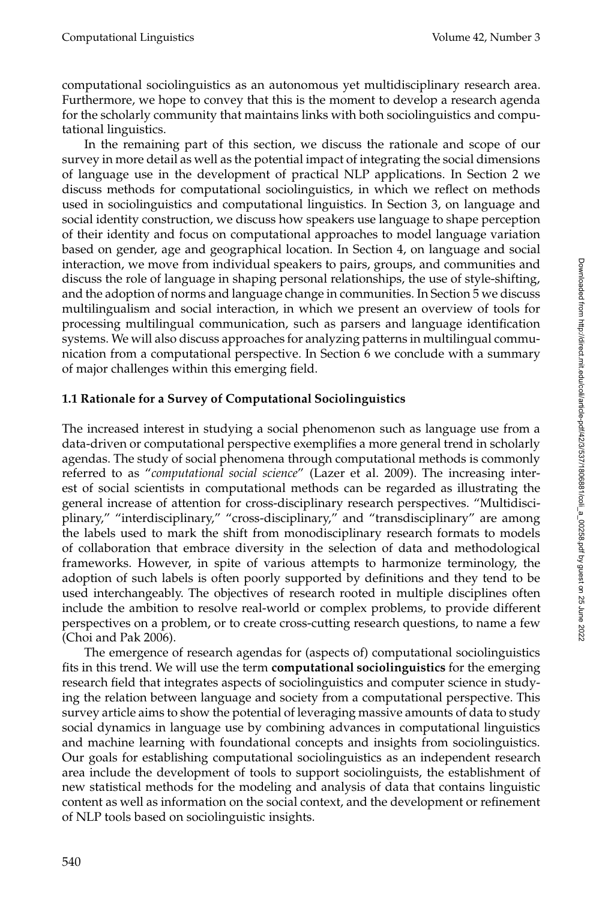computational sociolinguistics as an autonomous yet multidisciplinary research area. Furthermore, we hope to convey that this is the moment to develop a research agenda for the scholarly community that maintains links with both sociolinguistics and computational linguistics.

In the remaining part of this section, we discuss the rationale and scope of our survey in more detail as well as the potential impact of integrating the social dimensions of language use in the development of practical NLP applications. In Section 2 we discuss methods for computational sociolinguistics, in which we reflect on methods used in sociolinguistics and computational linguistics. In Section 3, on language and social identity construction, we discuss how speakers use language to shape perception of their identity and focus on computational approaches to model language variation based on gender, age and geographical location. In Section 4, on language and social interaction, we move from individual speakers to pairs, groups, and communities and discuss the role of language in shaping personal relationships, the use of style-shifting, and the adoption of norms and language change in communities. In Section 5 we discuss multilingualism and social interaction, in which we present an overview of tools for processing multilingual communication, such as parsers and language identification systems. We will also discuss approaches for analyzing patterns in multilingual communication from a computational perspective. In Section 6 we conclude with a summary of major challenges within this emerging field.

#### **1.1 Rationale for a Survey of Computational Sociolinguistics**

The increased interest in studying a social phenomenon such as language use from a data-driven or computational perspective exemplifies a more general trend in scholarly agendas. The study of social phenomena through computational methods is commonly referred to as "*computational social science*" (Lazer et al. 2009). The increasing interest of social scientists in computational methods can be regarded as illustrating the general increase of attention for cross-disciplinary research perspectives. "Multidisciplinary," "interdisciplinary," "cross-disciplinary," and "transdisciplinary" are among the labels used to mark the shift from monodisciplinary research formats to models of collaboration that embrace diversity in the selection of data and methodological frameworks. However, in spite of various attempts to harmonize terminology, the adoption of such labels is often poorly supported by definitions and they tend to be used interchangeably. The objectives of research rooted in multiple disciplines often include the ambition to resolve real-world or complex problems, to provide different perspectives on a problem, or to create cross-cutting research questions, to name a few (Choi and Pak 2006).

The emergence of research agendas for (aspects of) computational sociolinguistics fits in this trend. We will use the term **computational sociolinguistics** for the emerging research field that integrates aspects of sociolinguistics and computer science in studying the relation between language and society from a computational perspective. This survey article aims to show the potential of leveraging massive amounts of data to study social dynamics in language use by combining advances in computational linguistics and machine learning with foundational concepts and insights from sociolinguistics. Our goals for establishing computational sociolinguistics as an independent research area include the development of tools to support sociolinguists, the establishment of new statistical methods for the modeling and analysis of data that contains linguistic content as well as information on the social context, and the development or refinement of NLP tools based on sociolinguistic insights.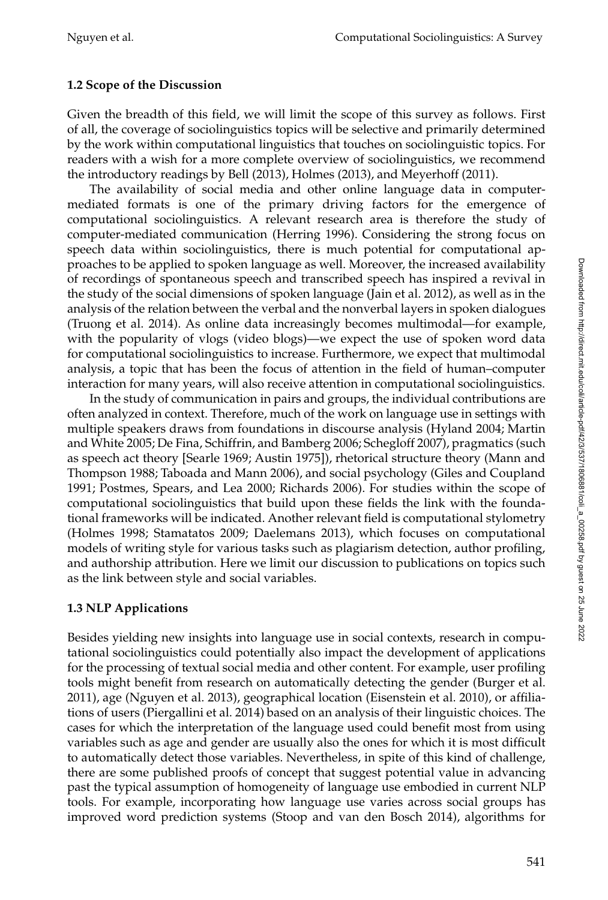# **1.2 Scope of the Discussion**

Given the breadth of this field, we will limit the scope of this survey as follows. First of all, the coverage of sociolinguistics topics will be selective and primarily determined by the work within computational linguistics that touches on sociolinguistic topics. For readers with a wish for a more complete overview of sociolinguistics, we recommend the introductory readings by Bell (2013), Holmes (2013), and Meyerhoff (2011).

The availability of social media and other online language data in computermediated formats is one of the primary driving factors for the emergence of computational sociolinguistics. A relevant research area is therefore the study of computer-mediated communication (Herring 1996). Considering the strong focus on speech data within sociolinguistics, there is much potential for computational approaches to be applied to spoken language as well. Moreover, the increased availability of recordings of spontaneous speech and transcribed speech has inspired a revival in the study of the social dimensions of spoken language (Jain et al. 2012), as well as in the analysis of the relation between the verbal and the nonverbal layers in spoken dialogues (Truong et al. 2014). As online data increasingly becomes multimodal—for example, with the popularity of vlogs (video blogs)—we expect the use of spoken word data for computational sociolinguistics to increase. Furthermore, we expect that multimodal analysis, a topic that has been the focus of attention in the field of human–computer interaction for many years, will also receive attention in computational sociolinguistics.

In the study of communication in pairs and groups, the individual contributions are often analyzed in context. Therefore, much of the work on language use in settings with multiple speakers draws from foundations in discourse analysis (Hyland 2004; Martin and White 2005; De Fina, Schiffrin, and Bamberg 2006; Schegloff 2007), pragmatics (such as speech act theory [Searle 1969; Austin 1975]), rhetorical structure theory (Mann and Thompson 1988; Taboada and Mann 2006), and social psychology (Giles and Coupland 1991; Postmes, Spears, and Lea 2000; Richards 2006). For studies within the scope of computational sociolinguistics that build upon these fields the link with the foundational frameworks will be indicated. Another relevant field is computational stylometry (Holmes 1998; Stamatatos 2009; Daelemans 2013), which focuses on computational models of writing style for various tasks such as plagiarism detection, author profiling, and authorship attribution. Here we limit our discussion to publications on topics such as the link between style and social variables.

# **1.3 NLP Applications**

Besides yielding new insights into language use in social contexts, research in computational sociolinguistics could potentially also impact the development of applications for the processing of textual social media and other content. For example, user profiling tools might benefit from research on automatically detecting the gender (Burger et al. 2011), age (Nguyen et al. 2013), geographical location (Eisenstein et al. 2010), or affiliations of users (Piergallini et al. 2014) based on an analysis of their linguistic choices. The cases for which the interpretation of the language used could benefit most from using variables such as age and gender are usually also the ones for which it is most difficult to automatically detect those variables. Nevertheless, in spite of this kind of challenge, there are some published proofs of concept that suggest potential value in advancing past the typical assumption of homogeneity of language use embodied in current NLP tools. For example, incorporating how language use varies across social groups has improved word prediction systems (Stoop and van den Bosch 2014), algorithms for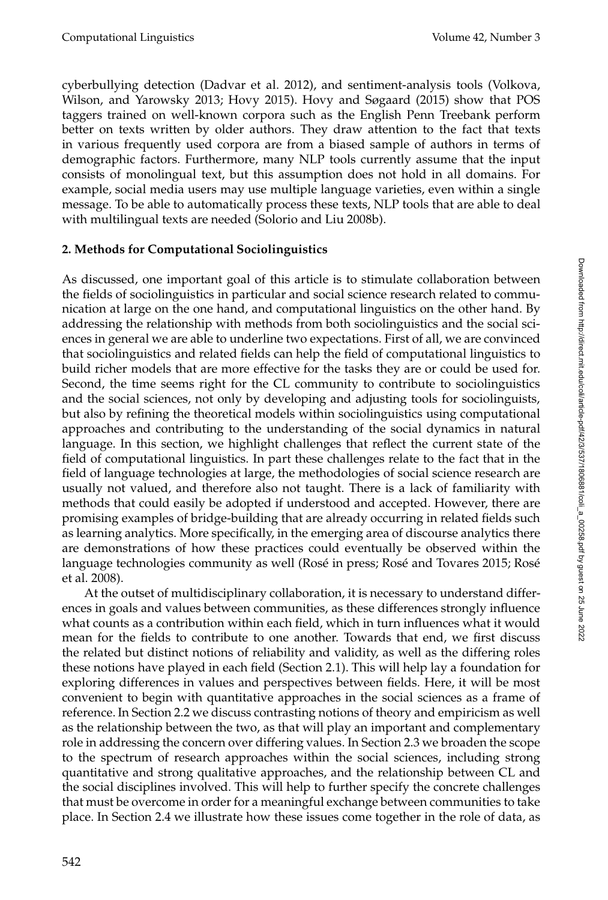cyberbullying detection (Dadvar et al. 2012), and sentiment-analysis tools (Volkova, Wilson, and Yarowsky 2013; Hovy 2015). Hovy and Søgaard (2015) show that POS taggers trained on well-known corpora such as the English Penn Treebank perform better on texts written by older authors. They draw attention to the fact that texts in various frequently used corpora are from a biased sample of authors in terms of demographic factors. Furthermore, many NLP tools currently assume that the input consists of monolingual text, but this assumption does not hold in all domains. For example, social media users may use multiple language varieties, even within a single message. To be able to automatically process these texts, NLP tools that are able to deal with multilingual texts are needed (Solorio and Liu 2008b).

### **2. Methods for Computational Sociolinguistics**

As discussed, one important goal of this article is to stimulate collaboration between the fields of sociolinguistics in particular and social science research related to communication at large on the one hand, and computational linguistics on the other hand. By addressing the relationship with methods from both sociolinguistics and the social sciences in general we are able to underline two expectations. First of all, we are convinced that sociolinguistics and related fields can help the field of computational linguistics to build richer models that are more effective for the tasks they are or could be used for. Second, the time seems right for the CL community to contribute to sociolinguistics and the social sciences, not only by developing and adjusting tools for sociolinguists, but also by refining the theoretical models within sociolinguistics using computational approaches and contributing to the understanding of the social dynamics in natural language. In this section, we highlight challenges that reflect the current state of the field of computational linguistics. In part these challenges relate to the fact that in the field of language technologies at large, the methodologies of social science research are usually not valued, and therefore also not taught. There is a lack of familiarity with methods that could easily be adopted if understood and accepted. However, there are promising examples of bridge-building that are already occurring in related fields such as learning analytics. More specifically, in the emerging area of discourse analytics there are demonstrations of how these practices could eventually be observed within the language technologies community as well (Rosé in press; Rosé and Tovares 2015; Rosé et al. 2008).

At the outset of multidisciplinary collaboration, it is necessary to understand differences in goals and values between communities, as these differences strongly influence what counts as a contribution within each field, which in turn influences what it would mean for the fields to contribute to one another. Towards that end, we first discuss the related but distinct notions of reliability and validity, as well as the differing roles these notions have played in each field (Section 2.1). This will help lay a foundation for exploring differences in values and perspectives between fields. Here, it will be most convenient to begin with quantitative approaches in the social sciences as a frame of reference. In Section 2.2 we discuss contrasting notions of theory and empiricism as well as the relationship between the two, as that will play an important and complementary role in addressing the concern over differing values. In Section 2.3 we broaden the scope to the spectrum of research approaches within the social sciences, including strong quantitative and strong qualitative approaches, and the relationship between CL and the social disciplines involved. This will help to further specify the concrete challenges that must be overcome in order for a meaningful exchange between communities to take place. In Section 2.4 we illustrate how these issues come together in the role of data, as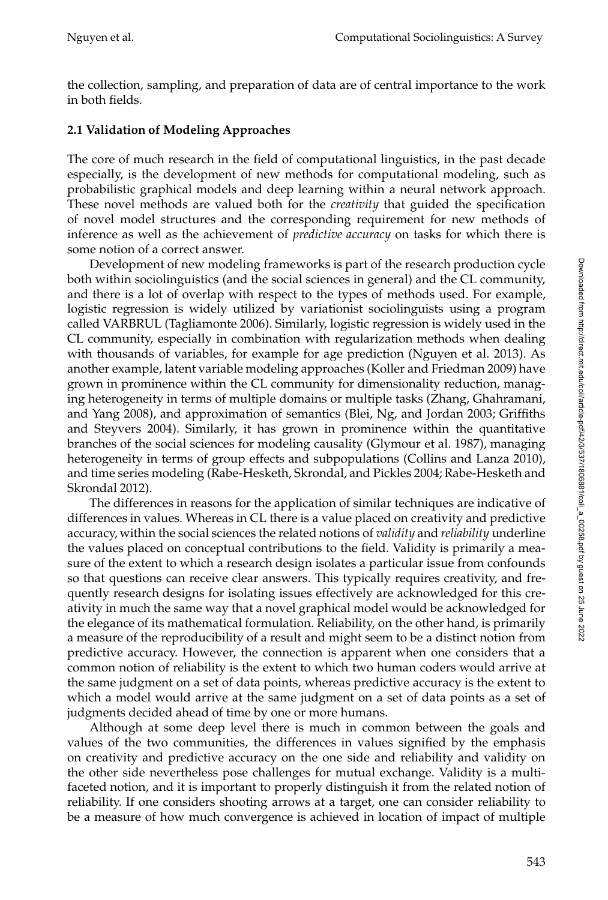the collection, sampling, and preparation of data are of central importance to the work in both fields.

# **2.1 Validation of Modeling Approaches**

The core of much research in the field of computational linguistics, in the past decade especially, is the development of new methods for computational modeling, such as probabilistic graphical models and deep learning within a neural network approach. These novel methods are valued both for the *creativity* that guided the specification of novel model structures and the corresponding requirement for new methods of inference as well as the achievement of *predictive accuracy* on tasks for which there is some notion of a correct answer.

Development of new modeling frameworks is part of the research production cycle both within sociolinguistics (and the social sciences in general) and the CL community, and there is a lot of overlap with respect to the types of methods used. For example, logistic regression is widely utilized by variationist sociolinguists using a program called VARBRUL (Tagliamonte 2006). Similarly, logistic regression is widely used in the CL community, especially in combination with regularization methods when dealing with thousands of variables, for example for age prediction (Nguyen et al. 2013). As another example, latent variable modeling approaches (Koller and Friedman 2009) have grown in prominence within the CL community for dimensionality reduction, managing heterogeneity in terms of multiple domains or multiple tasks (Zhang, Ghahramani, and Yang 2008), and approximation of semantics (Blei, Ng, and Jordan 2003; Griffiths and Steyvers 2004). Similarly, it has grown in prominence within the quantitative branches of the social sciences for modeling causality (Glymour et al. 1987), managing heterogeneity in terms of group effects and subpopulations (Collins and Lanza 2010), and time series modeling (Rabe-Hesketh, Skrondal, and Pickles 2004; Rabe-Hesketh and Skrondal 2012).

The differences in reasons for the application of similar techniques are indicative of differences in values. Whereas in CL there is a value placed on creativity and predictive accuracy, within the social sciences the related notions of *validity* and *reliability* underline the values placed on conceptual contributions to the field. Validity is primarily a measure of the extent to which a research design isolates a particular issue from confounds so that questions can receive clear answers. This typically requires creativity, and frequently research designs for isolating issues effectively are acknowledged for this creativity in much the same way that a novel graphical model would be acknowledged for the elegance of its mathematical formulation. Reliability, on the other hand, is primarily a measure of the reproducibility of a result and might seem to be a distinct notion from predictive accuracy. However, the connection is apparent when one considers that a common notion of reliability is the extent to which two human coders would arrive at the same judgment on a set of data points, whereas predictive accuracy is the extent to which a model would arrive at the same judgment on a set of data points as a set of judgments decided ahead of time by one or more humans.

Although at some deep level there is much in common between the goals and values of the two communities, the differences in values signified by the emphasis on creativity and predictive accuracy on the one side and reliability and validity on the other side nevertheless pose challenges for mutual exchange. Validity is a multifaceted notion, and it is important to properly distinguish it from the related notion of reliability. If one considers shooting arrows at a target, one can consider reliability to be a measure of how much convergence is achieved in location of impact of multiple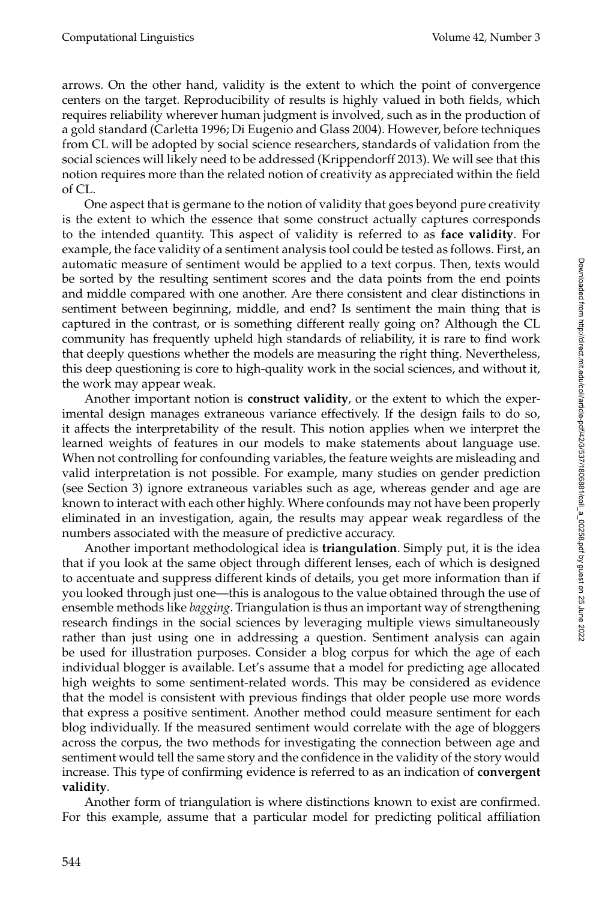arrows. On the other hand, validity is the extent to which the point of convergence centers on the target. Reproducibility of results is highly valued in both fields, which requires reliability wherever human judgment is involved, such as in the production of a gold standard (Carletta 1996; Di Eugenio and Glass 2004). However, before techniques from CL will be adopted by social science researchers, standards of validation from the social sciences will likely need to be addressed (Krippendorff 2013). We will see that this notion requires more than the related notion of creativity as appreciated within the field of CL.

One aspect that is germane to the notion of validity that goes beyond pure creativity is the extent to which the essence that some construct actually captures corresponds to the intended quantity. This aspect of validity is referred to as **face validity**. For example, the face validity of a sentiment analysis tool could be tested as follows. First, an automatic measure of sentiment would be applied to a text corpus. Then, texts would be sorted by the resulting sentiment scores and the data points from the end points and middle compared with one another. Are there consistent and clear distinctions in sentiment between beginning, middle, and end? Is sentiment the main thing that is captured in the contrast, or is something different really going on? Although the CL community has frequently upheld high standards of reliability, it is rare to find work that deeply questions whether the models are measuring the right thing. Nevertheless, this deep questioning is core to high-quality work in the social sciences, and without it, the work may appear weak.

Another important notion is **construct validity**, or the extent to which the experimental design manages extraneous variance effectively. If the design fails to do so, it affects the interpretability of the result. This notion applies when we interpret the learned weights of features in our models to make statements about language use. When not controlling for confounding variables, the feature weights are misleading and valid interpretation is not possible. For example, many studies on gender prediction (see Section 3) ignore extraneous variables such as age, whereas gender and age are known to interact with each other highly. Where confounds may not have been properly eliminated in an investigation, again, the results may appear weak regardless of the numbers associated with the measure of predictive accuracy.

Another important methodological idea is **triangulation**. Simply put, it is the idea that if you look at the same object through different lenses, each of which is designed to accentuate and suppress different kinds of details, you get more information than if you looked through just one—this is analogous to the value obtained through the use of ensemble methods like *bagging*. Triangulation is thus an important way of strengthening research findings in the social sciences by leveraging multiple views simultaneously rather than just using one in addressing a question. Sentiment analysis can again be used for illustration purposes. Consider a blog corpus for which the age of each individual blogger is available. Let's assume that a model for predicting age allocated high weights to some sentiment-related words. This may be considered as evidence that the model is consistent with previous findings that older people use more words that express a positive sentiment. Another method could measure sentiment for each blog individually. If the measured sentiment would correlate with the age of bloggers across the corpus, the two methods for investigating the connection between age and sentiment would tell the same story and the confidence in the validity of the story would increase. This type of confirming evidence is referred to as an indication of **convergent validity**.

Another form of triangulation is where distinctions known to exist are confirmed. For this example, assume that a particular model for predicting political affiliation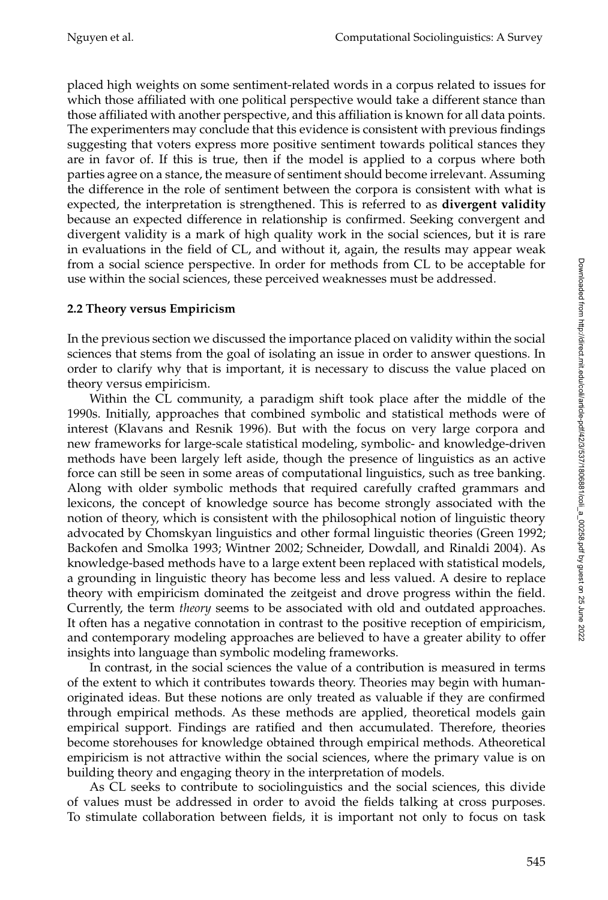placed high weights on some sentiment-related words in a corpus related to issues for which those affiliated with one political perspective would take a different stance than those affiliated with another perspective, and this affiliation is known for all data points. The experimenters may conclude that this evidence is consistent with previous findings suggesting that voters express more positive sentiment towards political stances they are in favor of. If this is true, then if the model is applied to a corpus where both parties agree on a stance, the measure of sentiment should become irrelevant. Assuming the difference in the role of sentiment between the corpora is consistent with what is expected, the interpretation is strengthened. This is referred to as **divergent validity** because an expected difference in relationship is confirmed. Seeking convergent and divergent validity is a mark of high quality work in the social sciences, but it is rare in evaluations in the field of CL, and without it, again, the results may appear weak from a social science perspective. In order for methods from CL to be acceptable for use within the social sciences, these perceived weaknesses must be addressed.

# **2.2 Theory versus Empiricism**

In the previous section we discussed the importance placed on validity within the social sciences that stems from the goal of isolating an issue in order to answer questions. In order to clarify why that is important, it is necessary to discuss the value placed on theory versus empiricism.

Within the CL community, a paradigm shift took place after the middle of the 1990s. Initially, approaches that combined symbolic and statistical methods were of interest (Klavans and Resnik 1996). But with the focus on very large corpora and new frameworks for large-scale statistical modeling, symbolic- and knowledge-driven methods have been largely left aside, though the presence of linguistics as an active force can still be seen in some areas of computational linguistics, such as tree banking. Along with older symbolic methods that required carefully crafted grammars and lexicons, the concept of knowledge source has become strongly associated with the notion of theory, which is consistent with the philosophical notion of linguistic theory advocated by Chomskyan linguistics and other formal linguistic theories (Green 1992; Backofen and Smolka 1993; Wintner 2002; Schneider, Dowdall, and Rinaldi 2004). As knowledge-based methods have to a large extent been replaced with statistical models, a grounding in linguistic theory has become less and less valued. A desire to replace theory with empiricism dominated the zeitgeist and drove progress within the field. Currently, the term *theory* seems to be associated with old and outdated approaches. It often has a negative connotation in contrast to the positive reception of empiricism, and contemporary modeling approaches are believed to have a greater ability to offer insights into language than symbolic modeling frameworks.

In contrast, in the social sciences the value of a contribution is measured in terms of the extent to which it contributes towards theory. Theories may begin with humanoriginated ideas. But these notions are only treated as valuable if they are confirmed through empirical methods. As these methods are applied, theoretical models gain empirical support. Findings are ratified and then accumulated. Therefore, theories become storehouses for knowledge obtained through empirical methods. Atheoretical empiricism is not attractive within the social sciences, where the primary value is on building theory and engaging theory in the interpretation of models.

As CL seeks to contribute to sociolinguistics and the social sciences, this divide of values must be addressed in order to avoid the fields talking at cross purposes. To stimulate collaboration between fields, it is important not only to focus on task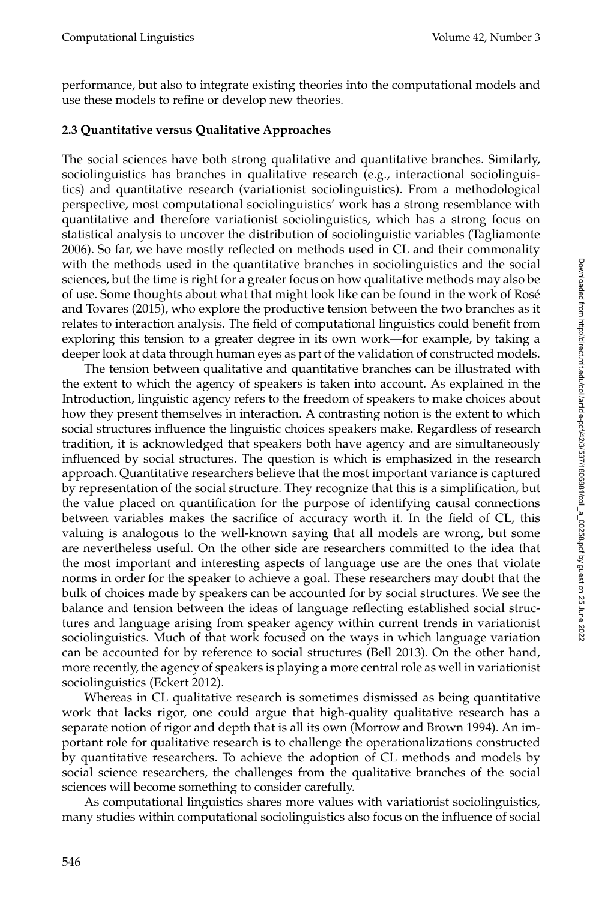performance, but also to integrate existing theories into the computational models and use these models to refine or develop new theories.

### **2.3 Quantitative versus Qualitative Approaches**

The social sciences have both strong qualitative and quantitative branches. Similarly, sociolinguistics has branches in qualitative research (e.g., interactional sociolinguistics) and quantitative research (variationist sociolinguistics). From a methodological perspective, most computational sociolinguistics' work has a strong resemblance with quantitative and therefore variationist sociolinguistics, which has a strong focus on statistical analysis to uncover the distribution of sociolinguistic variables (Tagliamonte 2006). So far, we have mostly reflected on methods used in CL and their commonality with the methods used in the quantitative branches in sociolinguistics and the social sciences, but the time is right for a greater focus on how qualitative methods may also be of use. Some thoughts about what that might look like can be found in the work of Rosé and Tovares (2015), who explore the productive tension between the two branches as it relates to interaction analysis. The field of computational linguistics could benefit from exploring this tension to a greater degree in its own work—for example, by taking a deeper look at data through human eyes as part of the validation of constructed models.

The tension between qualitative and quantitative branches can be illustrated with the extent to which the agency of speakers is taken into account. As explained in the Introduction, linguistic agency refers to the freedom of speakers to make choices about how they present themselves in interaction. A contrasting notion is the extent to which social structures influence the linguistic choices speakers make. Regardless of research tradition, it is acknowledged that speakers both have agency and are simultaneously influenced by social structures. The question is which is emphasized in the research approach. Quantitative researchers believe that the most important variance is captured by representation of the social structure. They recognize that this is a simplification, but the value placed on quantification for the purpose of identifying causal connections between variables makes the sacrifice of accuracy worth it. In the field of CL, this valuing is analogous to the well-known saying that all models are wrong, but some are nevertheless useful. On the other side are researchers committed to the idea that the most important and interesting aspects of language use are the ones that violate norms in order for the speaker to achieve a goal. These researchers may doubt that the bulk of choices made by speakers can be accounted for by social structures. We see the balance and tension between the ideas of language reflecting established social structures and language arising from speaker agency within current trends in variationist sociolinguistics. Much of that work focused on the ways in which language variation can be accounted for by reference to social structures (Bell 2013). On the other hand, more recently, the agency of speakers is playing a more central role as well in variationist sociolinguistics (Eckert 2012).

Whereas in CL qualitative research is sometimes dismissed as being quantitative work that lacks rigor, one could argue that high-quality qualitative research has a separate notion of rigor and depth that is all its own (Morrow and Brown 1994). An important role for qualitative research is to challenge the operationalizations constructed by quantitative researchers. To achieve the adoption of CL methods and models by social science researchers, the challenges from the qualitative branches of the social sciences will become something to consider carefully.

As computational linguistics shares more values with variationist sociolinguistics, many studies within computational sociolinguistics also focus on the influence of social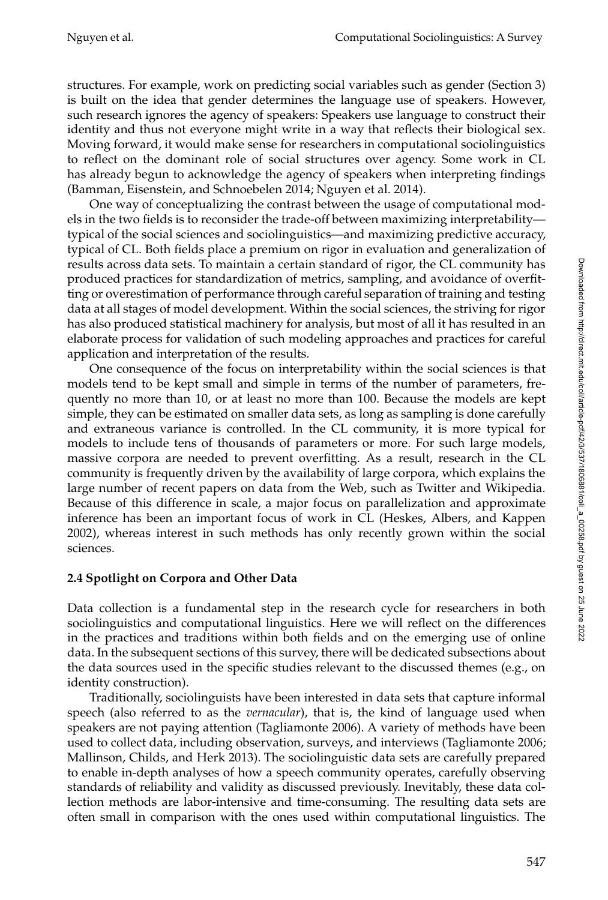structures. For example, work on predicting social variables such as gender (Section 3) is built on the idea that gender determines the language use of speakers. However, such research ignores the agency of speakers: Speakers use language to construct their identity and thus not everyone might write in a way that reflects their biological sex. Moving forward, it would make sense for researchers in computational sociolinguistics to reflect on the dominant role of social structures over agency. Some work in CL has already begun to acknowledge the agency of speakers when interpreting findings (Bamman, Eisenstein, and Schnoebelen 2014; Nguyen et al. 2014).

One way of conceptualizing the contrast between the usage of computational models in the two fields is to reconsider the trade-off between maximizing interpretability typical of the social sciences and sociolinguistics—and maximizing predictive accuracy, typical of CL. Both fields place a premium on rigor in evaluation and generalization of results across data sets. To maintain a certain standard of rigor, the CL community has produced practices for standardization of metrics, sampling, and avoidance of overfitting or overestimation of performance through careful separation of training and testing data at all stages of model development. Within the social sciences, the striving for rigor has also produced statistical machinery for analysis, but most of all it has resulted in an elaborate process for validation of such modeling approaches and practices for careful application and interpretation of the results.

One consequence of the focus on interpretability within the social sciences is that models tend to be kept small and simple in terms of the number of parameters, frequently no more than 10, or at least no more than 100. Because the models are kept simple, they can be estimated on smaller data sets, as long as sampling is done carefully and extraneous variance is controlled. In the CL community, it is more typical for models to include tens of thousands of parameters or more. For such large models, massive corpora are needed to prevent overfitting. As a result, research in the CL community is frequently driven by the availability of large corpora, which explains the large number of recent papers on data from the Web, such as Twitter and Wikipedia. Because of this difference in scale, a major focus on parallelization and approximate inference has been an important focus of work in CL (Heskes, Albers, and Kappen 2002), whereas interest in such methods has only recently grown within the social sciences.

# **2.4 Spotlight on Corpora and Other Data**

Data collection is a fundamental step in the research cycle for researchers in both sociolinguistics and computational linguistics. Here we will reflect on the differences in the practices and traditions within both fields and on the emerging use of online data. In the subsequent sections of this survey, there will be dedicated subsections about the data sources used in the specific studies relevant to the discussed themes (e.g., on identity construction).

Traditionally, sociolinguists have been interested in data sets that capture informal speech (also referred to as the *vernacular*), that is, the kind of language used when speakers are not paying attention (Tagliamonte 2006). A variety of methods have been used to collect data, including observation, surveys, and interviews (Tagliamonte 2006; Mallinson, Childs, and Herk 2013). The sociolinguistic data sets are carefully prepared to enable in-depth analyses of how a speech community operates, carefully observing standards of reliability and validity as discussed previously. Inevitably, these data collection methods are labor-intensive and time-consuming. The resulting data sets are often small in comparison with the ones used within computational linguistics. The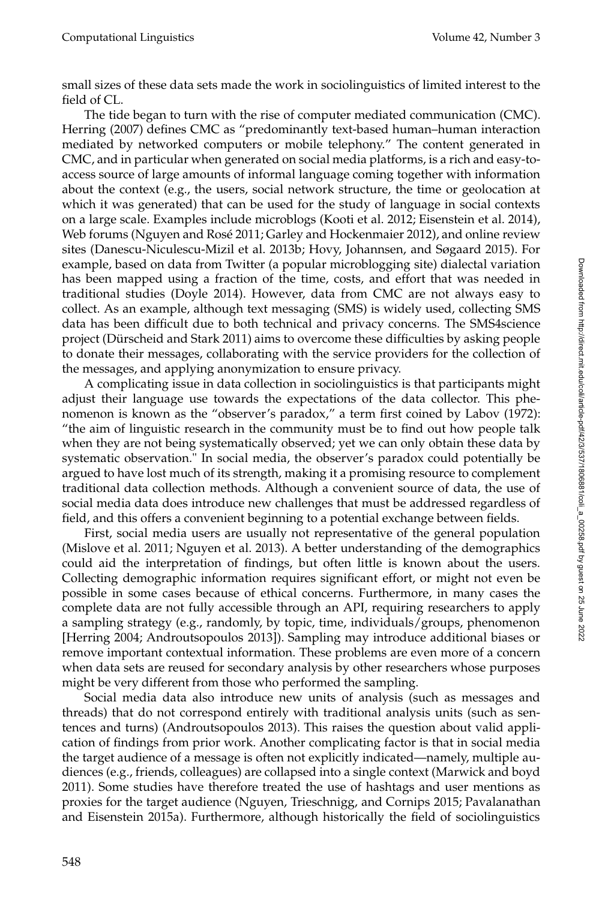small sizes of these data sets made the work in sociolinguistics of limited interest to the field of CL.

The tide began to turn with the rise of computer mediated communication (CMC). Herring (2007) defines CMC as "predominantly text-based human–human interaction mediated by networked computers or mobile telephony." The content generated in CMC, and in particular when generated on social media platforms, is a rich and easy-toaccess source of large amounts of informal language coming together with information about the context (e.g., the users, social network structure, the time or geolocation at which it was generated) that can be used for the study of language in social contexts on a large scale. Examples include microblogs (Kooti et al. 2012; Eisenstein et al. 2014), Web forums (Nguyen and Rosé 2011; Garley and Hockenmaier 2012), and online review sites (Danescu-Niculescu-Mizil et al. 2013b; Hovy, Johannsen, and Søgaard 2015). For example, based on data from Twitter (a popular microblogging site) dialectal variation has been mapped using a fraction of the time, costs, and effort that was needed in traditional studies (Doyle 2014). However, data from CMC are not always easy to collect. As an example, although text messaging (SMS) is widely used, collecting SMS data has been difficult due to both technical and privacy concerns. The SMS4science project (Dürscheid and Stark 2011) aims to overcome these difficulties by asking people to donate their messages, collaborating with the service providers for the collection of the messages, and applying anonymization to ensure privacy.

A complicating issue in data collection in sociolinguistics is that participants might adjust their language use towards the expectations of the data collector. This phenomenon is known as the "observer's paradox," a term first coined by Labov (1972): "the aim of linguistic research in the community must be to find out how people talk when they are not being systematically observed; yet we can only obtain these data by systematic observation." In social media, the observer's paradox could potentially be argued to have lost much of its strength, making it a promising resource to complement traditional data collection methods. Although a convenient source of data, the use of social media data does introduce new challenges that must be addressed regardless of field, and this offers a convenient beginning to a potential exchange between fields.

First, social media users are usually not representative of the general population (Mislove et al. 2011; Nguyen et al. 2013). A better understanding of the demographics could aid the interpretation of findings, but often little is known about the users. Collecting demographic information requires significant effort, or might not even be possible in some cases because of ethical concerns. Furthermore, in many cases the complete data are not fully accessible through an API, requiring researchers to apply a sampling strategy (e.g., randomly, by topic, time, individuals/groups, phenomenon [Herring 2004; Androutsopoulos 2013]). Sampling may introduce additional biases or remove important contextual information. These problems are even more of a concern when data sets are reused for secondary analysis by other researchers whose purposes might be very different from those who performed the sampling.

Social media data also introduce new units of analysis (such as messages and threads) that do not correspond entirely with traditional analysis units (such as sentences and turns) (Androutsopoulos 2013). This raises the question about valid application of findings from prior work. Another complicating factor is that in social media the target audience of a message is often not explicitly indicated—namely, multiple audiences (e.g., friends, colleagues) are collapsed into a single context (Marwick and boyd 2011). Some studies have therefore treated the use of hashtags and user mentions as proxies for the target audience (Nguyen, Trieschnigg, and Cornips 2015; Pavalanathan and Eisenstein 2015a). Furthermore, although historically the field of sociolinguistics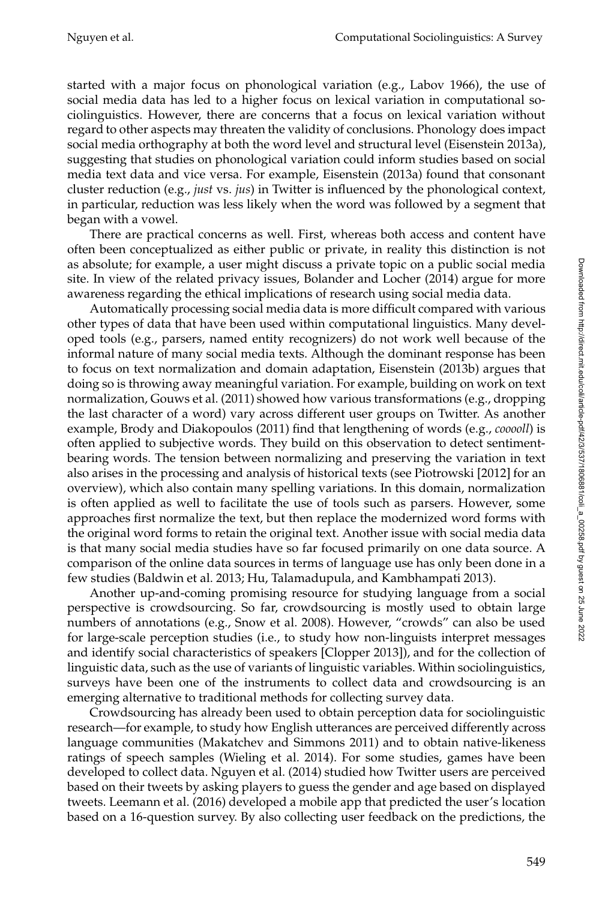started with a major focus on phonological variation (e.g., Labov 1966), the use of social media data has led to a higher focus on lexical variation in computational sociolinguistics. However, there are concerns that a focus on lexical variation without regard to other aspects may threaten the validity of conclusions. Phonology does impact social media orthography at both the word level and structural level (Eisenstein 2013a), suggesting that studies on phonological variation could inform studies based on social media text data and vice versa. For example, Eisenstein (2013a) found that consonant cluster reduction (e.g., *just* vs. *jus*) in Twitter is influenced by the phonological context, in particular, reduction was less likely when the word was followed by a segment that began with a vowel.

There are practical concerns as well. First, whereas both access and content have often been conceptualized as either public or private, in reality this distinction is not as absolute; for example, a user might discuss a private topic on a public social media site. In view of the related privacy issues, Bolander and Locher (2014) argue for more awareness regarding the ethical implications of research using social media data.

Automatically processing social media data is more difficult compared with various other types of data that have been used within computational linguistics. Many developed tools (e.g., parsers, named entity recognizers) do not work well because of the informal nature of many social media texts. Although the dominant response has been to focus on text normalization and domain adaptation, Eisenstein (2013b) argues that doing so is throwing away meaningful variation. For example, building on work on text normalization, Gouws et al. (2011) showed how various transformations (e.g., dropping the last character of a word) vary across different user groups on Twitter. As another example, Brody and Diakopoulos (2011) find that lengthening of words (e.g., *cooooll*) is often applied to subjective words. They build on this observation to detect sentimentbearing words. The tension between normalizing and preserving the variation in text also arises in the processing and analysis of historical texts (see Piotrowski [2012] for an overview), which also contain many spelling variations. In this domain, normalization is often applied as well to facilitate the use of tools such as parsers. However, some approaches first normalize the text, but then replace the modernized word forms with the original word forms to retain the original text. Another issue with social media data is that many social media studies have so far focused primarily on one data source. A comparison of the online data sources in terms of language use has only been done in a few studies (Baldwin et al. 2013; Hu, Talamadupula, and Kambhampati 2013).

Another up-and-coming promising resource for studying language from a social perspective is crowdsourcing. So far, crowdsourcing is mostly used to obtain large numbers of annotations (e.g., Snow et al. 2008). However, "crowds" can also be used for large-scale perception studies (i.e., to study how non-linguists interpret messages and identify social characteristics of speakers [Clopper 2013]), and for the collection of linguistic data, such as the use of variants of linguistic variables. Within sociolinguistics, surveys have been one of the instruments to collect data and crowdsourcing is an emerging alternative to traditional methods for collecting survey data.

Crowdsourcing has already been used to obtain perception data for sociolinguistic research—for example, to study how English utterances are perceived differently across language communities (Makatchev and Simmons 2011) and to obtain native-likeness ratings of speech samples (Wieling et al. 2014). For some studies, games have been developed to collect data. Nguyen et al. (2014) studied how Twitter users are perceived based on their tweets by asking players to guess the gender and age based on displayed tweets. Leemann et al. (2016) developed a mobile app that predicted the user's location based on a 16-question survey. By also collecting user feedback on the predictions, the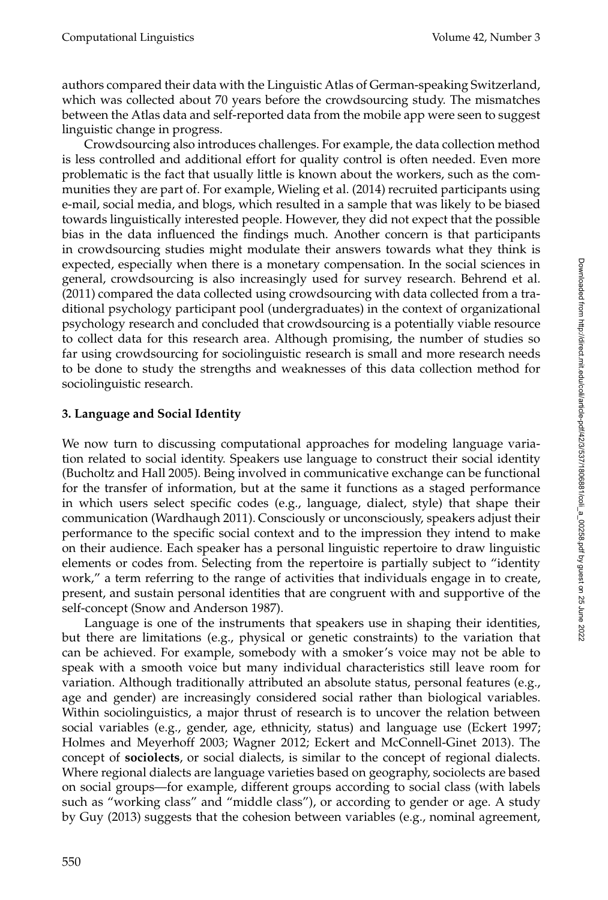authors compared their data with the Linguistic Atlas of German-speaking Switzerland, which was collected about 70 years before the crowdsourcing study. The mismatches between the Atlas data and self-reported data from the mobile app were seen to suggest linguistic change in progress.

Crowdsourcing also introduces challenges. For example, the data collection method is less controlled and additional effort for quality control is often needed. Even more problematic is the fact that usually little is known about the workers, such as the communities they are part of. For example, Wieling et al. (2014) recruited participants using e-mail, social media, and blogs, which resulted in a sample that was likely to be biased towards linguistically interested people. However, they did not expect that the possible bias in the data influenced the findings much. Another concern is that participants in crowdsourcing studies might modulate their answers towards what they think is expected, especially when there is a monetary compensation. In the social sciences in general, crowdsourcing is also increasingly used for survey research. Behrend et al. (2011) compared the data collected using crowdsourcing with data collected from a traditional psychology participant pool (undergraduates) in the context of organizational psychology research and concluded that crowdsourcing is a potentially viable resource to collect data for this research area. Although promising, the number of studies so far using crowdsourcing for sociolinguistic research is small and more research needs to be done to study the strengths and weaknesses of this data collection method for sociolinguistic research.

### **3. Language and Social Identity**

We now turn to discussing computational approaches for modeling language variation related to social identity. Speakers use language to construct their social identity (Bucholtz and Hall 2005). Being involved in communicative exchange can be functional for the transfer of information, but at the same it functions as a staged performance in which users select specific codes (e.g., language, dialect, style) that shape their communication (Wardhaugh 2011). Consciously or unconsciously, speakers adjust their performance to the specific social context and to the impression they intend to make on their audience. Each speaker has a personal linguistic repertoire to draw linguistic elements or codes from. Selecting from the repertoire is partially subject to "identity work," a term referring to the range of activities that individuals engage in to create, present, and sustain personal identities that are congruent with and supportive of the self-concept (Snow and Anderson 1987).

Language is one of the instruments that speakers use in shaping their identities, but there are limitations (e.g., physical or genetic constraints) to the variation that can be achieved. For example, somebody with a smoker's voice may not be able to speak with a smooth voice but many individual characteristics still leave room for variation. Although traditionally attributed an absolute status, personal features (e.g., age and gender) are increasingly considered social rather than biological variables. Within sociolinguistics, a major thrust of research is to uncover the relation between social variables (e.g., gender, age, ethnicity, status) and language use (Eckert 1997; Holmes and Meyerhoff 2003; Wagner 2012; Eckert and McConnell-Ginet 2013). The concept of **sociolects**, or social dialects, is similar to the concept of regional dialects. Where regional dialects are language varieties based on geography, sociolects are based on social groups—for example, different groups according to social class (with labels such as "working class" and "middle class"), or according to gender or age. A study by Guy (2013) suggests that the cohesion between variables (e.g., nominal agreement,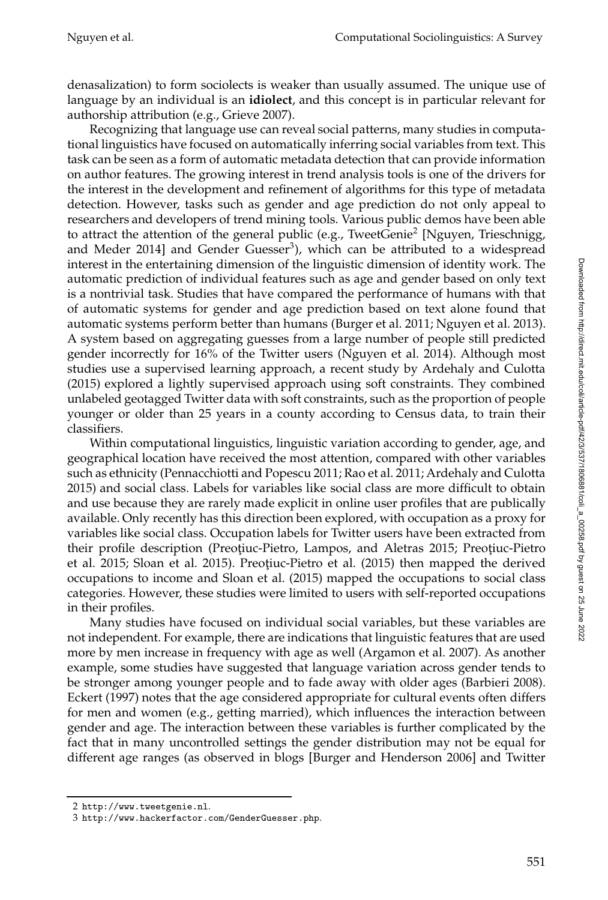denasalization) to form sociolects is weaker than usually assumed. The unique use of language by an individual is an **idiolect**, and this concept is in particular relevant for authorship attribution (e.g., Grieve 2007).

Recognizing that language use can reveal social patterns, many studies in computational linguistics have focused on automatically inferring social variables from text. This task can be seen as a form of automatic metadata detection that can provide information on author features. The growing interest in trend analysis tools is one of the drivers for the interest in the development and refinement of algorithms for this type of metadata detection. However, tasks such as gender and age prediction do not only appeal to researchers and developers of trend mining tools. Various public demos have been able to attract the attention of the general public (e.g., TweetGenie<sup>2</sup> [Nguyen, Trieschnigg, and Meder 2014] and Gender Guesser<sup>3</sup>), which can be attributed to a widespread interest in the entertaining dimension of the linguistic dimension of identity work. The automatic prediction of individual features such as age and gender based on only text is a nontrivial task. Studies that have compared the performance of humans with that of automatic systems for gender and age prediction based on text alone found that automatic systems perform better than humans (Burger et al. 2011; Nguyen et al. 2013). A system based on aggregating guesses from a large number of people still predicted gender incorrectly for 16% of the Twitter users (Nguyen et al. 2014). Although most studies use a supervised learning approach, a recent study by Ardehaly and Culotta (2015) explored a lightly supervised approach using soft constraints. They combined unlabeled geotagged Twitter data with soft constraints, such as the proportion of people younger or older than 25 years in a county according to Census data, to train their classifiers.

Within computational linguistics, linguistic variation according to gender, age, and geographical location have received the most attention, compared with other variables such as ethnicity (Pennacchiotti and Popescu 2011; Rao et al. 2011; Ardehaly and Culotta 2015) and social class. Labels for variables like social class are more difficult to obtain and use because they are rarely made explicit in online user profiles that are publically available. Only recently has this direction been explored, with occupation as a proxy for variables like social class. Occupation labels for Twitter users have been extracted from their profile description (Preoțiuc-Pietro, Lampos, and Aletras 2015; Preoțiuc-Pietro et al. 2015; Sloan et al. 2015). Preoțiuc-Pietro et al. (2015) then mapped the derived occupations to income and Sloan et al. (2015) mapped the occupations to social class categories. However, these studies were limited to users with self-reported occupations in their profiles.

Many studies have focused on individual social variables, but these variables are not independent. For example, there are indications that linguistic features that are used more by men increase in frequency with age as well (Argamon et al. 2007). As another example, some studies have suggested that language variation across gender tends to be stronger among younger people and to fade away with older ages (Barbieri 2008). Eckert (1997) notes that the age considered appropriate for cultural events often differs for men and women (e.g., getting married), which influences the interaction between gender and age. The interaction between these variables is further complicated by the fact that in many uncontrolled settings the gender distribution may not be equal for different age ranges (as observed in blogs [Burger and Henderson 2006] and Twitter

<sup>2</sup> http://www.tweetgenie.nl.

<sup>3</sup> http://www.hackerfactor.com/GenderGuesser.php.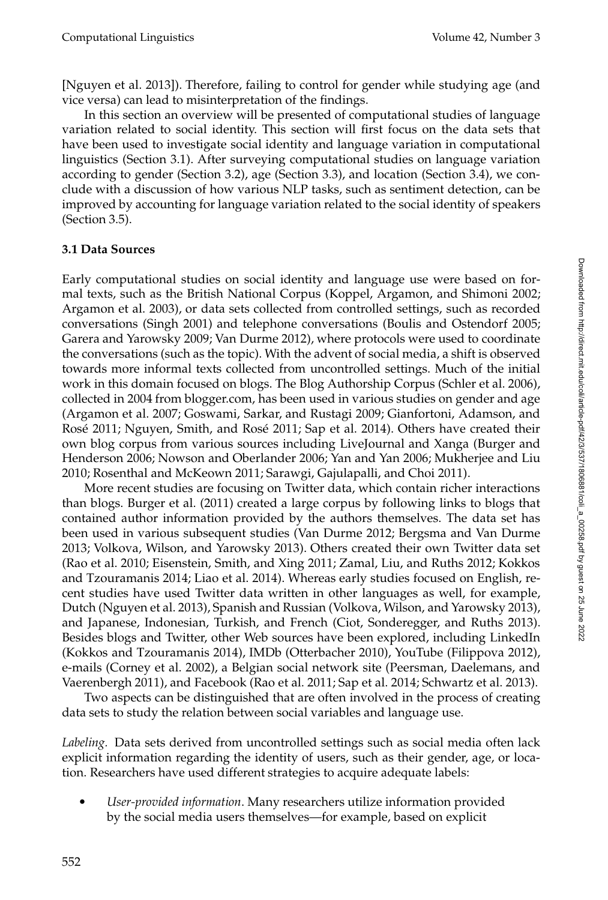[Nguyen et al. 2013]). Therefore, failing to control for gender while studying age (and vice versa) can lead to misinterpretation of the findings.

In this section an overview will be presented of computational studies of language variation related to social identity. This section will first focus on the data sets that have been used to investigate social identity and language variation in computational linguistics (Section 3.1). After surveying computational studies on language variation according to gender (Section 3.2), age (Section 3.3), and location (Section 3.4), we conclude with a discussion of how various NLP tasks, such as sentiment detection, can be improved by accounting for language variation related to the social identity of speakers (Section 3.5).

#### **3.1 Data Sources**

Early computational studies on social identity and language use were based on formal texts, such as the British National Corpus (Koppel, Argamon, and Shimoni 2002; Argamon et al. 2003), or data sets collected from controlled settings, such as recorded conversations (Singh 2001) and telephone conversations (Boulis and Ostendorf 2005; Garera and Yarowsky 2009; Van Durme 2012), where protocols were used to coordinate the conversations (such as the topic). With the advent of social media, a shift is observed towards more informal texts collected from uncontrolled settings. Much of the initial work in this domain focused on blogs. The Blog Authorship Corpus (Schler et al. 2006), collected in 2004 from blogger.com, has been used in various studies on gender and age (Argamon et al. 2007; Goswami, Sarkar, and Rustagi 2009; Gianfortoni, Adamson, and Rosé 2011; Nguyen, Smith, and Rosé 2011; Sap et al. 2014). Others have created their own blog corpus from various sources including LiveJournal and Xanga (Burger and Henderson 2006; Nowson and Oberlander 2006; Yan and Yan 2006; Mukherjee and Liu 2010; Rosenthal and McKeown 2011; Sarawgi, Gajulapalli, and Choi 2011).

More recent studies are focusing on Twitter data, which contain richer interactions than blogs. Burger et al. (2011) created a large corpus by following links to blogs that contained author information provided by the authors themselves. The data set has been used in various subsequent studies (Van Durme 2012; Bergsma and Van Durme 2013; Volkova, Wilson, and Yarowsky 2013). Others created their own Twitter data set (Rao et al. 2010; Eisenstein, Smith, and Xing 2011; Zamal, Liu, and Ruths 2012; Kokkos and Tzouramanis 2014; Liao et al. 2014). Whereas early studies focused on English, recent studies have used Twitter data written in other languages as well, for example, Dutch (Nguyen et al. 2013), Spanish and Russian (Volkova, Wilson, and Yarowsky 2013), and Japanese, Indonesian, Turkish, and French (Ciot, Sonderegger, and Ruths 2013). Besides blogs and Twitter, other Web sources have been explored, including LinkedIn (Kokkos and Tzouramanis 2014), IMDb (Otterbacher 2010), YouTube (Filippova 2012), e-mails (Corney et al. 2002), a Belgian social network site (Peersman, Daelemans, and Vaerenbergh 2011), and Facebook (Rao et al. 2011; Sap et al. 2014; Schwartz et al. 2013).

Two aspects can be distinguished that are often involved in the process of creating data sets to study the relation between social variables and language use.

*Labeling.* Data sets derived from uncontrolled settings such as social media often lack explicit information regarding the identity of users, such as their gender, age, or location. Researchers have used different strategies to acquire adequate labels:

- *User-provided information*. Many researchers utilize information provided by the social media users themselves—for example, based on explicit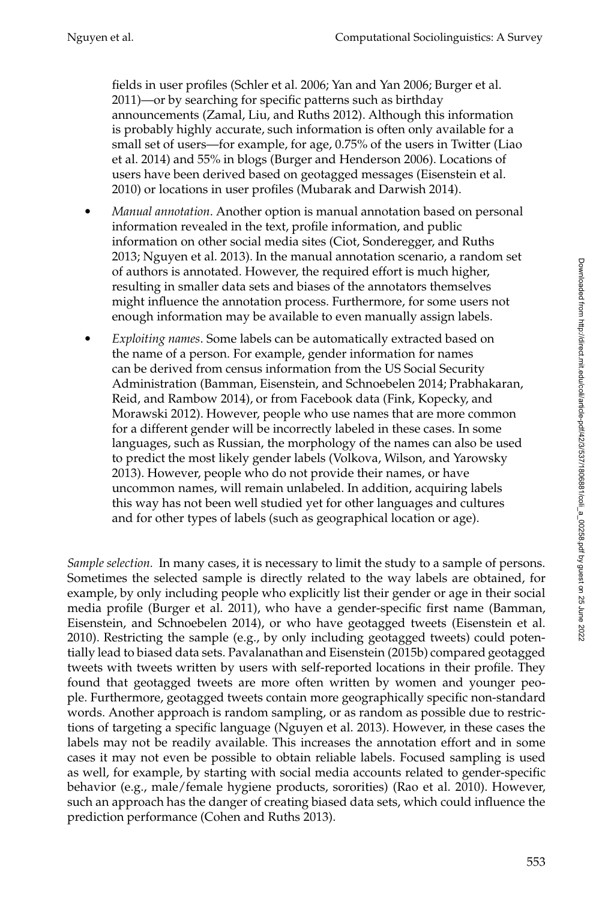fields in user profiles (Schler et al. 2006; Yan and Yan 2006; Burger et al. 2011)—or by searching for specific patterns such as birthday announcements (Zamal, Liu, and Ruths 2012). Although this information is probably highly accurate, such information is often only available for a small set of users—for example, for age, 0.75% of the users in Twitter (Liao et al. 2014) and 55% in blogs (Burger and Henderson 2006). Locations of users have been derived based on geotagged messages (Eisenstein et al. 2010) or locations in user profiles (Mubarak and Darwish 2014).

- - *Manual annotation*. Another option is manual annotation based on personal information revealed in the text, profile information, and public information on other social media sites (Ciot, Sonderegger, and Ruths 2013; Nguyen et al. 2013). In the manual annotation scenario, a random set of authors is annotated. However, the required effort is much higher, resulting in smaller data sets and biases of the annotators themselves might influence the annotation process. Furthermore, for some users not enough information may be available to even manually assign labels.
- - *Exploiting names*. Some labels can be automatically extracted based on the name of a person. For example, gender information for names can be derived from census information from the US Social Security Administration (Bamman, Eisenstein, and Schnoebelen 2014; Prabhakaran, Reid, and Rambow 2014), or from Facebook data (Fink, Kopecky, and Morawski 2012). However, people who use names that are more common for a different gender will be incorrectly labeled in these cases. In some languages, such as Russian, the morphology of the names can also be used to predict the most likely gender labels (Volkova, Wilson, and Yarowsky 2013). However, people who do not provide their names, or have uncommon names, will remain unlabeled. In addition, acquiring labels this way has not been well studied yet for other languages and cultures and for other types of labels (such as geographical location or age).

*Sample selection.* In many cases, it is necessary to limit the study to a sample of persons. Sometimes the selected sample is directly related to the way labels are obtained, for example, by only including people who explicitly list their gender or age in their social media profile (Burger et al. 2011), who have a gender-specific first name (Bamman, Eisenstein, and Schnoebelen 2014), or who have geotagged tweets (Eisenstein et al. 2010). Restricting the sample (e.g., by only including geotagged tweets) could potentially lead to biased data sets. Pavalanathan and Eisenstein (2015b) compared geotagged tweets with tweets written by users with self-reported locations in their profile. They found that geotagged tweets are more often written by women and younger people. Furthermore, geotagged tweets contain more geographically specific non-standard words. Another approach is random sampling, or as random as possible due to restrictions of targeting a specific language (Nguyen et al. 2013). However, in these cases the labels may not be readily available. This increases the annotation effort and in some cases it may not even be possible to obtain reliable labels. Focused sampling is used as well, for example, by starting with social media accounts related to gender-specific behavior (e.g., male/female hygiene products, sororities) (Rao et al. 2010). However, such an approach has the danger of creating biased data sets, which could influence the prediction performance (Cohen and Ruths 2013).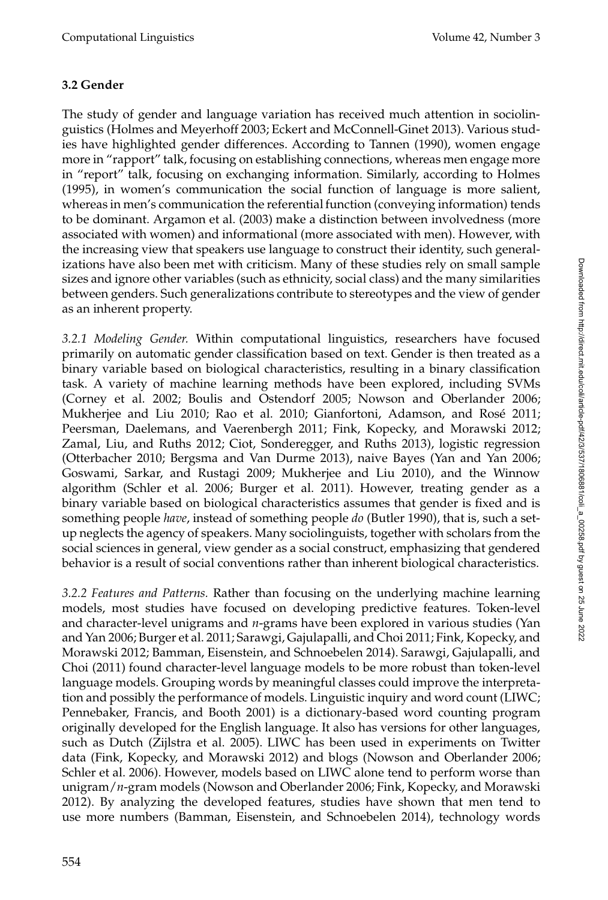### **3.2 Gender**

The study of gender and language variation has received much attention in sociolinguistics (Holmes and Meyerhoff 2003; Eckert and McConnell-Ginet 2013). Various studies have highlighted gender differences. According to Tannen (1990), women engage more in "rapport" talk, focusing on establishing connections, whereas men engage more in "report" talk, focusing on exchanging information. Similarly, according to Holmes (1995), in women's communication the social function of language is more salient, whereas in men's communication the referential function (conveying information) tends to be dominant. Argamon et al. (2003) make a distinction between involvedness (more associated with women) and informational (more associated with men). However, with the increasing view that speakers use language to construct their identity, such generalizations have also been met with criticism. Many of these studies rely on small sample sizes and ignore other variables (such as ethnicity, social class) and the many similarities between genders. Such generalizations contribute to stereotypes and the view of gender as an inherent property.

*3.2.1 Modeling Gender.* Within computational linguistics, researchers have focused primarily on automatic gender classification based on text. Gender is then treated as a binary variable based on biological characteristics, resulting in a binary classification task. A variety of machine learning methods have been explored, including SVMs (Corney et al. 2002; Boulis and Ostendorf 2005; Nowson and Oberlander 2006; Mukherjee and Liu 2010; Rao et al. 2010; Gianfortoni, Adamson, and Rosé 2011; Peersman, Daelemans, and Vaerenbergh 2011; Fink, Kopecky, and Morawski 2012; Zamal, Liu, and Ruths 2012; Ciot, Sonderegger, and Ruths 2013), logistic regression (Otterbacher 2010; Bergsma and Van Durme 2013), naive Bayes (Yan and Yan 2006; Goswami, Sarkar, and Rustagi 2009; Mukherjee and Liu 2010), and the Winnow algorithm (Schler et al. 2006; Burger et al. 2011). However, treating gender as a binary variable based on biological characteristics assumes that gender is fixed and is something people *have*, instead of something people *do* (Butler 1990), that is, such a setup neglects the agency of speakers. Many sociolinguists, together with scholars from the social sciences in general, view gender as a social construct, emphasizing that gendered behavior is a result of social conventions rather than inherent biological characteristics.

*3.2.2 Features and Patterns.* Rather than focusing on the underlying machine learning models, most studies have focused on developing predictive features. Token-level and character-level unigrams and *n*-grams have been explored in various studies (Yan and Yan 2006; Burger et al. 2011; Sarawgi, Gajulapalli, and Choi 2011; Fink, Kopecky, and Morawski 2012; Bamman, Eisenstein, and Schnoebelen 2014). Sarawgi, Gajulapalli, and Choi (2011) found character-level language models to be more robust than token-level language models. Grouping words by meaningful classes could improve the interpretation and possibly the performance of models. Linguistic inquiry and word count (LIWC; Pennebaker, Francis, and Booth 2001) is a dictionary-based word counting program originally developed for the English language. It also has versions for other languages, such as Dutch (Zijlstra et al. 2005). LIWC has been used in experiments on Twitter data (Fink, Kopecky, and Morawski 2012) and blogs (Nowson and Oberlander 2006; Schler et al. 2006). However, models based on LIWC alone tend to perform worse than unigram/*n*-gram models (Nowson and Oberlander 2006; Fink, Kopecky, and Morawski 2012). By analyzing the developed features, studies have shown that men tend to use more numbers (Bamman, Eisenstein, and Schnoebelen 2014), technology words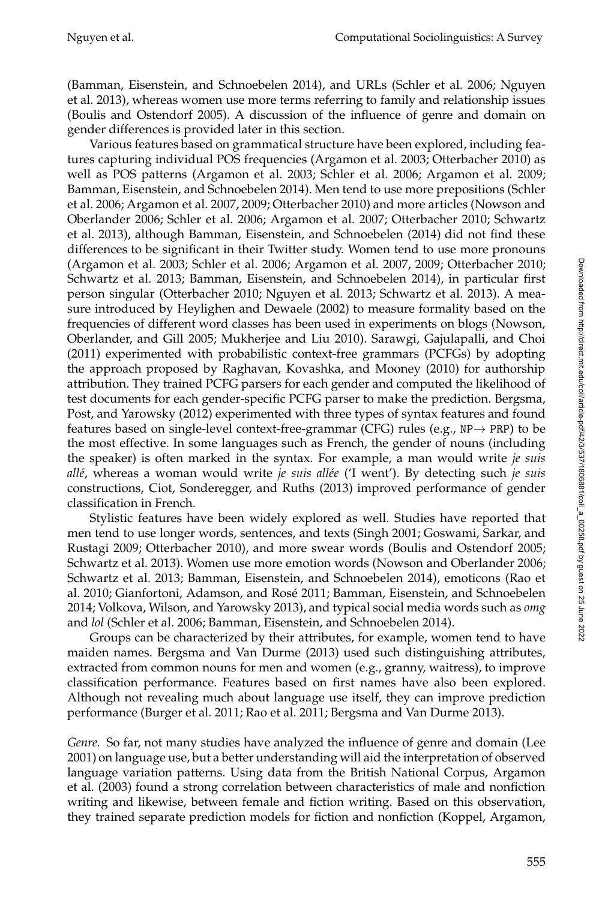(Bamman, Eisenstein, and Schnoebelen 2014), and URLs (Schler et al. 2006; Nguyen et al. 2013), whereas women use more terms referring to family and relationship issues (Boulis and Ostendorf 2005). A discussion of the influence of genre and domain on gender differences is provided later in this section.

Various features based on grammatical structure have been explored, including features capturing individual POS frequencies (Argamon et al. 2003; Otterbacher 2010) as well as POS patterns (Argamon et al. 2003; Schler et al. 2006; Argamon et al. 2009; Bamman, Eisenstein, and Schnoebelen 2014). Men tend to use more prepositions (Schler et al. 2006; Argamon et al. 2007, 2009; Otterbacher 2010) and more articles (Nowson and Oberlander 2006; Schler et al. 2006; Argamon et al. 2007; Otterbacher 2010; Schwartz et al. 2013), although Bamman, Eisenstein, and Schnoebelen (2014) did not find these differences to be significant in their Twitter study. Women tend to use more pronouns (Argamon et al. 2003; Schler et al. 2006; Argamon et al. 2007, 2009; Otterbacher 2010; Schwartz et al. 2013; Bamman, Eisenstein, and Schnoebelen 2014), in particular first person singular (Otterbacher 2010; Nguyen et al. 2013; Schwartz et al. 2013). A measure introduced by Heylighen and Dewaele (2002) to measure formality based on the frequencies of different word classes has been used in experiments on blogs (Nowson, Oberlander, and Gill 2005; Mukherjee and Liu 2010). Sarawgi, Gajulapalli, and Choi (2011) experimented with probabilistic context-free grammars (PCFGs) by adopting the approach proposed by Raghavan, Kovashka, and Mooney (2010) for authorship attribution. They trained PCFG parsers for each gender and computed the likelihood of test documents for each gender-specific PCFG parser to make the prediction. Bergsma, Post, and Yarowsky (2012) experimented with three types of syntax features and found features based on single-level context-free-grammar (CFG) rules (e.g.,  $NP \rightarrow PRP$ ) to be the most effective. In some languages such as French, the gender of nouns (including the speaker) is often marked in the syntax. For example, a man would write *je suis allé*, whereas a woman would write *je suis allée* ('I went'). By detecting such *je suis* constructions, Ciot, Sonderegger, and Ruths (2013) improved performance of gender classification in French.

Stylistic features have been widely explored as well. Studies have reported that men tend to use longer words, sentences, and texts (Singh 2001; Goswami, Sarkar, and Rustagi 2009; Otterbacher 2010), and more swear words (Boulis and Ostendorf 2005; Schwartz et al. 2013). Women use more emotion words (Nowson and Oberlander 2006; Schwartz et al. 2013; Bamman, Eisenstein, and Schnoebelen 2014), emoticons (Rao et al. 2010; Gianfortoni, Adamson, and Rosé 2011; Bamman, Eisenstein, and Schnoebelen 2014; Volkova, Wilson, and Yarowsky 2013), and typical social media words such as *omg* and *lol* (Schler et al. 2006; Bamman, Eisenstein, and Schnoebelen 2014).

Groups can be characterized by their attributes, for example, women tend to have maiden names. Bergsma and Van Durme (2013) used such distinguishing attributes, extracted from common nouns for men and women (e.g., granny, waitress), to improve classification performance. Features based on first names have also been explored. Although not revealing much about language use itself, they can improve prediction performance (Burger et al. 2011; Rao et al. 2011; Bergsma and Van Durme 2013).

*Genre.* So far, not many studies have analyzed the influence of genre and domain (Lee 2001) on language use, but a better understanding will aid the interpretation of observed language variation patterns. Using data from the British National Corpus, Argamon et al. (2003) found a strong correlation between characteristics of male and nonfiction writing and likewise, between female and fiction writing. Based on this observation, they trained separate prediction models for fiction and nonfiction (Koppel, Argamon,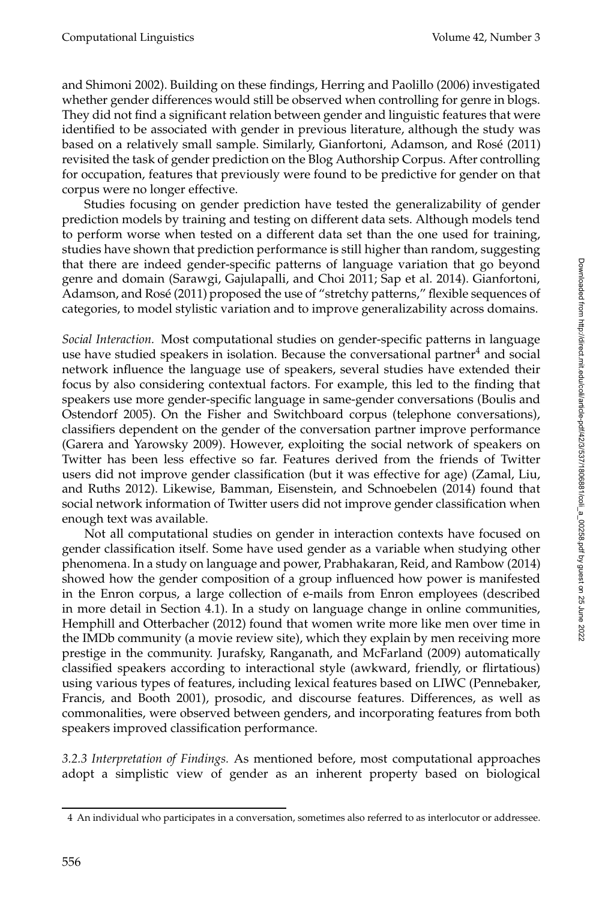and Shimoni 2002). Building on these findings, Herring and Paolillo (2006) investigated whether gender differences would still be observed when controlling for genre in blogs. They did not find a significant relation between gender and linguistic features that were identified to be associated with gender in previous literature, although the study was based on a relatively small sample. Similarly, Gianfortoni, Adamson, and Rosé (2011) revisited the task of gender prediction on the Blog Authorship Corpus. After controlling for occupation, features that previously were found to be predictive for gender on that corpus were no longer effective.

Studies focusing on gender prediction have tested the generalizability of gender prediction models by training and testing on different data sets. Although models tend to perform worse when tested on a different data set than the one used for training, studies have shown that prediction performance is still higher than random, suggesting that there are indeed gender-specific patterns of language variation that go beyond genre and domain (Sarawgi, Gajulapalli, and Choi 2011; Sap et al. 2014). Gianfortoni, Adamson, and Rosé (2011) proposed the use of "stretchy patterns," flexible sequences of categories, to model stylistic variation and to improve generalizability across domains.

*Social Interaction.* Most computational studies on gender-specific patterns in language use have studied speakers in isolation. Because the conversational partner<sup>4</sup> and social network influence the language use of speakers, several studies have extended their focus by also considering contextual factors. For example, this led to the finding that speakers use more gender-specific language in same-gender conversations (Boulis and Ostendorf 2005). On the Fisher and Switchboard corpus (telephone conversations), classifiers dependent on the gender of the conversation partner improve performance (Garera and Yarowsky 2009). However, exploiting the social network of speakers on Twitter has been less effective so far. Features derived from the friends of Twitter users did not improve gender classification (but it was effective for age) (Zamal, Liu, and Ruths 2012). Likewise, Bamman, Eisenstein, and Schnoebelen (2014) found that social network information of Twitter users did not improve gender classification when enough text was available.

Not all computational studies on gender in interaction contexts have focused on gender classification itself. Some have used gender as a variable when studying other phenomena. In a study on language and power, Prabhakaran, Reid, and Rambow (2014) showed how the gender composition of a group influenced how power is manifested in the Enron corpus, a large collection of e-mails from Enron employees (described in more detail in Section 4.1). In a study on language change in online communities, Hemphill and Otterbacher (2012) found that women write more like men over time in the IMDb community (a movie review site), which they explain by men receiving more prestige in the community. Jurafsky, Ranganath, and McFarland (2009) automatically classified speakers according to interactional style (awkward, friendly, or flirtatious) using various types of features, including lexical features based on LIWC (Pennebaker, Francis, and Booth 2001), prosodic, and discourse features. Differences, as well as commonalities, were observed between genders, and incorporating features from both speakers improved classification performance.

*3.2.3 Interpretation of Findings.* As mentioned before, most computational approaches adopt a simplistic view of gender as an inherent property based on biological

<sup>4</sup> An individual who participates in a conversation, sometimes also referred to as interlocutor or addressee.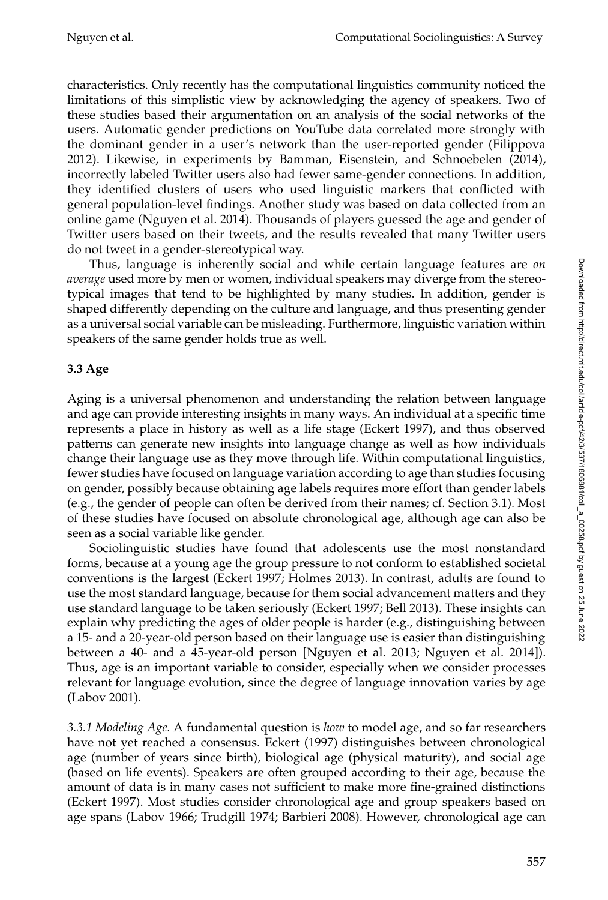characteristics. Only recently has the computational linguistics community noticed the limitations of this simplistic view by acknowledging the agency of speakers. Two of these studies based their argumentation on an analysis of the social networks of the users. Automatic gender predictions on YouTube data correlated more strongly with the dominant gender in a user's network than the user-reported gender (Filippova 2012). Likewise, in experiments by Bamman, Eisenstein, and Schnoebelen (2014), incorrectly labeled Twitter users also had fewer same-gender connections. In addition, they identified clusters of users who used linguistic markers that conflicted with general population-level findings. Another study was based on data collected from an online game (Nguyen et al. 2014). Thousands of players guessed the age and gender of Twitter users based on their tweets, and the results revealed that many Twitter users do not tweet in a gender-stereotypical way.

Thus, language is inherently social and while certain language features are *on average* used more by men or women, individual speakers may diverge from the stereotypical images that tend to be highlighted by many studies. In addition, gender is shaped differently depending on the culture and language, and thus presenting gender as a universal social variable can be misleading. Furthermore, linguistic variation within speakers of the same gender holds true as well.

# **3.3 Age**

Aging is a universal phenomenon and understanding the relation between language and age can provide interesting insights in many ways. An individual at a specific time represents a place in history as well as a life stage (Eckert 1997), and thus observed patterns can generate new insights into language change as well as how individuals change their language use as they move through life. Within computational linguistics, fewer studies have focused on language variation according to age than studies focusing on gender, possibly because obtaining age labels requires more effort than gender labels (e.g., the gender of people can often be derived from their names; cf. Section 3.1). Most of these studies have focused on absolute chronological age, although age can also be seen as a social variable like gender.

Sociolinguistic studies have found that adolescents use the most nonstandard forms, because at a young age the group pressure to not conform to established societal conventions is the largest (Eckert 1997; Holmes 2013). In contrast, adults are found to use the most standard language, because for them social advancement matters and they use standard language to be taken seriously (Eckert 1997; Bell 2013). These insights can explain why predicting the ages of older people is harder (e.g., distinguishing between a 15- and a 20-year-old person based on their language use is easier than distinguishing between a 40- and a 45-year-old person [Nguyen et al. 2013; Nguyen et al. 2014]). Thus, age is an important variable to consider, especially when we consider processes relevant for language evolution, since the degree of language innovation varies by age (Labov 2001).

*3.3.1 Modeling Age.* A fundamental question is *how* to model age, and so far researchers have not yet reached a consensus. Eckert (1997) distinguishes between chronological age (number of years since birth), biological age (physical maturity), and social age (based on life events). Speakers are often grouped according to their age, because the amount of data is in many cases not sufficient to make more fine-grained distinctions (Eckert 1997). Most studies consider chronological age and group speakers based on age spans (Labov 1966; Trudgill 1974; Barbieri 2008). However, chronological age can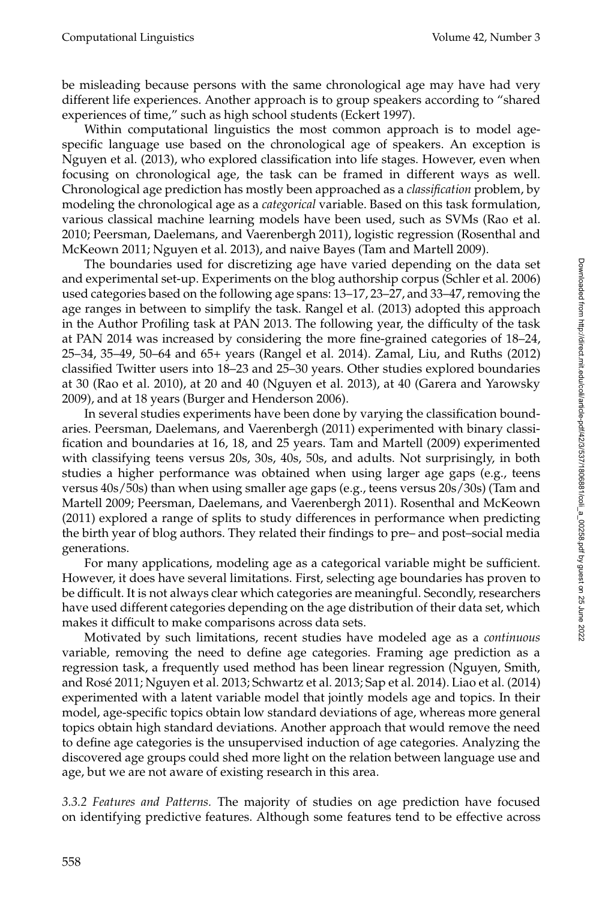be misleading because persons with the same chronological age may have had very different life experiences. Another approach is to group speakers according to "shared experiences of time," such as high school students (Eckert 1997).

Within computational linguistics the most common approach is to model agespecific language use based on the chronological age of speakers. An exception is Nguyen et al. (2013), who explored classification into life stages. However, even when focusing on chronological age, the task can be framed in different ways as well. Chronological age prediction has mostly been approached as a *classification* problem, by modeling the chronological age as a *categorical* variable. Based on this task formulation, various classical machine learning models have been used, such as SVMs (Rao et al. 2010; Peersman, Daelemans, and Vaerenbergh 2011), logistic regression (Rosenthal and McKeown 2011; Nguyen et al. 2013), and naive Bayes (Tam and Martell 2009).

The boundaries used for discretizing age have varied depending on the data set and experimental set-up. Experiments on the blog authorship corpus (Schler et al. 2006) used categories based on the following age spans: 13–17, 23–27, and 33–47, removing the age ranges in between to simplify the task. Rangel et al. (2013) adopted this approach in the Author Profiling task at PAN 2013. The following year, the difficulty of the task at PAN 2014 was increased by considering the more fine-grained categories of 18–24, 25–34, 35–49, 50–64 and 65+ years (Rangel et al. 2014). Zamal, Liu, and Ruths (2012) classified Twitter users into 18–23 and 25–30 years. Other studies explored boundaries at 30 (Rao et al. 2010), at 20 and 40 (Nguyen et al. 2013), at 40 (Garera and Yarowsky 2009), and at 18 years (Burger and Henderson 2006).

In several studies experiments have been done by varying the classification boundaries. Peersman, Daelemans, and Vaerenbergh (2011) experimented with binary classification and boundaries at 16, 18, and 25 years. Tam and Martell (2009) experimented with classifying teens versus 20s, 30s, 40s, 50s, and adults. Not surprisingly, in both studies a higher performance was obtained when using larger age gaps (e.g., teens versus 40s/50s) than when using smaller age gaps (e.g., teens versus 20s/30s) (Tam and Martell 2009; Peersman, Daelemans, and Vaerenbergh 2011). Rosenthal and McKeown (2011) explored a range of splits to study differences in performance when predicting the birth year of blog authors. They related their findings to pre– and post–social media generations.

For many applications, modeling age as a categorical variable might be sufficient. However, it does have several limitations. First, selecting age boundaries has proven to be difficult. It is not always clear which categories are meaningful. Secondly, researchers have used different categories depending on the age distribution of their data set, which makes it difficult to make comparisons across data sets.

Motivated by such limitations, recent studies have modeled age as a *continuous* variable, removing the need to define age categories. Framing age prediction as a regression task, a frequently used method has been linear regression (Nguyen, Smith, and Rosé 2011; Nguyen et al. 2013; Schwartz et al. 2013; Sap et al. 2014). Liao et al. (2014) experimented with a latent variable model that jointly models age and topics. In their model, age-specific topics obtain low standard deviations of age, whereas more general topics obtain high standard deviations. Another approach that would remove the need to define age categories is the unsupervised induction of age categories. Analyzing the discovered age groups could shed more light on the relation between language use and age, but we are not aware of existing research in this area.

*3.3.2 Features and Patterns.* The majority of studies on age prediction have focused on identifying predictive features. Although some features tend to be effective across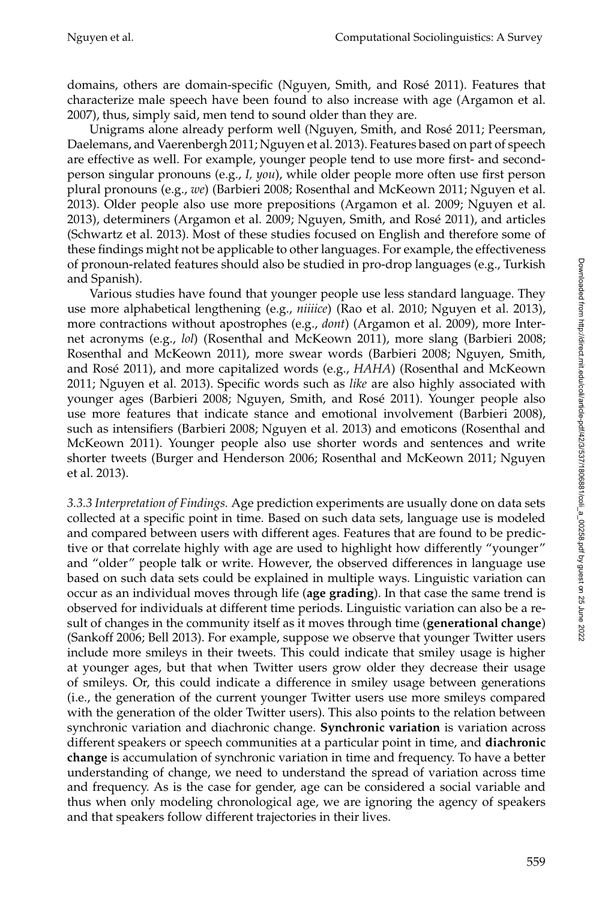domains, others are domain-specific (Nguyen, Smith, and Rosé 2011). Features that characterize male speech have been found to also increase with age (Argamon et al. 2007), thus, simply said, men tend to sound older than they are.

Unigrams alone already perform well (Nguyen, Smith, and Rosé 2011; Peersman, Daelemans, and Vaerenbergh 2011; Nguyen et al. 2013). Features based on part of speech are effective as well. For example, younger people tend to use more first- and secondperson singular pronouns (e.g., *I, you*), while older people more often use first person plural pronouns (e.g., *we*) (Barbieri 2008; Rosenthal and McKeown 2011; Nguyen et al. 2013). Older people also use more prepositions (Argamon et al. 2009; Nguyen et al. 2013), determiners (Argamon et al. 2009; Nguyen, Smith, and Rosé 2011), and articles (Schwartz et al. 2013). Most of these studies focused on English and therefore some of these findings might not be applicable to other languages. For example, the effectiveness of pronoun-related features should also be studied in pro-drop languages (e.g., Turkish and Spanish).

Various studies have found that younger people use less standard language. They use more alphabetical lengthening (e.g., *niiiice*) (Rao et al. 2010; Nguyen et al. 2013), more contractions without apostrophes (e.g., *dont*) (Argamon et al. 2009), more Internet acronyms (e.g., *lol*) (Rosenthal and McKeown 2011), more slang (Barbieri 2008; Rosenthal and McKeown 2011), more swear words (Barbieri 2008; Nguyen, Smith, and Rosé 2011), and more capitalized words (e.g., *HAHA*) (Rosenthal and McKeown 2011; Nguyen et al. 2013). Specific words such as *like* are also highly associated with younger ages (Barbieri 2008; Nguyen, Smith, and Rosé 2011). Younger people also use more features that indicate stance and emotional involvement (Barbieri 2008), such as intensifiers (Barbieri 2008; Nguyen et al. 2013) and emoticons (Rosenthal and McKeown 2011). Younger people also use shorter words and sentences and write shorter tweets (Burger and Henderson 2006; Rosenthal and McKeown 2011; Nguyen et al. 2013).

*3.3.3 Interpretation of Findings.* Age prediction experiments are usually done on data sets collected at a specific point in time. Based on such data sets, language use is modeled and compared between users with different ages. Features that are found to be predictive or that correlate highly with age are used to highlight how differently "younger" and "older" people talk or write. However, the observed differences in language use based on such data sets could be explained in multiple ways. Linguistic variation can occur as an individual moves through life (**age grading**). In that case the same trend is observed for individuals at different time periods. Linguistic variation can also be a result of changes in the community itself as it moves through time (**generational change**) (Sankoff 2006; Bell 2013). For example, suppose we observe that younger Twitter users include more smileys in their tweets. This could indicate that smiley usage is higher at younger ages, but that when Twitter users grow older they decrease their usage of smileys. Or, this could indicate a difference in smiley usage between generations (i.e., the generation of the current younger Twitter users use more smileys compared with the generation of the older Twitter users). This also points to the relation between synchronic variation and diachronic change. **Synchronic variation** is variation across different speakers or speech communities at a particular point in time, and **diachronic change** is accumulation of synchronic variation in time and frequency. To have a better understanding of change, we need to understand the spread of variation across time and frequency. As is the case for gender, age can be considered a social variable and thus when only modeling chronological age, we are ignoring the agency of speakers and that speakers follow different trajectories in their lives.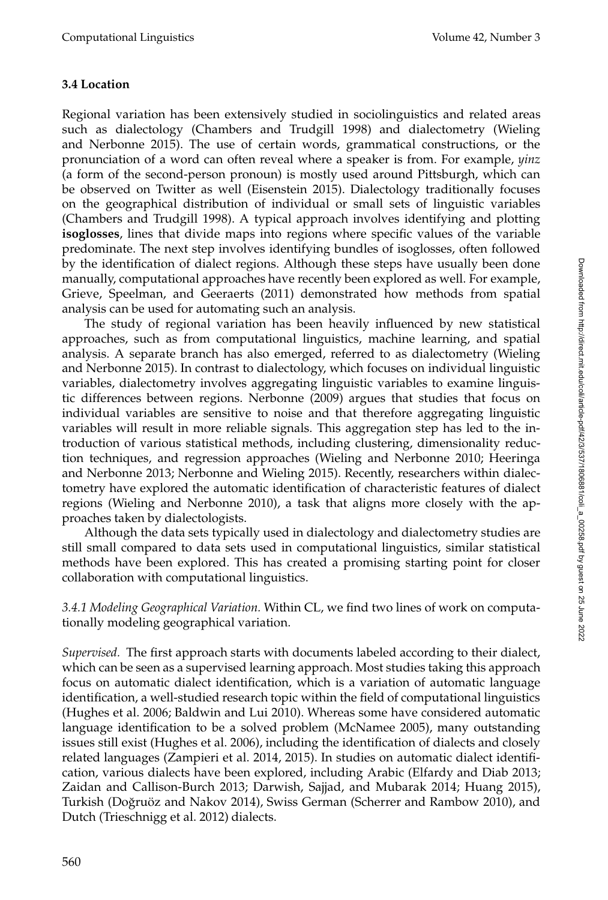### **3.4 Location**

Regional variation has been extensively studied in sociolinguistics and related areas such as dialectology (Chambers and Trudgill 1998) and dialectometry (Wieling and Nerbonne 2015). The use of certain words, grammatical constructions, or the pronunciation of a word can often reveal where a speaker is from. For example, *yinz* (a form of the second-person pronoun) is mostly used around Pittsburgh, which can be observed on Twitter as well (Eisenstein 2015). Dialectology traditionally focuses on the geographical distribution of individual or small sets of linguistic variables (Chambers and Trudgill 1998). A typical approach involves identifying and plotting **isoglosses**, lines that divide maps into regions where specific values of the variable predominate. The next step involves identifying bundles of isoglosses, often followed by the identification of dialect regions. Although these steps have usually been done manually, computational approaches have recently been explored as well. For example, Grieve, Speelman, and Geeraerts (2011) demonstrated how methods from spatial analysis can be used for automating such an analysis.

The study of regional variation has been heavily influenced by new statistical approaches, such as from computational linguistics, machine learning, and spatial analysis. A separate branch has also emerged, referred to as dialectometry (Wieling and Nerbonne 2015). In contrast to dialectology, which focuses on individual linguistic variables, dialectometry involves aggregating linguistic variables to examine linguistic differences between regions. Nerbonne (2009) argues that studies that focus on individual variables are sensitive to noise and that therefore aggregating linguistic variables will result in more reliable signals. This aggregation step has led to the introduction of various statistical methods, including clustering, dimensionality reduction techniques, and regression approaches (Wieling and Nerbonne 2010; Heeringa and Nerbonne 2013; Nerbonne and Wieling 2015). Recently, researchers within dialectometry have explored the automatic identification of characteristic features of dialect regions (Wieling and Nerbonne 2010), a task that aligns more closely with the approaches taken by dialectologists.

Although the data sets typically used in dialectology and dialectometry studies are still small compared to data sets used in computational linguistics, similar statistical methods have been explored. This has created a promising starting point for closer collaboration with computational linguistics.

*3.4.1 Modeling Geographical Variation.* Within CL, we find two lines of work on computationally modeling geographical variation.

*Supervised.* The first approach starts with documents labeled according to their dialect, which can be seen as a supervised learning approach. Most studies taking this approach focus on automatic dialect identification, which is a variation of automatic language identification, a well-studied research topic within the field of computational linguistics (Hughes et al. 2006; Baldwin and Lui 2010). Whereas some have considered automatic language identification to be a solved problem (McNamee 2005), many outstanding issues still exist (Hughes et al. 2006), including the identification of dialects and closely related languages (Zampieri et al. 2014, 2015). In studies on automatic dialect identification, various dialects have been explored, including Arabic (Elfardy and Diab 2013; Zaidan and Callison-Burch 2013; Darwish, Sajjad, and Mubarak 2014; Huang 2015), Turkish (Doğruöz and Nakov 2014), Swiss German (Scherrer and Rambow 2010), and Dutch (Trieschnigg et al. 2012) dialects.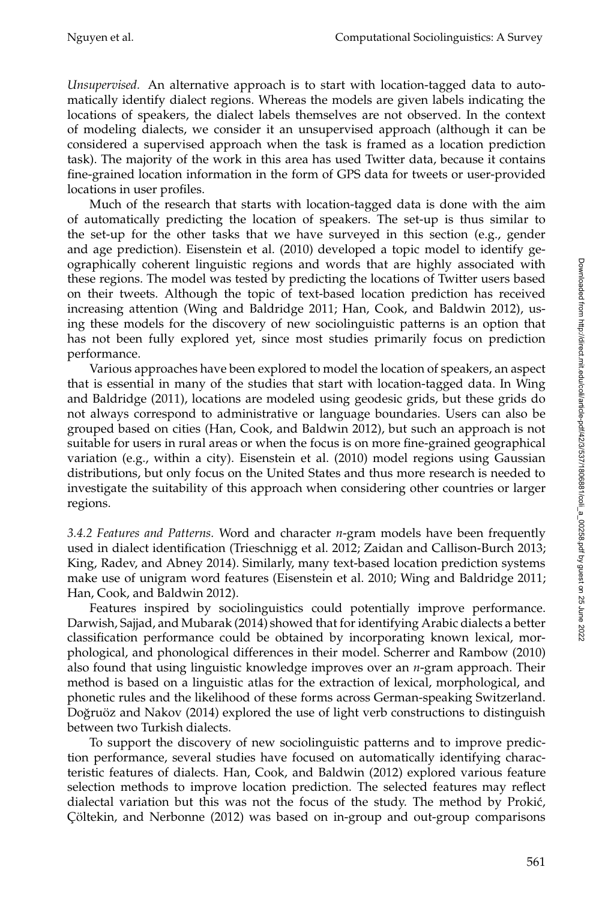*Unsupervised.* An alternative approach is to start with location-tagged data to automatically identify dialect regions. Whereas the models are given labels indicating the locations of speakers, the dialect labels themselves are not observed. In the context of modeling dialects, we consider it an unsupervised approach (although it can be considered a supervised approach when the task is framed as a location prediction task). The majority of the work in this area has used Twitter data, because it contains fine-grained location information in the form of GPS data for tweets or user-provided locations in user profiles.

Much of the research that starts with location-tagged data is done with the aim of automatically predicting the location of speakers. The set-up is thus similar to the set-up for the other tasks that we have surveyed in this section (e.g., gender and age prediction). Eisenstein et al. (2010) developed a topic model to identify geographically coherent linguistic regions and words that are highly associated with these regions. The model was tested by predicting the locations of Twitter users based on their tweets. Although the topic of text-based location prediction has received increasing attention (Wing and Baldridge 2011; Han, Cook, and Baldwin 2012), using these models for the discovery of new sociolinguistic patterns is an option that has not been fully explored yet, since most studies primarily focus on prediction performance.

Various approaches have been explored to model the location of speakers, an aspect that is essential in many of the studies that start with location-tagged data. In Wing and Baldridge (2011), locations are modeled using geodesic grids, but these grids do not always correspond to administrative or language boundaries. Users can also be grouped based on cities (Han, Cook, and Baldwin 2012), but such an approach is not suitable for users in rural areas or when the focus is on more fine-grained geographical variation (e.g., within a city). Eisenstein et al. (2010) model regions using Gaussian distributions, but only focus on the United States and thus more research is needed to investigate the suitability of this approach when considering other countries or larger regions.

*3.4.2 Features and Patterns.* Word and character *n*-gram models have been frequently used in dialect identification (Trieschnigg et al. 2012; Zaidan and Callison-Burch 2013; King, Radev, and Abney 2014). Similarly, many text-based location prediction systems make use of unigram word features (Eisenstein et al. 2010; Wing and Baldridge 2011; Han, Cook, and Baldwin 2012).

Features inspired by sociolinguistics could potentially improve performance. Darwish, Sajjad, and Mubarak (2014) showed that for identifying Arabic dialects a better classification performance could be obtained by incorporating known lexical, morphological, and phonological differences in their model. Scherrer and Rambow (2010) also found that using linguistic knowledge improves over an *n*-gram approach. Their method is based on a linguistic atlas for the extraction of lexical, morphological, and phonetic rules and the likelihood of these forms across German-speaking Switzerland. Doğruöz and Nakov (2014) explored the use of light verb constructions to distinguish between two Turkish dialects.

To support the discovery of new sociolinguistic patterns and to improve prediction performance, several studies have focused on automatically identifying characteristic features of dialects. Han, Cook, and Baldwin (2012) explored various feature selection methods to improve location prediction. The selected features may reflect dialectal variation but this was not the focus of the study. The method by Prokić, Çöltekin, and Nerbonne (2012) was based on in-group and out-group comparisons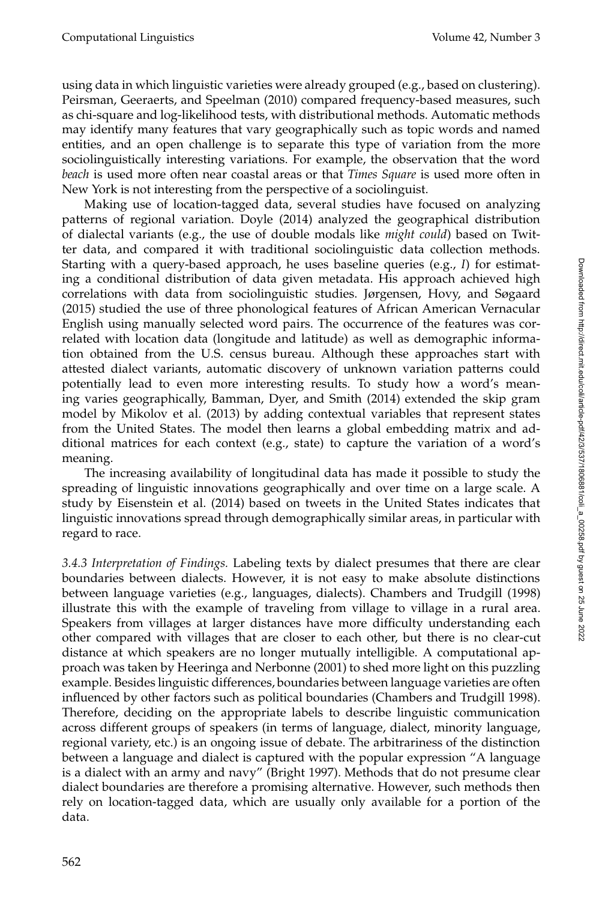using data in which linguistic varieties were already grouped (e.g., based on clustering). Peirsman, Geeraerts, and Speelman (2010) compared frequency-based measures, such as chi-square and log-likelihood tests, with distributional methods. Automatic methods may identify many features that vary geographically such as topic words and named entities, and an open challenge is to separate this type of variation from the more sociolinguistically interesting variations. For example, the observation that the word *beach* is used more often near coastal areas or that *Times Square* is used more often in New York is not interesting from the perspective of a sociolinguist.

Making use of location-tagged data, several studies have focused on analyzing patterns of regional variation. Doyle (2014) analyzed the geographical distribution of dialectal variants (e.g., the use of double modals like *might could*) based on Twitter data, and compared it with traditional sociolinguistic data collection methods. Starting with a query-based approach, he uses baseline queries (e.g., *I*) for estimating a conditional distribution of data given metadata. His approach achieved high correlations with data from sociolinguistic studies. Jørgensen, Hovy, and Søgaard (2015) studied the use of three phonological features of African American Vernacular English using manually selected word pairs. The occurrence of the features was correlated with location data (longitude and latitude) as well as demographic information obtained from the U.S. census bureau. Although these approaches start with attested dialect variants, automatic discovery of unknown variation patterns could potentially lead to even more interesting results. To study how a word's meaning varies geographically, Bamman, Dyer, and Smith (2014) extended the skip gram model by Mikolov et al. (2013) by adding contextual variables that represent states from the United States. The model then learns a global embedding matrix and additional matrices for each context (e.g., state) to capture the variation of a word's meaning.

The increasing availability of longitudinal data has made it possible to study the spreading of linguistic innovations geographically and over time on a large scale. A study by Eisenstein et al. (2014) based on tweets in the United States indicates that linguistic innovations spread through demographically similar areas, in particular with regard to race.

*3.4.3 Interpretation of Findings.* Labeling texts by dialect presumes that there are clear boundaries between dialects. However, it is not easy to make absolute distinctions between language varieties (e.g., languages, dialects). Chambers and Trudgill (1998) illustrate this with the example of traveling from village to village in a rural area. Speakers from villages at larger distances have more difficulty understanding each other compared with villages that are closer to each other, but there is no clear-cut distance at which speakers are no longer mutually intelligible. A computational approach was taken by Heeringa and Nerbonne (2001) to shed more light on this puzzling example. Besides linguistic differences, boundaries between language varieties are often influenced by other factors such as political boundaries (Chambers and Trudgill 1998). Therefore, deciding on the appropriate labels to describe linguistic communication across different groups of speakers (in terms of language, dialect, minority language, regional variety, etc.) is an ongoing issue of debate. The arbitrariness of the distinction between a language and dialect is captured with the popular expression "A language is a dialect with an army and navy" (Bright 1997). Methods that do not presume clear dialect boundaries are therefore a promising alternative. However, such methods then rely on location-tagged data, which are usually only available for a portion of the data.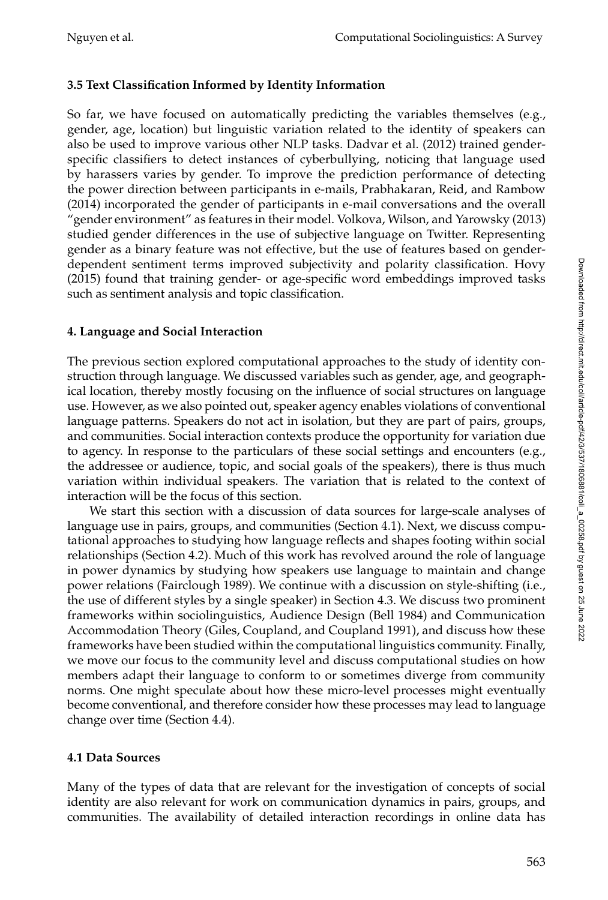# **3.5 Text Classification Informed by Identity Information**

So far, we have focused on automatically predicting the variables themselves (e.g., gender, age, location) but linguistic variation related to the identity of speakers can also be used to improve various other NLP tasks. Dadvar et al. (2012) trained genderspecific classifiers to detect instances of cyberbullying, noticing that language used by harassers varies by gender. To improve the prediction performance of detecting the power direction between participants in e-mails, Prabhakaran, Reid, and Rambow (2014) incorporated the gender of participants in e-mail conversations and the overall "gender environment" as features in their model. Volkova, Wilson, and Yarowsky (2013) studied gender differences in the use of subjective language on Twitter. Representing gender as a binary feature was not effective, but the use of features based on genderdependent sentiment terms improved subjectivity and polarity classification. Hovy (2015) found that training gender- or age-specific word embeddings improved tasks such as sentiment analysis and topic classification.

# **4. Language and Social Interaction**

The previous section explored computational approaches to the study of identity construction through language. We discussed variables such as gender, age, and geographical location, thereby mostly focusing on the influence of social structures on language use. However, as we also pointed out, speaker agency enables violations of conventional language patterns. Speakers do not act in isolation, but they are part of pairs, groups, and communities. Social interaction contexts produce the opportunity for variation due to agency. In response to the particulars of these social settings and encounters (e.g., the addressee or audience, topic, and social goals of the speakers), there is thus much variation within individual speakers. The variation that is related to the context of interaction will be the focus of this section.

We start this section with a discussion of data sources for large-scale analyses of language use in pairs, groups, and communities (Section 4.1). Next, we discuss computational approaches to studying how language reflects and shapes footing within social relationships (Section 4.2). Much of this work has revolved around the role of language in power dynamics by studying how speakers use language to maintain and change power relations (Fairclough 1989). We continue with a discussion on style-shifting (i.e., the use of different styles by a single speaker) in Section 4.3. We discuss two prominent frameworks within sociolinguistics, Audience Design (Bell 1984) and Communication Accommodation Theory (Giles, Coupland, and Coupland 1991), and discuss how these frameworks have been studied within the computational linguistics community. Finally, we move our focus to the community level and discuss computational studies on how members adapt their language to conform to or sometimes diverge from community norms. One might speculate about how these micro-level processes might eventually become conventional, and therefore consider how these processes may lead to language change over time (Section 4.4).

# **4.1 Data Sources**

Many of the types of data that are relevant for the investigation of concepts of social identity are also relevant for work on communication dynamics in pairs, groups, and communities. The availability of detailed interaction recordings in online data has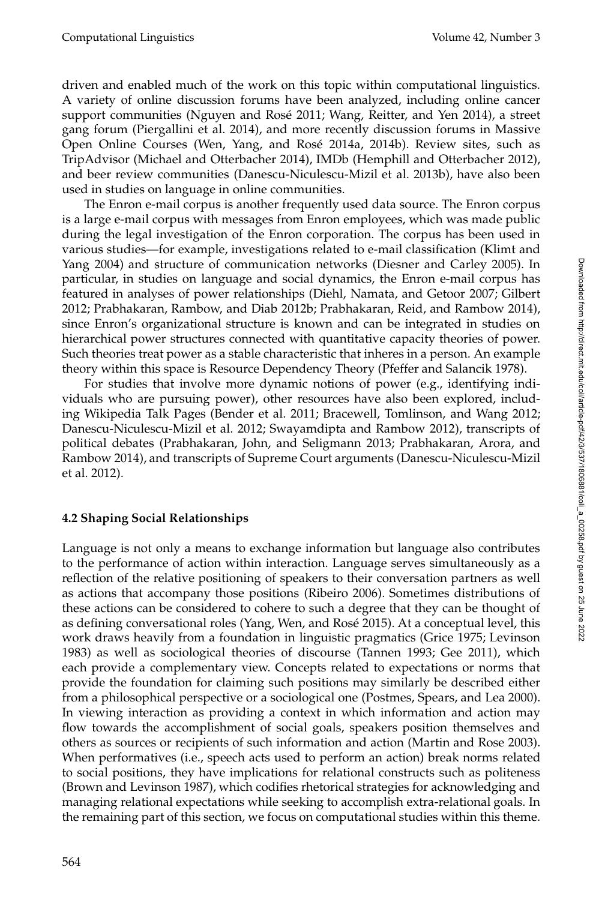driven and enabled much of the work on this topic within computational linguistics. A variety of online discussion forums have been analyzed, including online cancer support communities (Nguyen and Rosé 2011; Wang, Reitter, and Yen 2014), a street gang forum (Piergallini et al. 2014), and more recently discussion forums in Massive Open Online Courses (Wen, Yang, and Rosé 2014a, 2014b). Review sites, such as TripAdvisor (Michael and Otterbacher 2014), IMDb (Hemphill and Otterbacher 2012), and beer review communities (Danescu-Niculescu-Mizil et al. 2013b), have also been used in studies on language in online communities.

The Enron e-mail corpus is another frequently used data source. The Enron corpus is a large e-mail corpus with messages from Enron employees, which was made public during the legal investigation of the Enron corporation. The corpus has been used in various studies—for example, investigations related to e-mail classification (Klimt and Yang 2004) and structure of communication networks (Diesner and Carley 2005). In particular, in studies on language and social dynamics, the Enron e-mail corpus has featured in analyses of power relationships (Diehl, Namata, and Getoor 2007; Gilbert 2012; Prabhakaran, Rambow, and Diab 2012b; Prabhakaran, Reid, and Rambow 2014), since Enron's organizational structure is known and can be integrated in studies on hierarchical power structures connected with quantitative capacity theories of power. Such theories treat power as a stable characteristic that inheres in a person. An example theory within this space is Resource Dependency Theory (Pfeffer and Salancik 1978).

For studies that involve more dynamic notions of power (e.g., identifying individuals who are pursuing power), other resources have also been explored, including Wikipedia Talk Pages (Bender et al. 2011; Bracewell, Tomlinson, and Wang 2012; Danescu-Niculescu-Mizil et al. 2012; Swayamdipta and Rambow 2012), transcripts of political debates (Prabhakaran, John, and Seligmann 2013; Prabhakaran, Arora, and Rambow 2014), and transcripts of Supreme Court arguments (Danescu-Niculescu-Mizil et al. 2012).

# **4.2 Shaping Social Relationships**

Language is not only a means to exchange information but language also contributes to the performance of action within interaction. Language serves simultaneously as a reflection of the relative positioning of speakers to their conversation partners as well as actions that accompany those positions (Ribeiro 2006). Sometimes distributions of these actions can be considered to cohere to such a degree that they can be thought of as defining conversational roles (Yang, Wen, and Rosé 2015). At a conceptual level, this work draws heavily from a foundation in linguistic pragmatics (Grice 1975; Levinson 1983) as well as sociological theories of discourse (Tannen 1993; Gee 2011), which each provide a complementary view. Concepts related to expectations or norms that provide the foundation for claiming such positions may similarly be described either from a philosophical perspective or a sociological one (Postmes, Spears, and Lea 2000). In viewing interaction as providing a context in which information and action may flow towards the accomplishment of social goals, speakers position themselves and others as sources or recipients of such information and action (Martin and Rose 2003). When performatives (i.e., speech acts used to perform an action) break norms related to social positions, they have implications for relational constructs such as politeness (Brown and Levinson 1987), which codifies rhetorical strategies for acknowledging and managing relational expectations while seeking to accomplish extra-relational goals. In the remaining part of this section, we focus on computational studies within this theme.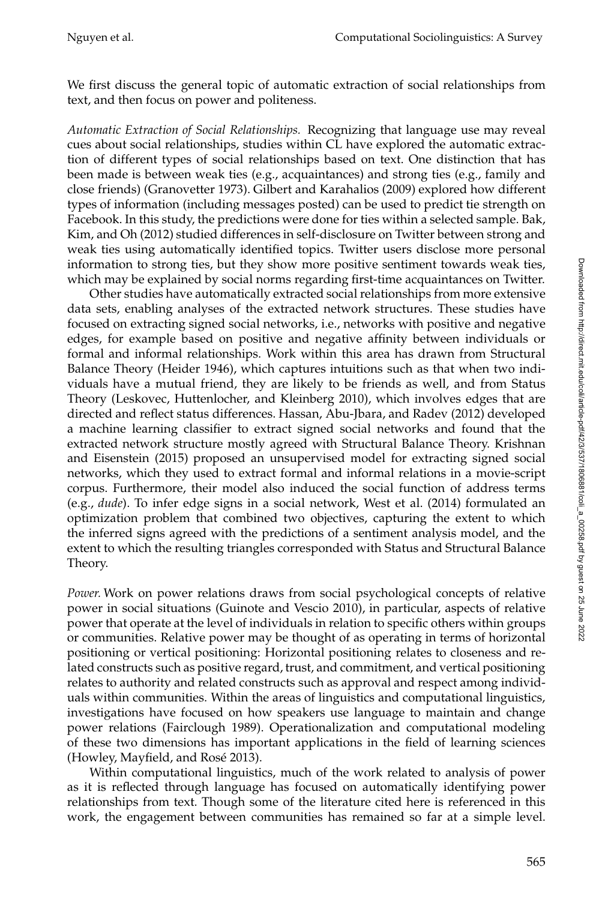We first discuss the general topic of automatic extraction of social relationships from text, and then focus on power and politeness.

*Automatic Extraction of Social Relationships.* Recognizing that language use may reveal cues about social relationships, studies within CL have explored the automatic extraction of different types of social relationships based on text. One distinction that has been made is between weak ties (e.g., acquaintances) and strong ties (e.g., family and close friends) (Granovetter 1973). Gilbert and Karahalios (2009) explored how different types of information (including messages posted) can be used to predict tie strength on Facebook. In this study, the predictions were done for ties within a selected sample. Bak, Kim, and Oh (2012) studied differences in self-disclosure on Twitter between strong and weak ties using automatically identified topics. Twitter users disclose more personal information to strong ties, but they show more positive sentiment towards weak ties, which may be explained by social norms regarding first-time acquaintances on Twitter.

Other studies have automatically extracted social relationships from more extensive data sets, enabling analyses of the extracted network structures. These studies have focused on extracting signed social networks, i.e., networks with positive and negative edges, for example based on positive and negative affinity between individuals or formal and informal relationships. Work within this area has drawn from Structural Balance Theory (Heider 1946), which captures intuitions such as that when two individuals have a mutual friend, they are likely to be friends as well, and from Status Theory (Leskovec, Huttenlocher, and Kleinberg 2010), which involves edges that are directed and reflect status differences. Hassan, Abu-Jbara, and Radev (2012) developed a machine learning classifier to extract signed social networks and found that the extracted network structure mostly agreed with Structural Balance Theory. Krishnan and Eisenstein (2015) proposed an unsupervised model for extracting signed social networks, which they used to extract formal and informal relations in a movie-script corpus. Furthermore, their model also induced the social function of address terms (e.g., *dude*). To infer edge signs in a social network, West et al. (2014) formulated an optimization problem that combined two objectives, capturing the extent to which the inferred signs agreed with the predictions of a sentiment analysis model, and the extent to which the resulting triangles corresponded with Status and Structural Balance Theory.

*Power.* Work on power relations draws from social psychological concepts of relative power in social situations (Guinote and Vescio 2010), in particular, aspects of relative power that operate at the level of individuals in relation to specific others within groups or communities. Relative power may be thought of as operating in terms of horizontal positioning or vertical positioning: Horizontal positioning relates to closeness and related constructs such as positive regard, trust, and commitment, and vertical positioning relates to authority and related constructs such as approval and respect among individuals within communities. Within the areas of linguistics and computational linguistics, investigations have focused on how speakers use language to maintain and change power relations (Fairclough 1989). Operationalization and computational modeling of these two dimensions has important applications in the field of learning sciences (Howley, Mayfield, and Rosé 2013).

Within computational linguistics, much of the work related to analysis of power as it is reflected through language has focused on automatically identifying power relationships from text. Though some of the literature cited here is referenced in this work, the engagement between communities has remained so far at a simple level.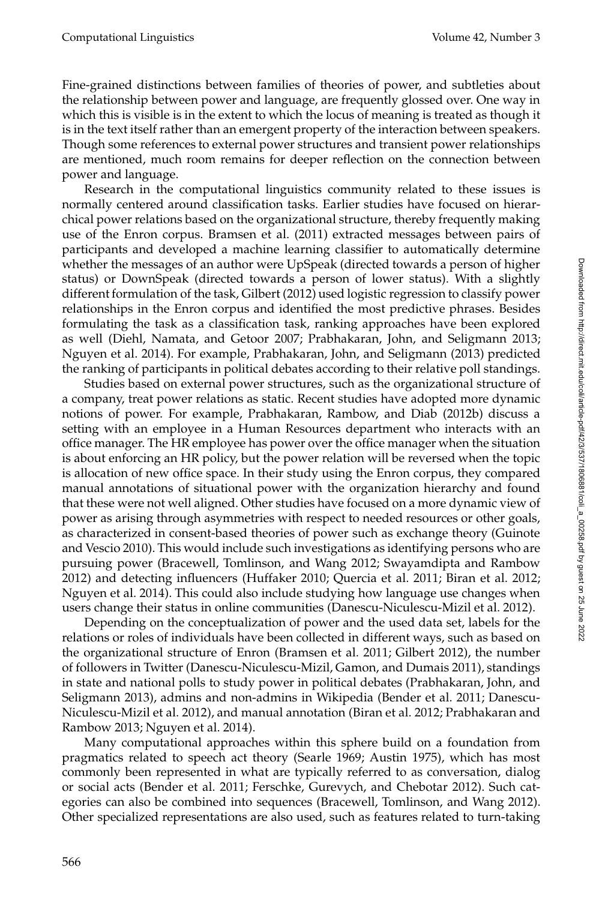Fine-grained distinctions between families of theories of power, and subtleties about the relationship between power and language, are frequently glossed over. One way in which this is visible is in the extent to which the locus of meaning is treated as though it is in the text itself rather than an emergent property of the interaction between speakers. Though some references to external power structures and transient power relationships are mentioned, much room remains for deeper reflection on the connection between power and language.

Research in the computational linguistics community related to these issues is normally centered around classification tasks. Earlier studies have focused on hierarchical power relations based on the organizational structure, thereby frequently making use of the Enron corpus. Bramsen et al. (2011) extracted messages between pairs of participants and developed a machine learning classifier to automatically determine whether the messages of an author were UpSpeak (directed towards a person of higher status) or DownSpeak (directed towards a person of lower status). With a slightly different formulation of the task, Gilbert (2012) used logistic regression to classify power relationships in the Enron corpus and identified the most predictive phrases. Besides formulating the task as a classification task, ranking approaches have been explored as well (Diehl, Namata, and Getoor 2007; Prabhakaran, John, and Seligmann 2013; Nguyen et al. 2014). For example, Prabhakaran, John, and Seligmann (2013) predicted the ranking of participants in political debates according to their relative poll standings.

Studies based on external power structures, such as the organizational structure of a company, treat power relations as static. Recent studies have adopted more dynamic notions of power. For example, Prabhakaran, Rambow, and Diab (2012b) discuss a setting with an employee in a Human Resources department who interacts with an office manager. The HR employee has power over the office manager when the situation is about enforcing an HR policy, but the power relation will be reversed when the topic is allocation of new office space. In their study using the Enron corpus, they compared manual annotations of situational power with the organization hierarchy and found that these were not well aligned. Other studies have focused on a more dynamic view of power as arising through asymmetries with respect to needed resources or other goals, as characterized in consent-based theories of power such as exchange theory (Guinote and Vescio 2010). This would include such investigations as identifying persons who are pursuing power (Bracewell, Tomlinson, and Wang 2012; Swayamdipta and Rambow 2012) and detecting influencers (Huffaker 2010; Quercia et al. 2011; Biran et al. 2012; Nguyen et al. 2014). This could also include studying how language use changes when users change their status in online communities (Danescu-Niculescu-Mizil et al. 2012).

Depending on the conceptualization of power and the used data set, labels for the relations or roles of individuals have been collected in different ways, such as based on the organizational structure of Enron (Bramsen et al. 2011; Gilbert 2012), the number of followers in Twitter (Danescu-Niculescu-Mizil, Gamon, and Dumais 2011), standings in state and national polls to study power in political debates (Prabhakaran, John, and Seligmann 2013), admins and non-admins in Wikipedia (Bender et al. 2011; Danescu-Niculescu-Mizil et al. 2012), and manual annotation (Biran et al. 2012; Prabhakaran and Rambow 2013; Nguyen et al. 2014).

Many computational approaches within this sphere build on a foundation from pragmatics related to speech act theory (Searle 1969; Austin 1975), which has most commonly been represented in what are typically referred to as conversation, dialog or social acts (Bender et al. 2011; Ferschke, Gurevych, and Chebotar 2012). Such categories can also be combined into sequences (Bracewell, Tomlinson, and Wang 2012). Other specialized representations are also used, such as features related to turn-taking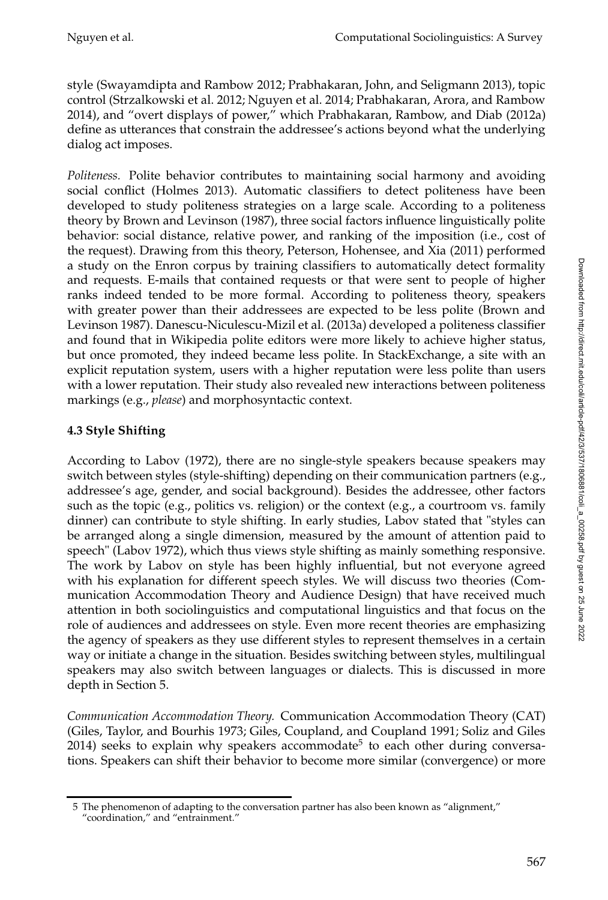style (Swayamdipta and Rambow 2012; Prabhakaran, John, and Seligmann 2013), topic control (Strzalkowski et al. 2012; Nguyen et al. 2014; Prabhakaran, Arora, and Rambow 2014), and "overt displays of power," which Prabhakaran, Rambow, and Diab (2012a) define as utterances that constrain the addressee's actions beyond what the underlying dialog act imposes.

*Politeness.* Polite behavior contributes to maintaining social harmony and avoiding social conflict (Holmes 2013). Automatic classifiers to detect politeness have been developed to study politeness strategies on a large scale. According to a politeness theory by Brown and Levinson (1987), three social factors influence linguistically polite behavior: social distance, relative power, and ranking of the imposition (i.e., cost of the request). Drawing from this theory, Peterson, Hohensee, and Xia (2011) performed a study on the Enron corpus by training classifiers to automatically detect formality and requests. E-mails that contained requests or that were sent to people of higher ranks indeed tended to be more formal. According to politeness theory, speakers with greater power than their addressees are expected to be less polite (Brown and Levinson 1987). Danescu-Niculescu-Mizil et al. (2013a) developed a politeness classifier and found that in Wikipedia polite editors were more likely to achieve higher status, but once promoted, they indeed became less polite. In StackExchange, a site with an explicit reputation system, users with a higher reputation were less polite than users with a lower reputation. Their study also revealed new interactions between politeness markings (e.g., *please*) and morphosyntactic context.

# **4.3 Style Shifting**

According to Labov (1972), there are no single-style speakers because speakers may switch between styles (style-shifting) depending on their communication partners (e.g., addressee's age, gender, and social background). Besides the addressee, other factors such as the topic (e.g., politics vs. religion) or the context (e.g., a courtroom vs. family dinner) can contribute to style shifting. In early studies, Labov stated that "styles can be arranged along a single dimension, measured by the amount of attention paid to speech" (Labov 1972), which thus views style shifting as mainly something responsive. The work by Labov on style has been highly influential, but not everyone agreed with his explanation for different speech styles. We will discuss two theories (Communication Accommodation Theory and Audience Design) that have received much attention in both sociolinguistics and computational linguistics and that focus on the role of audiences and addressees on style. Even more recent theories are emphasizing the agency of speakers as they use different styles to represent themselves in a certain way or initiate a change in the situation. Besides switching between styles, multilingual speakers may also switch between languages or dialects. This is discussed in more depth in Section 5.

*Communication Accommodation Theory.* Communication Accommodation Theory (CAT) (Giles, Taylor, and Bourhis 1973; Giles, Coupland, and Coupland 1991; Soliz and Giles 2014) seeks to explain why speakers accommodate<sup>5</sup> to each other during conversations. Speakers can shift their behavior to become more similar (convergence) or more

<sup>5</sup> The phenomenon of adapting to the conversation partner has also been known as "alignment," "coordination," and "entrainment."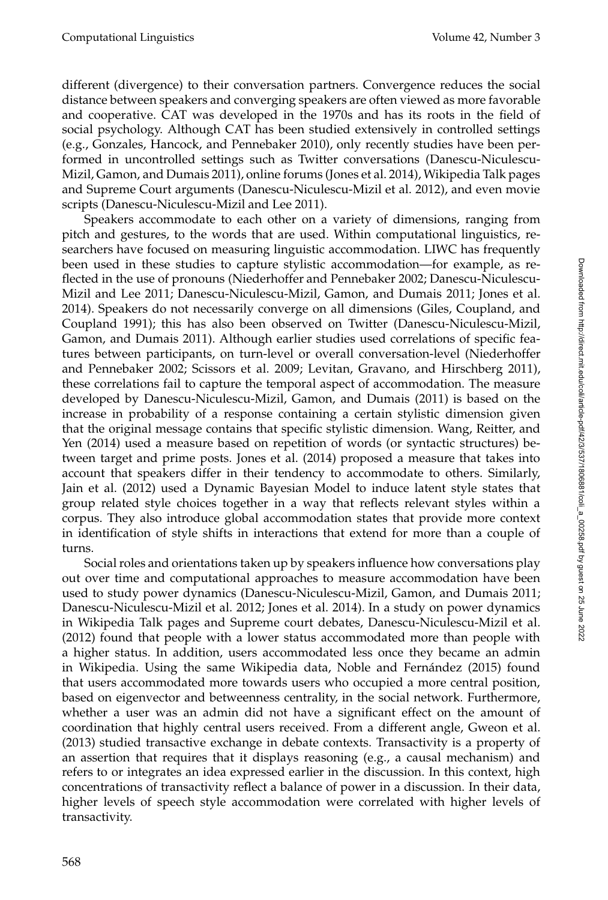different (divergence) to their conversation partners. Convergence reduces the social distance between speakers and converging speakers are often viewed as more favorable and cooperative. CAT was developed in the 1970s and has its roots in the field of social psychology. Although CAT has been studied extensively in controlled settings (e.g., Gonzales, Hancock, and Pennebaker 2010), only recently studies have been performed in uncontrolled settings such as Twitter conversations (Danescu-Niculescu-Mizil, Gamon, and Dumais 2011), online forums (Jones et al. 2014), Wikipedia Talk pages and Supreme Court arguments (Danescu-Niculescu-Mizil et al. 2012), and even movie scripts (Danescu-Niculescu-Mizil and Lee 2011).

Speakers accommodate to each other on a variety of dimensions, ranging from pitch and gestures, to the words that are used. Within computational linguistics, researchers have focused on measuring linguistic accommodation. LIWC has frequently been used in these studies to capture stylistic accommodation—for example, as reflected in the use of pronouns (Niederhoffer and Pennebaker 2002; Danescu-Niculescu-Mizil and Lee 2011; Danescu-Niculescu-Mizil, Gamon, and Dumais 2011; Jones et al. 2014). Speakers do not necessarily converge on all dimensions (Giles, Coupland, and Coupland 1991); this has also been observed on Twitter (Danescu-Niculescu-Mizil, Gamon, and Dumais 2011). Although earlier studies used correlations of specific features between participants, on turn-level or overall conversation-level (Niederhoffer and Pennebaker 2002; Scissors et al. 2009; Levitan, Gravano, and Hirschberg 2011), these correlations fail to capture the temporal aspect of accommodation. The measure developed by Danescu-Niculescu-Mizil, Gamon, and Dumais (2011) is based on the increase in probability of a response containing a certain stylistic dimension given that the original message contains that specific stylistic dimension. Wang, Reitter, and Yen (2014) used a measure based on repetition of words (or syntactic structures) between target and prime posts. Jones et al. (2014) proposed a measure that takes into account that speakers differ in their tendency to accommodate to others. Similarly, Jain et al. (2012) used a Dynamic Bayesian Model to induce latent style states that group related style choices together in a way that reflects relevant styles within a corpus. They also introduce global accommodation states that provide more context in identification of style shifts in interactions that extend for more than a couple of turns.

Social roles and orientations taken up by speakers influence how conversations play out over time and computational approaches to measure accommodation have been used to study power dynamics (Danescu-Niculescu-Mizil, Gamon, and Dumais 2011; Danescu-Niculescu-Mizil et al. 2012; Jones et al. 2014). In a study on power dynamics in Wikipedia Talk pages and Supreme court debates, Danescu-Niculescu-Mizil et al. (2012) found that people with a lower status accommodated more than people with a higher status. In addition, users accommodated less once they became an admin in Wikipedia. Using the same Wikipedia data, Noble and Fernández (2015) found that users accommodated more towards users who occupied a more central position, based on eigenvector and betweenness centrality, in the social network. Furthermore, whether a user was an admin did not have a significant effect on the amount of coordination that highly central users received. From a different angle, Gweon et al. (2013) studied transactive exchange in debate contexts. Transactivity is a property of an assertion that requires that it displays reasoning (e.g., a causal mechanism) and refers to or integrates an idea expressed earlier in the discussion. In this context, high concentrations of transactivity reflect a balance of power in a discussion. In their data, higher levels of speech style accommodation were correlated with higher levels of transactivity.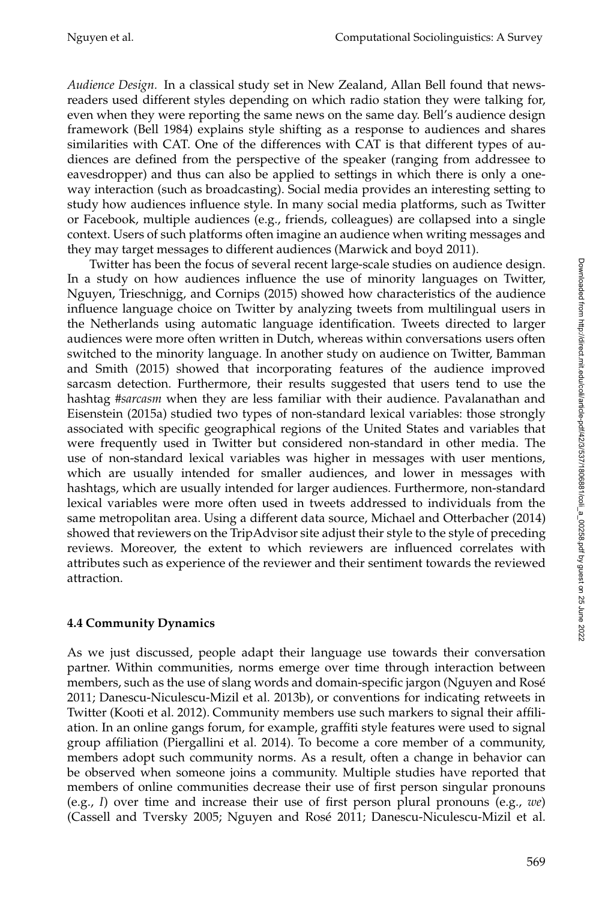*Audience Design.* In a classical study set in New Zealand, Allan Bell found that newsreaders used different styles depending on which radio station they were talking for, even when they were reporting the same news on the same day. Bell's audience design framework (Bell 1984) explains style shifting as a response to audiences and shares similarities with CAT. One of the differences with CAT is that different types of audiences are defined from the perspective of the speaker (ranging from addressee to eavesdropper) and thus can also be applied to settings in which there is only a oneway interaction (such as broadcasting). Social media provides an interesting setting to study how audiences influence style. In many social media platforms, such as Twitter or Facebook, multiple audiences (e.g., friends, colleagues) are collapsed into a single context. Users of such platforms often imagine an audience when writing messages and they may target messages to different audiences (Marwick and boyd 2011).

Twitter has been the focus of several recent large-scale studies on audience design. In a study on how audiences influence the use of minority languages on Twitter, Nguyen, Trieschnigg, and Cornips (2015) showed how characteristics of the audience influence language choice on Twitter by analyzing tweets from multilingual users in the Netherlands using automatic language identification. Tweets directed to larger audiences were more often written in Dutch, whereas within conversations users often switched to the minority language. In another study on audience on Twitter, Bamman and Smith (2015) showed that incorporating features of the audience improved sarcasm detection. Furthermore, their results suggested that users tend to use the hashtag *#sarcasm* when they are less familiar with their audience. Pavalanathan and Eisenstein (2015a) studied two types of non-standard lexical variables: those strongly associated with specific geographical regions of the United States and variables that were frequently used in Twitter but considered non-standard in other media. The use of non-standard lexical variables was higher in messages with user mentions, which are usually intended for smaller audiences, and lower in messages with hashtags, which are usually intended for larger audiences. Furthermore, non-standard lexical variables were more often used in tweets addressed to individuals from the same metropolitan area. Using a different data source, Michael and Otterbacher (2014) showed that reviewers on the TripAdvisor site adjust their style to the style of preceding reviews. Moreover, the extent to which reviewers are influenced correlates with attributes such as experience of the reviewer and their sentiment towards the reviewed attraction.

# **4.4 Community Dynamics**

As we just discussed, people adapt their language use towards their conversation partner. Within communities, norms emerge over time through interaction between members, such as the use of slang words and domain-specific jargon (Nguyen and Rosé 2011; Danescu-Niculescu-Mizil et al. 2013b), or conventions for indicating retweets in Twitter (Kooti et al. 2012). Community members use such markers to signal their affiliation. In an online gangs forum, for example, graffiti style features were used to signal group affiliation (Piergallini et al. 2014). To become a core member of a community, members adopt such community norms. As a result, often a change in behavior can be observed when someone joins a community. Multiple studies have reported that members of online communities decrease their use of first person singular pronouns (e.g., *I*) over time and increase their use of first person plural pronouns (e.g., *we*) (Cassell and Tversky 2005; Nguyen and Rosé 2011; Danescu-Niculescu-Mizil et al.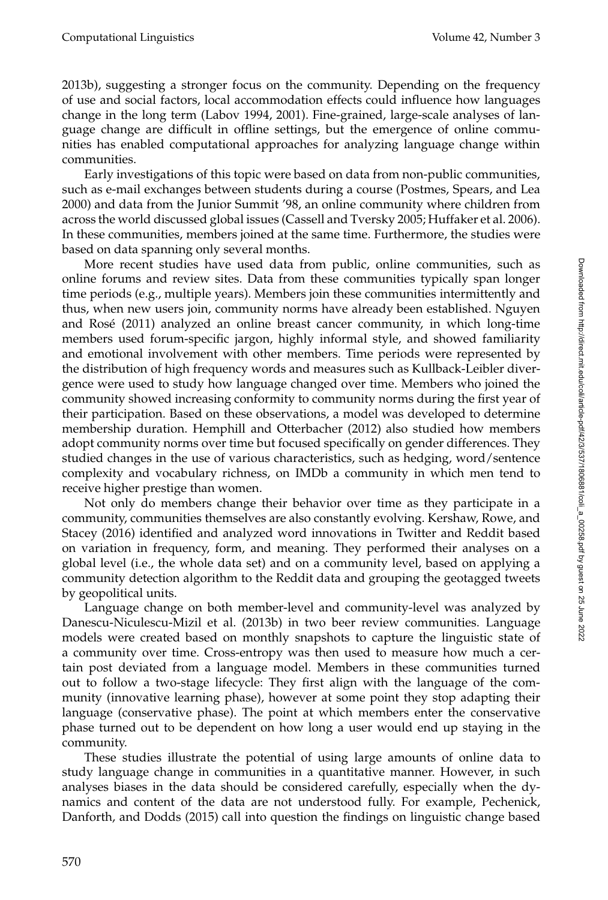2013b), suggesting a stronger focus on the community. Depending on the frequency of use and social factors, local accommodation effects could influence how languages change in the long term (Labov 1994, 2001). Fine-grained, large-scale analyses of language change are difficult in offline settings, but the emergence of online communities has enabled computational approaches for analyzing language change within communities.

Early investigations of this topic were based on data from non-public communities, such as e-mail exchanges between students during a course (Postmes, Spears, and Lea 2000) and data from the Junior Summit '98, an online community where children from across the world discussed global issues (Cassell and Tversky 2005; Huffaker et al. 2006). In these communities, members joined at the same time. Furthermore, the studies were based on data spanning only several months.

More recent studies have used data from public, online communities, such as online forums and review sites. Data from these communities typically span longer time periods (e.g., multiple years). Members join these communities intermittently and thus, when new users join, community norms have already been established. Nguyen and Rosé (2011) analyzed an online breast cancer community, in which long-time members used forum-specific jargon, highly informal style, and showed familiarity and emotional involvement with other members. Time periods were represented by the distribution of high frequency words and measures such as Kullback-Leibler divergence were used to study how language changed over time. Members who joined the community showed increasing conformity to community norms during the first year of their participation. Based on these observations, a model was developed to determine membership duration. Hemphill and Otterbacher (2012) also studied how members adopt community norms over time but focused specifically on gender differences. They studied changes in the use of various characteristics, such as hedging, word/sentence complexity and vocabulary richness, on IMDb a community in which men tend to receive higher prestige than women.

Not only do members change their behavior over time as they participate in a community, communities themselves are also constantly evolving. Kershaw, Rowe, and Stacey (2016) identified and analyzed word innovations in Twitter and Reddit based on variation in frequency, form, and meaning. They performed their analyses on a global level (i.e., the whole data set) and on a community level, based on applying a community detection algorithm to the Reddit data and grouping the geotagged tweets by geopolitical units.

Language change on both member-level and community-level was analyzed by Danescu-Niculescu-Mizil et al. (2013b) in two beer review communities. Language models were created based on monthly snapshots to capture the linguistic state of a community over time. Cross-entropy was then used to measure how much a certain post deviated from a language model. Members in these communities turned out to follow a two-stage lifecycle: They first align with the language of the community (innovative learning phase), however at some point they stop adapting their language (conservative phase). The point at which members enter the conservative phase turned out to be dependent on how long a user would end up staying in the community.

These studies illustrate the potential of using large amounts of online data to study language change in communities in a quantitative manner. However, in such analyses biases in the data should be considered carefully, especially when the dynamics and content of the data are not understood fully. For example, Pechenick, Danforth, and Dodds (2015) call into question the findings on linguistic change based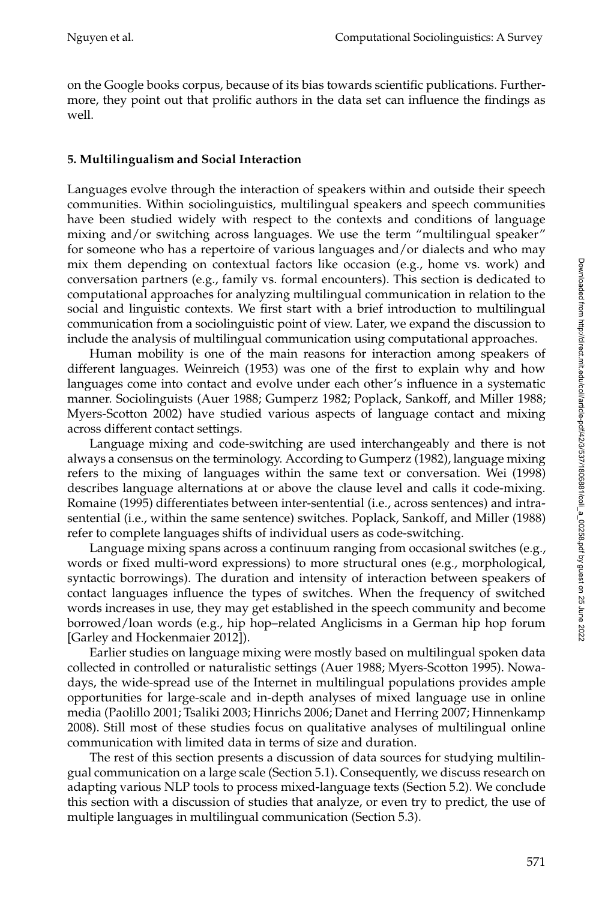on the Google books corpus, because of its bias towards scientific publications. Furthermore, they point out that prolific authors in the data set can influence the findings as well.

### **5. Multilingualism and Social Interaction**

Languages evolve through the interaction of speakers within and outside their speech communities. Within sociolinguistics, multilingual speakers and speech communities have been studied widely with respect to the contexts and conditions of language mixing and/or switching across languages. We use the term "multilingual speaker" for someone who has a repertoire of various languages and/or dialects and who may mix them depending on contextual factors like occasion (e.g., home vs. work) and conversation partners (e.g., family vs. formal encounters). This section is dedicated to computational approaches for analyzing multilingual communication in relation to the social and linguistic contexts. We first start with a brief introduction to multilingual communication from a sociolinguistic point of view. Later, we expand the discussion to include the analysis of multilingual communication using computational approaches.

Human mobility is one of the main reasons for interaction among speakers of different languages. Weinreich (1953) was one of the first to explain why and how languages come into contact and evolve under each other's influence in a systematic manner. Sociolinguists (Auer 1988; Gumperz 1982; Poplack, Sankoff, and Miller 1988; Myers-Scotton 2002) have studied various aspects of language contact and mixing across different contact settings.

Language mixing and code-switching are used interchangeably and there is not always a consensus on the terminology. According to Gumperz (1982), language mixing refers to the mixing of languages within the same text or conversation. Wei (1998) describes language alternations at or above the clause level and calls it code-mixing. Romaine (1995) differentiates between inter-sentential (i.e., across sentences) and intrasentential (i.e., within the same sentence) switches. Poplack, Sankoff, and Miller (1988) refer to complete languages shifts of individual users as code-switching.

Language mixing spans across a continuum ranging from occasional switches (e.g., words or fixed multi-word expressions) to more structural ones (e.g., morphological, syntactic borrowings). The duration and intensity of interaction between speakers of contact languages influence the types of switches. When the frequency of switched words increases in use, they may get established in the speech community and become borrowed/loan words (e.g., hip hop–related Anglicisms in a German hip hop forum [Garley and Hockenmaier 2012]).

Earlier studies on language mixing were mostly based on multilingual spoken data collected in controlled or naturalistic settings (Auer 1988; Myers-Scotton 1995). Nowadays, the wide-spread use of the Internet in multilingual populations provides ample opportunities for large-scale and in-depth analyses of mixed language use in online media (Paolillo 2001; Tsaliki 2003; Hinrichs 2006; Danet and Herring 2007; Hinnenkamp 2008). Still most of these studies focus on qualitative analyses of multilingual online communication with limited data in terms of size and duration.

The rest of this section presents a discussion of data sources for studying multilingual communication on a large scale (Section 5.1). Consequently, we discuss research on adapting various NLP tools to process mixed-language texts (Section 5.2). We conclude this section with a discussion of studies that analyze, or even try to predict, the use of multiple languages in multilingual communication (Section 5.3).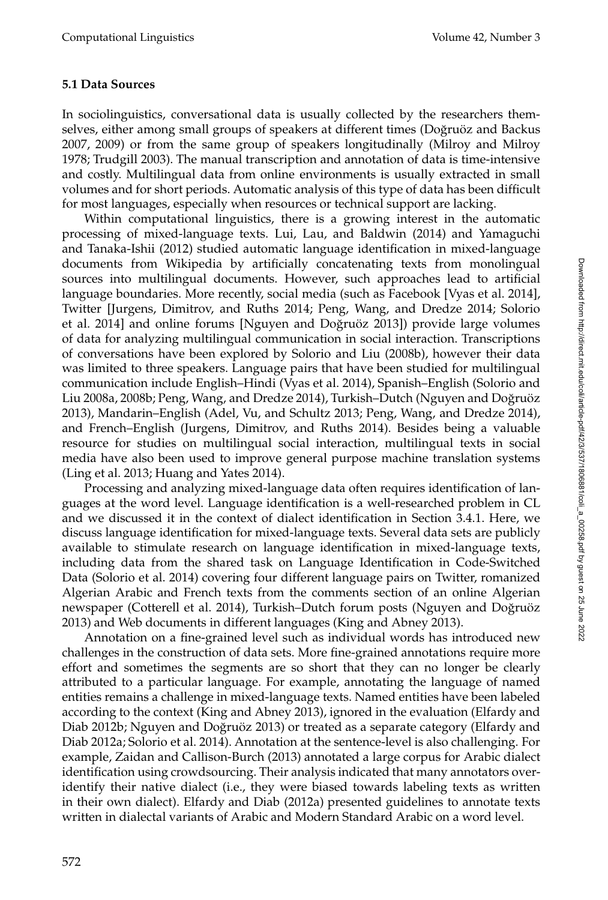#### **5.1 Data Sources**

In sociolinguistics, conversational data is usually collected by the researchers themselves, either among small groups of speakers at different times (Doğruöz and Backus 2007, 2009) or from the same group of speakers longitudinally (Milroy and Milroy 1978; Trudgill 2003). The manual transcription and annotation of data is time-intensive and costly. Multilingual data from online environments is usually extracted in small volumes and for short periods. Automatic analysis of this type of data has been difficult for most languages, especially when resources or technical support are lacking.

Within computational linguistics, there is a growing interest in the automatic processing of mixed-language texts. Lui, Lau, and Baldwin (2014) and Yamaguchi and Tanaka-Ishii (2012) studied automatic language identification in mixed-language documents from Wikipedia by artificially concatenating texts from monolingual sources into multilingual documents. However, such approaches lead to artificial language boundaries. More recently, social media (such as Facebook [Vyas et al. 2014], Twitter [Jurgens, Dimitrov, and Ruths 2014; Peng, Wang, and Dredze 2014; Solorio et al. 2014] and online forums [Nguyen and Doğruöz 2013]) provide large volumes of data for analyzing multilingual communication in social interaction. Transcriptions of conversations have been explored by Solorio and Liu (2008b), however their data was limited to three speakers. Language pairs that have been studied for multilingual communication include English–Hindi (Vyas et al. 2014), Spanish–English (Solorio and Liu 2008a, 2008b; Peng, Wang, and Dredze 2014), Turkish–Dutch (Nguyen and Doğruöz 2013), Mandarin–English (Adel, Vu, and Schultz 2013; Peng, Wang, and Dredze 2014), and French–English (Jurgens, Dimitrov, and Ruths 2014). Besides being a valuable resource for studies on multilingual social interaction, multilingual texts in social media have also been used to improve general purpose machine translation systems (Ling et al. 2013; Huang and Yates 2014).

Processing and analyzing mixed-language data often requires identification of languages at the word level. Language identification is a well-researched problem in CL and we discussed it in the context of dialect identification in Section 3.4.1. Here, we discuss language identification for mixed-language texts. Several data sets are publicly available to stimulate research on language identification in mixed-language texts, including data from the shared task on Language Identification in Code-Switched Data (Solorio et al. 2014) covering four different language pairs on Twitter, romanized Algerian Arabic and French texts from the comments section of an online Algerian newspaper (Cotterell et al. 2014), Turkish–Dutch forum posts (Nguyen and Doğruöz 2013) and Web documents in different languages (King and Abney 2013).

Annotation on a fine-grained level such as individual words has introduced new challenges in the construction of data sets. More fine-grained annotations require more effort and sometimes the segments are so short that they can no longer be clearly attributed to a particular language. For example, annotating the language of named entities remains a challenge in mixed-language texts. Named entities have been labeled according to the context (King and Abney 2013), ignored in the evaluation (Elfardy and Diab 2012b; Nguyen and Doğruöz 2013) or treated as a separate category (Elfardy and Diab 2012a; Solorio et al. 2014). Annotation at the sentence-level is also challenging. For example, Zaidan and Callison-Burch (2013) annotated a large corpus for Arabic dialect identification using crowdsourcing. Their analysis indicated that many annotators overidentify their native dialect (i.e., they were biased towards labeling texts as written in their own dialect). Elfardy and Diab (2012a) presented guidelines to annotate texts written in dialectal variants of Arabic and Modern Standard Arabic on a word level.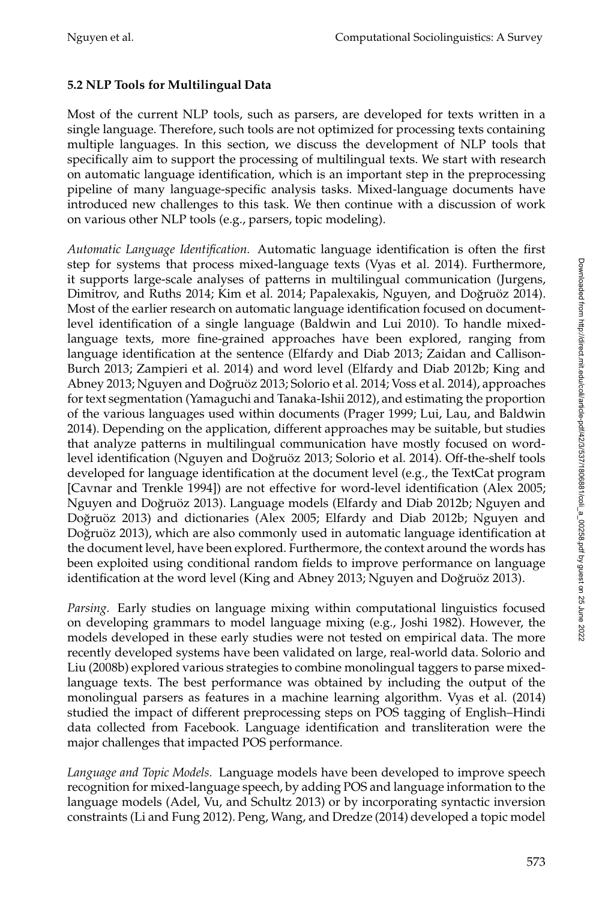# **5.2 NLP Tools for Multilingual Data**

Most of the current NLP tools, such as parsers, are developed for texts written in a single language. Therefore, such tools are not optimized for processing texts containing multiple languages. In this section, we discuss the development of NLP tools that specifically aim to support the processing of multilingual texts. We start with research on automatic language identification, which is an important step in the preprocessing pipeline of many language-specific analysis tasks. Mixed-language documents have introduced new challenges to this task. We then continue with a discussion of work on various other NLP tools (e.g., parsers, topic modeling).

*Automatic Language Identification.* Automatic language identification is often the first step for systems that process mixed-language texts (Vyas et al. 2014). Furthermore, it supports large-scale analyses of patterns in multilingual communication (Jurgens, Dimitrov, and Ruths 2014; Kim et al. 2014; Papalexakis, Nguyen, and Doğruöz 2014). Most of the earlier research on automatic language identification focused on documentlevel identification of a single language (Baldwin and Lui 2010). To handle mixedlanguage texts, more fine-grained approaches have been explored, ranging from language identification at the sentence (Elfardy and Diab 2013; Zaidan and Callison-Burch 2013; Zampieri et al. 2014) and word level (Elfardy and Diab 2012b; King and Abney 2013; Nguyen and Doğruöz 2013; Solorio et al. 2014; Voss et al. 2014), approaches for text segmentation (Yamaguchi and Tanaka-Ishii 2012), and estimating the proportion of the various languages used within documents (Prager 1999; Lui, Lau, and Baldwin 2014). Depending on the application, different approaches may be suitable, but studies that analyze patterns in multilingual communication have mostly focused on wordlevel identification (Nguyen and Doğruöz 2013; Solorio et al. 2014). Off-the-shelf tools developed for language identification at the document level (e.g., the TextCat program [Cavnar and Trenkle 1994]) are not effective for word-level identification (Alex 2005; Nguyen and Doğruöz 2013). Language models (Elfardy and Diab 2012b; Nguyen and Doğruöz 2013) and dictionaries (Alex 2005; Elfardy and Diab 2012b; Nguyen and Doğruöz 2013), which are also commonly used in automatic language identification at the document level, have been explored. Furthermore, the context around the words has been exploited using conditional random fields to improve performance on language identification at the word level (King and Abney 2013; Nguyen and Doğruöz 2013).

*Parsing.* Early studies on language mixing within computational linguistics focused on developing grammars to model language mixing (e.g., Joshi 1982). However, the models developed in these early studies were not tested on empirical data. The more recently developed systems have been validated on large, real-world data. Solorio and Liu (2008b) explored various strategies to combine monolingual taggers to parse mixedlanguage texts. The best performance was obtained by including the output of the monolingual parsers as features in a machine learning algorithm. Vyas et al. (2014) studied the impact of different preprocessing steps on POS tagging of English–Hindi data collected from Facebook. Language identification and transliteration were the major challenges that impacted POS performance.

*Language and Topic Models.* Language models have been developed to improve speech recognition for mixed-language speech, by adding POS and language information to the language models (Adel, Vu, and Schultz 2013) or by incorporating syntactic inversion constraints (Li and Fung 2012). Peng, Wang, and Dredze (2014) developed a topic model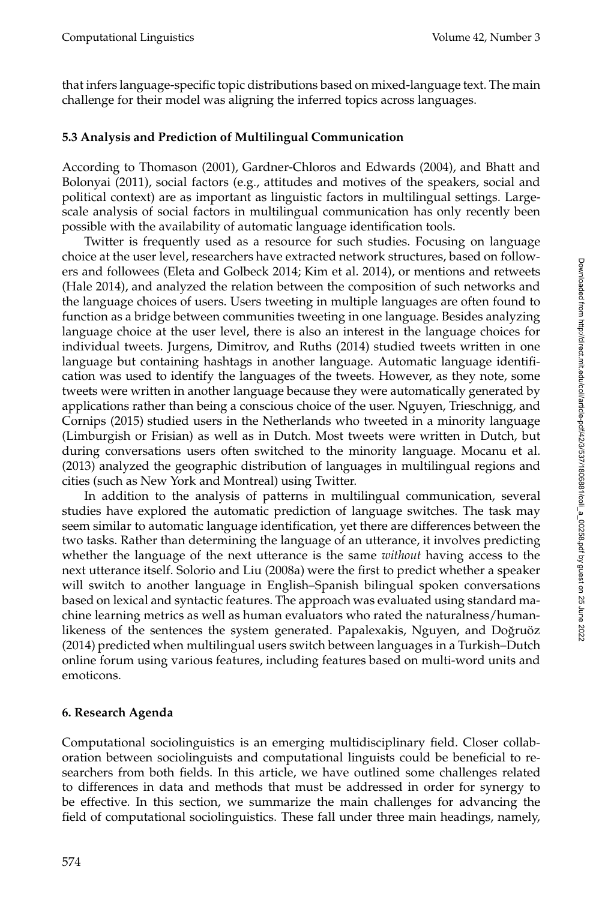that infers language-specific topic distributions based on mixed-language text. The main challenge for their model was aligning the inferred topics across languages.

### **5.3 Analysis and Prediction of Multilingual Communication**

According to Thomason (2001), Gardner-Chloros and Edwards (2004), and Bhatt and Bolonyai (2011), social factors (e.g., attitudes and motives of the speakers, social and political context) are as important as linguistic factors in multilingual settings. Largescale analysis of social factors in multilingual communication has only recently been possible with the availability of automatic language identification tools.

Twitter is frequently used as a resource for such studies. Focusing on language choice at the user level, researchers have extracted network structures, based on followers and followees (Eleta and Golbeck 2014; Kim et al. 2014), or mentions and retweets (Hale 2014), and analyzed the relation between the composition of such networks and the language choices of users. Users tweeting in multiple languages are often found to function as a bridge between communities tweeting in one language. Besides analyzing language choice at the user level, there is also an interest in the language choices for individual tweets. Jurgens, Dimitrov, and Ruths (2014) studied tweets written in one language but containing hashtags in another language. Automatic language identification was used to identify the languages of the tweets. However, as they note, some tweets were written in another language because they were automatically generated by applications rather than being a conscious choice of the user. Nguyen, Trieschnigg, and Cornips (2015) studied users in the Netherlands who tweeted in a minority language (Limburgish or Frisian) as well as in Dutch. Most tweets were written in Dutch, but during conversations users often switched to the minority language. Mocanu et al. (2013) analyzed the geographic distribution of languages in multilingual regions and cities (such as New York and Montreal) using Twitter.

In addition to the analysis of patterns in multilingual communication, several studies have explored the automatic prediction of language switches. The task may seem similar to automatic language identification, yet there are differences between the two tasks. Rather than determining the language of an utterance, it involves predicting whether the language of the next utterance is the same *without* having access to the next utterance itself. Solorio and Liu (2008a) were the first to predict whether a speaker will switch to another language in English–Spanish bilingual spoken conversations based on lexical and syntactic features. The approach was evaluated using standard machine learning metrics as well as human evaluators who rated the naturalness/humanlikeness of the sentences the system generated. Papalexakis, Nguyen, and Doğruöz (2014) predicted when multilingual users switch between languages in a Turkish–Dutch online forum using various features, including features based on multi-word units and emoticons.

# **6. Research Agenda**

Computational sociolinguistics is an emerging multidisciplinary field. Closer collaboration between sociolinguists and computational linguists could be beneficial to researchers from both fields. In this article, we have outlined some challenges related to differences in data and methods that must be addressed in order for synergy to be effective. In this section, we summarize the main challenges for advancing the field of computational sociolinguistics. These fall under three main headings, namely,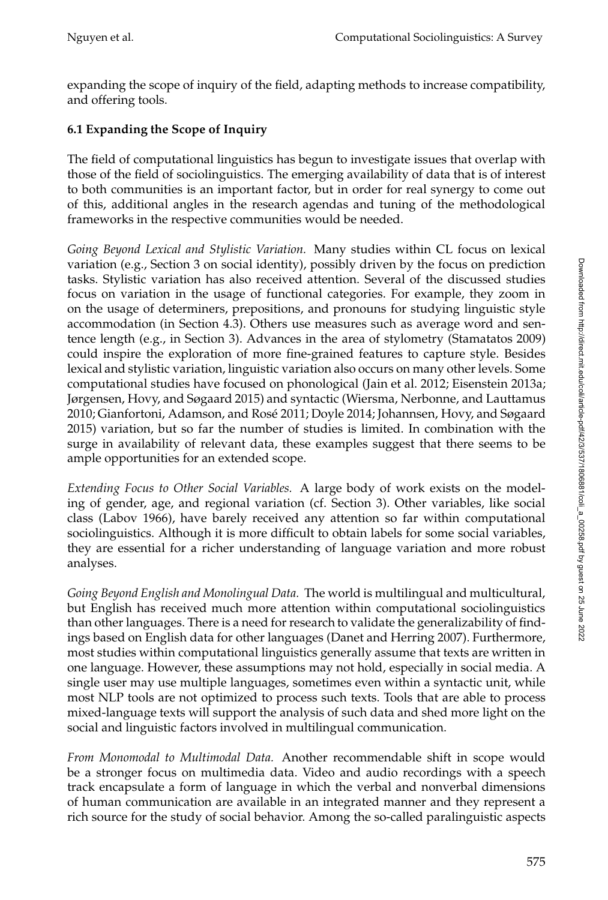expanding the scope of inquiry of the field, adapting methods to increase compatibility, and offering tools.

# **6.1 Expanding the Scope of Inquiry**

The field of computational linguistics has begun to investigate issues that overlap with those of the field of sociolinguistics. The emerging availability of data that is of interest to both communities is an important factor, but in order for real synergy to come out of this, additional angles in the research agendas and tuning of the methodological frameworks in the respective communities would be needed.

*Going Beyond Lexical and Stylistic Variation.* Many studies within CL focus on lexical variation (e.g., Section 3 on social identity), possibly driven by the focus on prediction tasks. Stylistic variation has also received attention. Several of the discussed studies focus on variation in the usage of functional categories. For example, they zoom in on the usage of determiners, prepositions, and pronouns for studying linguistic style accommodation (in Section 4.3). Others use measures such as average word and sentence length (e.g., in Section 3). Advances in the area of stylometry (Stamatatos 2009) could inspire the exploration of more fine-grained features to capture style. Besides lexical and stylistic variation, linguistic variation also occurs on many other levels. Some computational studies have focused on phonological (Jain et al. 2012; Eisenstein 2013a; Jørgensen, Hovy, and Søgaard 2015) and syntactic (Wiersma, Nerbonne, and Lauttamus 2010; Gianfortoni, Adamson, and Rosé 2011; Doyle 2014; Johannsen, Hovy, and Søgaard 2015) variation, but so far the number of studies is limited. In combination with the surge in availability of relevant data, these examples suggest that there seems to be ample opportunities for an extended scope.

*Extending Focus to Other Social Variables.* A large body of work exists on the modeling of gender, age, and regional variation (cf. Section 3). Other variables, like social class (Labov 1966), have barely received any attention so far within computational sociolinguistics. Although it is more difficult to obtain labels for some social variables, they are essential for a richer understanding of language variation and more robust analyses.

*Going Beyond English and Monolingual Data.* The world is multilingual and multicultural, but English has received much more attention within computational sociolinguistics than other languages. There is a need for research to validate the generalizability of findings based on English data for other languages (Danet and Herring 2007). Furthermore, most studies within computational linguistics generally assume that texts are written in one language. However, these assumptions may not hold, especially in social media. A single user may use multiple languages, sometimes even within a syntactic unit, while most NLP tools are not optimized to process such texts. Tools that are able to process mixed-language texts will support the analysis of such data and shed more light on the social and linguistic factors involved in multilingual communication.

*From Monomodal to Multimodal Data.* Another recommendable shift in scope would be a stronger focus on multimedia data. Video and audio recordings with a speech track encapsulate a form of language in which the verbal and nonverbal dimensions of human communication are available in an integrated manner and they represent a rich source for the study of social behavior. Among the so-called paralinguistic aspects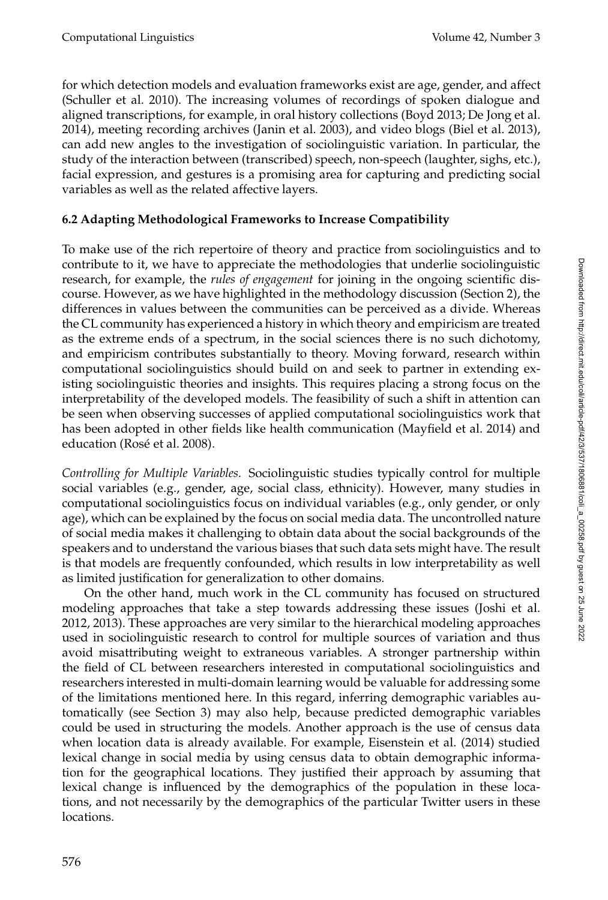for which detection models and evaluation frameworks exist are age, gender, and affect (Schuller et al. 2010). The increasing volumes of recordings of spoken dialogue and aligned transcriptions, for example, in oral history collections (Boyd 2013; De Jong et al. 2014), meeting recording archives (Janin et al. 2003), and video blogs (Biel et al. 2013), can add new angles to the investigation of sociolinguistic variation. In particular, the study of the interaction between (transcribed) speech, non-speech (laughter, sighs, etc.), facial expression, and gestures is a promising area for capturing and predicting social variables as well as the related affective layers.

### **6.2 Adapting Methodological Frameworks to Increase Compatibility**

To make use of the rich repertoire of theory and practice from sociolinguistics and to contribute to it, we have to appreciate the methodologies that underlie sociolinguistic research, for example, the *rules of engagement* for joining in the ongoing scientific discourse. However, as we have highlighted in the methodology discussion (Section 2), the differences in values between the communities can be perceived as a divide. Whereas the CL community has experienced a history in which theory and empiricism are treated as the extreme ends of a spectrum, in the social sciences there is no such dichotomy, and empiricism contributes substantially to theory. Moving forward, research within computational sociolinguistics should build on and seek to partner in extending existing sociolinguistic theories and insights. This requires placing a strong focus on the interpretability of the developed models. The feasibility of such a shift in attention can be seen when observing successes of applied computational sociolinguistics work that has been adopted in other fields like health communication (Mayfield et al. 2014) and education (Rosé et al. 2008).

*Controlling for Multiple Variables.* Sociolinguistic studies typically control for multiple social variables (e.g., gender, age, social class, ethnicity). However, many studies in computational sociolinguistics focus on individual variables (e.g., only gender, or only age), which can be explained by the focus on social media data. The uncontrolled nature of social media makes it challenging to obtain data about the social backgrounds of the speakers and to understand the various biases that such data sets might have. The result is that models are frequently confounded, which results in low interpretability as well as limited justification for generalization to other domains.

On the other hand, much work in the CL community has focused on structured modeling approaches that take a step towards addressing these issues (Joshi et al. 2012, 2013). These approaches are very similar to the hierarchical modeling approaches used in sociolinguistic research to control for multiple sources of variation and thus avoid misattributing weight to extraneous variables. A stronger partnership within the field of CL between researchers interested in computational sociolinguistics and researchers interested in multi-domain learning would be valuable for addressing some of the limitations mentioned here. In this regard, inferring demographic variables automatically (see Section 3) may also help, because predicted demographic variables could be used in structuring the models. Another approach is the use of census data when location data is already available. For example, Eisenstein et al. (2014) studied lexical change in social media by using census data to obtain demographic information for the geographical locations. They justified their approach by assuming that lexical change is influenced by the demographics of the population in these locations, and not necessarily by the demographics of the particular Twitter users in these locations.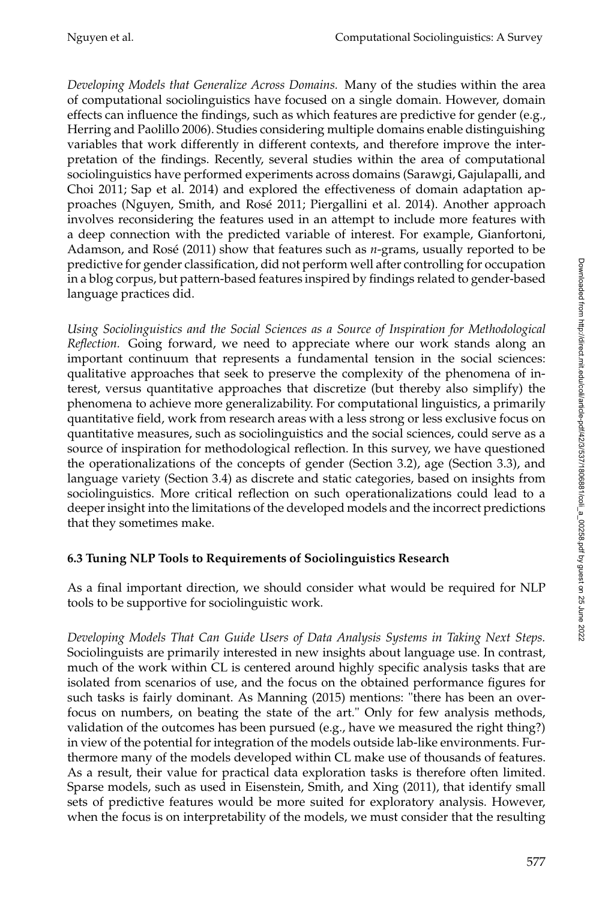*Developing Models that Generalize Across Domains.* Many of the studies within the area of computational sociolinguistics have focused on a single domain. However, domain effects can influence the findings, such as which features are predictive for gender (e.g., Herring and Paolillo 2006). Studies considering multiple domains enable distinguishing variables that work differently in different contexts, and therefore improve the interpretation of the findings. Recently, several studies within the area of computational sociolinguistics have performed experiments across domains (Sarawgi, Gajulapalli, and Choi 2011; Sap et al. 2014) and explored the effectiveness of domain adaptation approaches (Nguyen, Smith, and Rosé 2011; Piergallini et al. 2014). Another approach involves reconsidering the features used in an attempt to include more features with a deep connection with the predicted variable of interest. For example, Gianfortoni, Adamson, and Rosé (2011) show that features such as *n*-grams, usually reported to be predictive for gender classification, did not perform well after controlling for occupation in a blog corpus, but pattern-based features inspired by findings related to gender-based language practices did.

*Using Sociolinguistics and the Social Sciences as a Source of Inspiration for Methodological Reflection.* Going forward, we need to appreciate where our work stands along an important continuum that represents a fundamental tension in the social sciences: qualitative approaches that seek to preserve the complexity of the phenomena of interest, versus quantitative approaches that discretize (but thereby also simplify) the phenomena to achieve more generalizability. For computational linguistics, a primarily quantitative field, work from research areas with a less strong or less exclusive focus on quantitative measures, such as sociolinguistics and the social sciences, could serve as a source of inspiration for methodological reflection. In this survey, we have questioned the operationalizations of the concepts of gender (Section 3.2), age (Section 3.3), and language variety (Section 3.4) as discrete and static categories, based on insights from sociolinguistics. More critical reflection on such operationalizations could lead to a deeper insight into the limitations of the developed models and the incorrect predictions that they sometimes make.

# **6.3 Tuning NLP Tools to Requirements of Sociolinguistics Research**

As a final important direction, we should consider what would be required for NLP tools to be supportive for sociolinguistic work.

*Developing Models That Can Guide Users of Data Analysis Systems in Taking Next Steps.* Sociolinguists are primarily interested in new insights about language use. In contrast, much of the work within CL is centered around highly specific analysis tasks that are isolated from scenarios of use, and the focus on the obtained performance figures for such tasks is fairly dominant. As Manning (2015) mentions: "there has been an overfocus on numbers, on beating the state of the art." Only for few analysis methods, validation of the outcomes has been pursued (e.g., have we measured the right thing?) in view of the potential for integration of the models outside lab-like environments. Furthermore many of the models developed within CL make use of thousands of features. As a result, their value for practical data exploration tasks is therefore often limited. Sparse models, such as used in Eisenstein, Smith, and Xing (2011), that identify small sets of predictive features would be more suited for exploratory analysis. However, when the focus is on interpretability of the models, we must consider that the resulting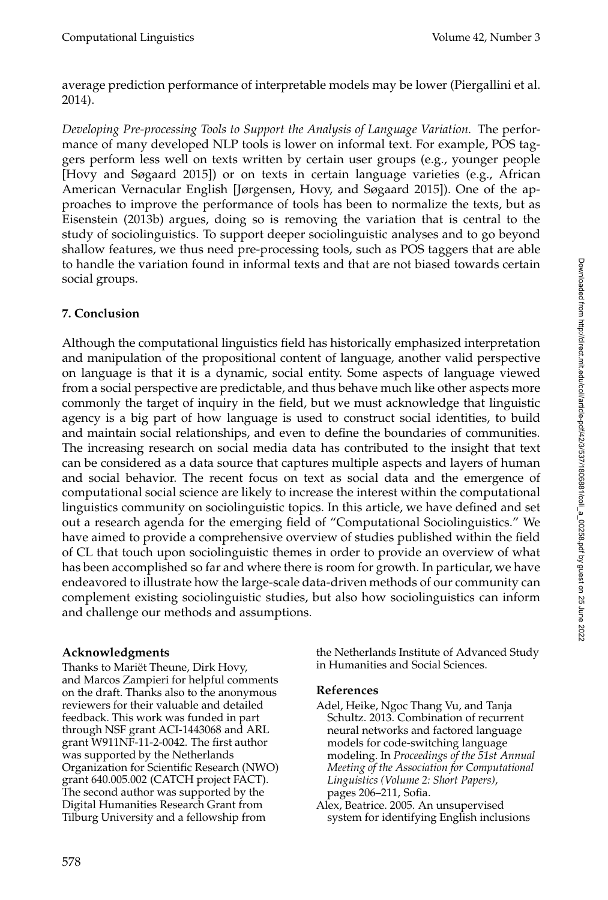average prediction performance of interpretable models may be lower (Piergallini et al. 2014).

*Developing Pre-processing Tools to Support the Analysis of Language Variation.* The performance of many developed NLP tools is lower on informal text. For example, POS taggers perform less well on texts written by certain user groups (e.g., younger people [Hovy and Søgaard 2015]) or on texts in certain language varieties (e.g., African American Vernacular English [Jørgensen, Hovy, and Søgaard 2015]). One of the approaches to improve the performance of tools has been to normalize the texts, but as Eisenstein (2013b) argues, doing so is removing the variation that is central to the study of sociolinguistics. To support deeper sociolinguistic analyses and to go beyond shallow features, we thus need pre-processing tools, such as POS taggers that are able to handle the variation found in informal texts and that are not biased towards certain social groups.

# **7. Conclusion**

Although the computational linguistics field has historically emphasized interpretation and manipulation of the propositional content of language, another valid perspective on language is that it is a dynamic, social entity. Some aspects of language viewed from a social perspective are predictable, and thus behave much like other aspects more commonly the target of inquiry in the field, but we must acknowledge that linguistic agency is a big part of how language is used to construct social identities, to build and maintain social relationships, and even to define the boundaries of communities. The increasing research on social media data has contributed to the insight that text can be considered as a data source that captures multiple aspects and layers of human and social behavior. The recent focus on text as social data and the emergence of computational social science are likely to increase the interest within the computational linguistics community on sociolinguistic topics. In this article, we have defined and set out a research agenda for the emerging field of "Computational Sociolinguistics." We have aimed to provide a comprehensive overview of studies published within the field of CL that touch upon sociolinguistic themes in order to provide an overview of what has been accomplished so far and where there is room for growth. In particular, we have endeavored to illustrate how the large-scale data-driven methods of our community can complement existing sociolinguistic studies, but also how sociolinguistics can inform and challenge our methods and assumptions.

# **Acknowledgments**

Thanks to Mariët Theune, Dirk Hovy, and Marcos Zampieri for helpful comments on the draft. Thanks also to the anonymous reviewers for their valuable and detailed feedback. This work was funded in part through NSF grant ACI-1443068 and ARL grant W911NF-11-2-0042. The first author was supported by the Netherlands Organization for Scientific Research (NWO) grant 640.005.002 (CATCH project FACT). The second author was supported by the Digital Humanities Research Grant from Tilburg University and a fellowship from

the Netherlands Institute of Advanced Study in Humanities and Social Sciences.

### **References**

- Adel, Heike, Ngoc Thang Vu, and Tanja Schultz. 2013. Combination of recurrent neural networks and factored language models for code-switching language modeling. In *Proceedings of the 51st Annual Meeting of the Association for Computational Linguistics (Volume 2: Short Papers)*, pages 206–211, Sofia.
- Alex, Beatrice. 2005. An unsupervised system for identifying English inclusions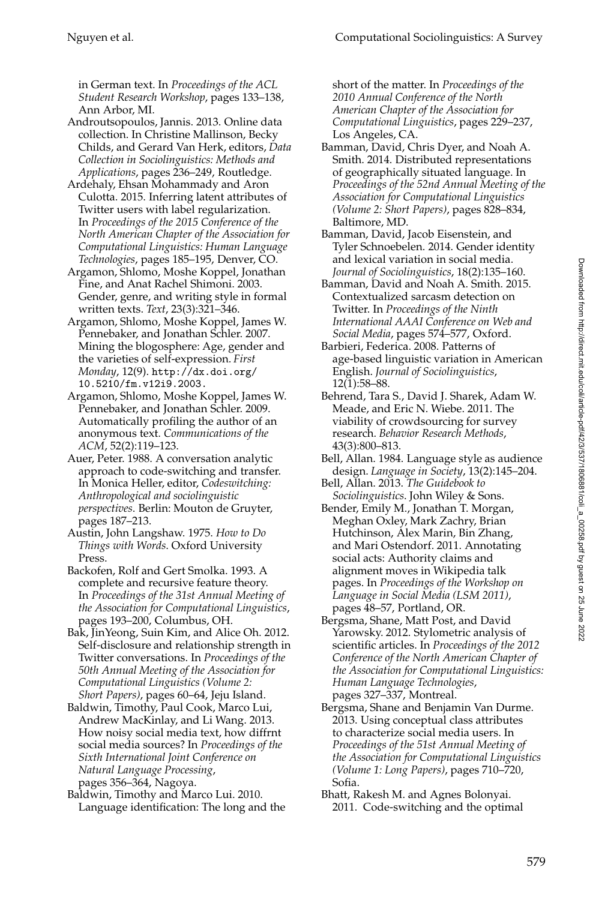in German text. In *Proceedings of the ACL Student Research Workshop*, pages 133–138, Ann Arbor, MI.

Androutsopoulos, Jannis. 2013. Online data collection. In Christine Mallinson, Becky Childs, and Gerard Van Herk, editors, *Data Collection in Sociolinguistics: Methods and Applications*, pages 236–249, Routledge.

Ardehaly, Ehsan Mohammady and Aron Culotta. 2015. Inferring latent attributes of Twitter users with label regularization. In *Proceedings of the 2015 Conference of the North American Chapter of the Association for Computational Linguistics: Human Language Technologies*, pages 185–195, Denver, CO.

Argamon, Shlomo, Moshe Koppel, Jonathan Fine, and Anat Rachel Shimoni. 2003. Gender, genre, and writing style in formal written texts. *Text*, 23(3):321–346.

- Argamon, Shlomo, Moshe Koppel, James W. Pennebaker, and Jonathan Schler. 2007. Mining the blogosphere: Age, gender and the varieties of self-expression. *First Monday*, 12(9). http://dx.doi.org/ 10.5210/fm.v12i9.2003.
- Argamon, Shlomo, Moshe Koppel, James W. Pennebaker, and Jonathan Schler. 2009. Automatically profiling the author of an anonymous text. *Communications of the ACM*, 52(2):119–123.
- Auer, Peter. 1988. A conversation analytic approach to code-switching and transfer. In Monica Heller, editor, *Codeswitching: Anthropological and sociolinguistic perspectives*. Berlin: Mouton de Gruyter, pages 187–213.
- Austin, John Langshaw. 1975. *How to Do Things with Words*. Oxford University Press.
- Backofen, Rolf and Gert Smolka. 1993. A complete and recursive feature theory. In *Proceedings of the 31st Annual Meeting of the Association for Computational Linguistics*, pages 193–200, Columbus, OH.
- Bak, JinYeong, Suin Kim, and Alice Oh. 2012. Self-disclosure and relationship strength in Twitter conversations. In *Proceedings of the 50th Annual Meeting of the Association for Computational Linguistics (Volume 2: Short Papers)*, pages 60–64, Jeju Island.
- Baldwin, Timothy, Paul Cook, Marco Lui, Andrew MacKinlay, and Li Wang. 2013. How noisy social media text, how diffrnt social media sources? In *Proceedings of the Sixth International Joint Conference on Natural Language Processing*, pages 356–364, Nagoya.
- Baldwin, Timothy and Marco Lui. 2010. Language identification: The long and the

short of the matter. In *Proceedings of the 2010 Annual Conference of the North American Chapter of the Association for Computational Linguistics*, pages 229–237, Los Angeles, CA.

- Bamman, David, Chris Dyer, and Noah A. Smith. 2014. Distributed representations of geographically situated language. In *Proceedings of the 52nd Annual Meeting of the Association for Computational Linguistics (Volume 2: Short Papers)*, pages 828–834, Baltimore, MD.
- Bamman, David, Jacob Eisenstein, and Tyler Schnoebelen. 2014. Gender identity and lexical variation in social media. *Journal of Sociolinguistics*, 18(2):135–160.
- Bamman, David and Noah A. Smith. 2015. Contextualized sarcasm detection on Twitter. In *Proceedings of the Ninth International AAAI Conference on Web and Social Media*, pages 574–577, Oxford.
- Barbieri, Federica. 2008. Patterns of age-based linguistic variation in American English. *Journal of Sociolinguistics*,  $12(1):58-88.$
- Behrend, Tara S., David J. Sharek, Adam W. Meade, and Eric N. Wiebe. 2011. The viability of crowdsourcing for survey research. *Behavior Research Methods*, 43(3):800–813.
- Bell, Allan. 1984. Language style as audience design. *Language in Society*, 13(2):145–204.
- Bell, Allan. 2013. *The Guidebook to Sociolinguistics*. John Wiley & Sons.
- Bender, Emily M., Jonathan T. Morgan, Meghan Oxley, Mark Zachry, Brian Hutchinson, Alex Marin, Bin Zhang, and Mari Ostendorf. 2011. Annotating social acts: Authority claims and alignment moves in Wikipedia talk pages. In *Proceedings of the Workshop on Language in Social Media (LSM 2011)*, pages 48–57, Portland, OR.
- Bergsma, Shane, Matt Post, and David Yarowsky. 2012. Stylometric analysis of scientific articles. In *Proceedings of the 2012 Conference of the North American Chapter of the Association for Computational Linguistics: Human Language Technologies*, pages 327–337, Montreal.
- Bergsma, Shane and Benjamin Van Durme. 2013. Using conceptual class attributes to characterize social media users. In *Proceedings of the 51st Annual Meeting of the Association for Computational Linguistics (Volume 1: Long Papers)*, pages 710–720, Sofia.
- Bhatt, Rakesh M. and Agnes Bolonyai. 2011. Code-switching and the optimal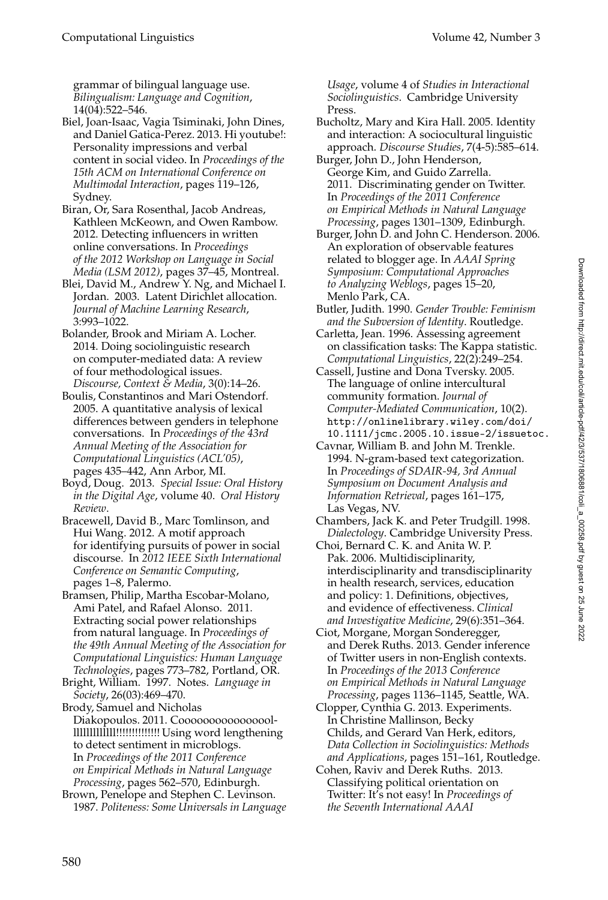grammar of bilingual language use. *Bilingualism: Language and Cognition*, 14(04):522–546.

Biel, Joan-Isaac, Vagia Tsiminaki, John Dines, and Daniel Gatica-Perez. 2013. Hi youtube!: Personality impressions and verbal content in social video. In *Proceedings of the 15th ACM on International Conference on Multimodal Interaction*, pages 119–126, Sydney.

Biran, Or, Sara Rosenthal, Jacob Andreas, Kathleen McKeown, and Owen Rambow. 2012. Detecting influencers in written online conversations. In *Proceedings of the 2012 Workshop on Language in Social Media (LSM 2012)*, pages 37–45, Montreal.

Blei, David M., Andrew Y. Ng, and Michael I. Jordan. 2003. Latent Dirichlet allocation. *Journal of Machine Learning Research*, 3:993–1022.

Bolander, Brook and Miriam A. Locher. 2014. Doing sociolinguistic research on computer-mediated data: A review of four methodological issues. *Discourse, Context & Media*, 3(0):14–26.

Boulis, Constantinos and Mari Ostendorf. 2005. A quantitative analysis of lexical differences between genders in telephone conversations. In *Proceedings of the 43rd Annual Meeting of the Association for Computational Linguistics (ACL'05)*, pages 435–442, Ann Arbor, MI.

Boyd, Doug. 2013. *Special Issue: Oral History in the Digital Age*, volume 40. *Oral History Review*.

Bracewell, David B., Marc Tomlinson, and Hui Wang. 2012. A motif approach for identifying pursuits of power in social discourse. In *2012 IEEE Sixth International Conference on Semantic Computing*, pages 1–8, Palermo.

Bramsen, Philip, Martha Escobar-Molano, Ami Patel, and Rafael Alonso. 2011. Extracting social power relationships from natural language. In *Proceedings of the 49th Annual Meeting of the Association for Computational Linguistics: Human Language Technologies*, pages 773–782, Portland, OR.

Bright, William. 1997. Notes. *Language in Society*, 26(03):469–470.

Brody, Samuel and Nicholas Diakopoulos. 2011. Cooooooooooooooollllllllllllll!!!!!!!!!!!!!! Using word lengthening to detect sentiment in microblogs. In *Proceedings of the 2011 Conference on Empirical Methods in Natural Language Processing*, pages 562–570, Edinburgh.

Brown, Penelope and Stephen C. Levinson. 1987. *Politeness: Some Universals in Language* *Usage*, volume 4 of *Studies in Interactional Sociolinguistics*. Cambridge University Press.

- Bucholtz, Mary and Kira Hall. 2005. Identity and interaction: A sociocultural linguistic approach. *Discourse Studies*, 7(4-5):585–614.
- Burger, John D., John Henderson, George Kim, and Guido Zarrella. 2011. Discriminating gender on Twitter. In *Proceedings of the 2011 Conference on Empirical Methods in Natural Language Processing*, pages 1301–1309, Edinburgh.
- Burger, John D. and John C. Henderson. 2006. An exploration of observable features related to blogger age. In *AAAI Spring Symposium: Computational Approaches to Analyzing Weblogs*, pages 15–20, Menlo Park, CA.
- Butler, Judith. 1990. *Gender Trouble: Feminism and the Subversion of Identity*. Routledge.
- Carletta, Jean. 1996. Assessing agreement on classification tasks: The Kappa statistic. *Computational Linguistics*, 22(2):249–254.
- Cassell, Justine and Dona Tversky. 2005. The language of online intercultural community formation. *Journal of Computer-Mediated Communication*, 10(2). http://onlinelibrary.wiley.com/doi/ 10.1111/jcmc.2005.10.issue-2/issuetoc.
- Cavnar, William B. and John M. Trenkle. 1994. N-gram-based text categorization. In *Proceedings of SDAIR-94, 3rd Annual Symposium on Document Analysis and Information Retrieval*, pages 161–175, Las Vegas, NV.
- Chambers, Jack K. and Peter Trudgill. 1998. *Dialectology*. Cambridge University Press.
- Choi, Bernard C. K. and Anita W. P. Pak. 2006. Multidisciplinarity, interdisciplinarity and transdisciplinarity in health research, services, education and policy: 1. Definitions, objectives, and evidence of effectiveness. *Clinical and Investigative Medicine*, 29(6):351–364.
- Ciot, Morgane, Morgan Sonderegger, and Derek Ruths. 2013. Gender inference of Twitter users in non-English contexts. In *Proceedings of the 2013 Conference on Empirical Methods in Natural Language Processing*, pages 1136–1145, Seattle, WA.
- Clopper, Cynthia G. 2013. Experiments. In Christine Mallinson, Becky Childs, and Gerard Van Herk, editors, *Data Collection in Sociolinguistics: Methods and Applications*, pages 151–161, Routledge.
- Cohen, Raviv and Derek Ruths. 2013. Classifying political orientation on Twitter: It's not easy! In *Proceedings of the Seventh International AAAI*

Downloaded from http://direct.mit.edu/coli/article-pdf/42/3/537/1806881/coli\_a\_00258.pdf by guest on 25 June 2022 Downloaded from http://direct.mit.edu/coli/article-pdf/42/3/537/1806881/coli\_a\_00258.pdf by guest on 25 June 2022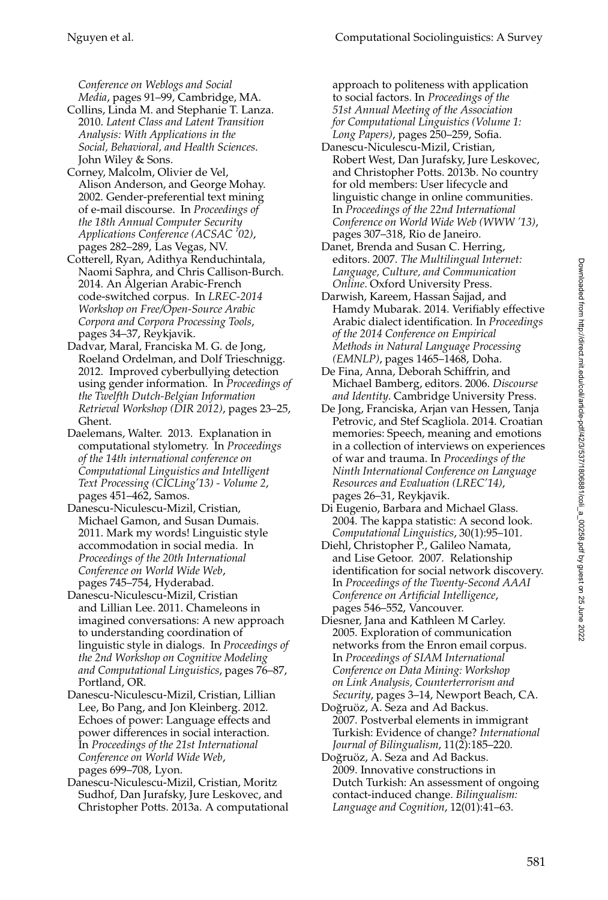*Conference on Weblogs and Social Media*, pages 91–99, Cambridge, MA.

- Collins, Linda M. and Stephanie T. Lanza. 2010. *Latent Class and Latent Transition Analysis: With Applications in the Social, Behavioral, and Health Sciences*. John Wiley & Sons.
- Corney, Malcolm, Olivier de Vel, Alison Anderson, and George Mohay. 2002. Gender-preferential text mining of e-mail discourse. In *Proceedings of the 18th Annual Computer Security Applications Conference (ACSAC '02)*, pages 282–289, Las Vegas, NV.
- Cotterell, Ryan, Adithya Renduchintala, Naomi Saphra, and Chris Callison-Burch. 2014. An Algerian Arabic-French code-switched corpus. In *LREC-2014 Workshop on Free/Open-Source Arabic Corpora and Corpora Processing Tools*, pages 34–37, Reykjavik.
- Dadvar, Maral, Franciska M. G. de Jong, Roeland Ordelman, and Dolf Trieschnigg. 2012. Improved cyberbullying detection using gender information. In *Proceedings of the Twelfth Dutch-Belgian Information Retrieval Workshop (DIR 2012)*, pages 23–25, Ghent.
- Daelemans, Walter. 2013. Explanation in computational stylometry. In *Proceedings of the 14th international conference on Computational Linguistics and Intelligent Text Processing (CICLing'13) - Volume 2*, pages 451–462, Samos.
- Danescu-Niculescu-Mizil, Cristian, Michael Gamon, and Susan Dumais. 2011. Mark my words! Linguistic style accommodation in social media. In *Proceedings of the 20th International Conference on World Wide Web*, pages 745–754, Hyderabad.
- Danescu-Niculescu-Mizil, Cristian and Lillian Lee. 2011. Chameleons in imagined conversations: A new approach to understanding coordination of linguistic style in dialogs. In *Proceedings of the 2nd Workshop on Cognitive Modeling and Computational Linguistics*, pages 76–87, Portland, OR.
- Danescu-Niculescu-Mizil, Cristian, Lillian Lee, Bo Pang, and Jon Kleinberg. 2012. Echoes of power: Language effects and power differences in social interaction. In *Proceedings of the 21st International Conference on World Wide Web*, pages 699–708, Lyon.
- Danescu-Niculescu-Mizil, Cristian, Moritz Sudhof, Dan Jurafsky, Jure Leskovec, and Christopher Potts. 2013a. A computational

approach to politeness with application to social factors. In *Proceedings of the 51st Annual Meeting of the Association for Computational Linguistics (Volume 1: Long Papers)*, pages 250–259, Sofia.

- Danescu-Niculescu-Mizil, Cristian, Robert West, Dan Jurafsky, Jure Leskovec, and Christopher Potts. 2013b. No country for old members: User lifecycle and linguistic change in online communities. In *Proceedings of the 22nd International Conference on World Wide Web (WWW '13)*, pages 307–318, Rio de Janeiro.
- Danet, Brenda and Susan C. Herring, editors. 2007. *The Multilingual Internet: Language, Culture, and Communication Online*. Oxford University Press.
- Darwish, Kareem, Hassan Sajjad, and Hamdy Mubarak. 2014. Verifiably effective Arabic dialect identification. In *Proceedings of the 2014 Conference on Empirical Methods in Natural Language Processing (EMNLP)*, pages 1465–1468, Doha.
- De Fina, Anna, Deborah Schiffrin, and Michael Bamberg, editors. 2006. *Discourse and Identity*. Cambridge University Press.
- De Jong, Franciska, Arjan van Hessen, Tanja Petrovic, and Stef Scagliola. 2014. Croatian memories: Speech, meaning and emotions in a collection of interviews on experiences of war and trauma. In *Proceedings of the Ninth International Conference on Language Resources and Evaluation (LREC'14)*, pages 26–31, Reykjavik.
- Di Eugenio, Barbara and Michael Glass. 2004. The kappa statistic: A second look. *Computational Linguistics*, 30(1):95–101.
- Diehl, Christopher P., Galileo Namata, and Lise Getoor. 2007. Relationship identification for social network discovery. In *Proceedings of the Twenty-Second AAAI Conference on Artificial Intelligence*, pages 546–552, Vancouver.
- Diesner, Jana and Kathleen M Carley. 2005. Exploration of communication networks from the Enron email corpus. In *Proceedings of SIAM International Conference on Data Mining: Workshop on Link Analysis, Counterterrorism and Security*, pages 3–14, Newport Beach, CA.
- Doğruöz, A. Seza and Ad Backus. 2007. Postverbal elements in immigrant Turkish: Evidence of change? *International Journal of Bilingualism*, 11(2):185–220.
- Doğruöz, A. Seza and Ad Backus. 2009. Innovative constructions in Dutch Turkish: An assessment of ongoing contact-induced change. *Bilingualism: Language and Cognition*, 12(01):41–63.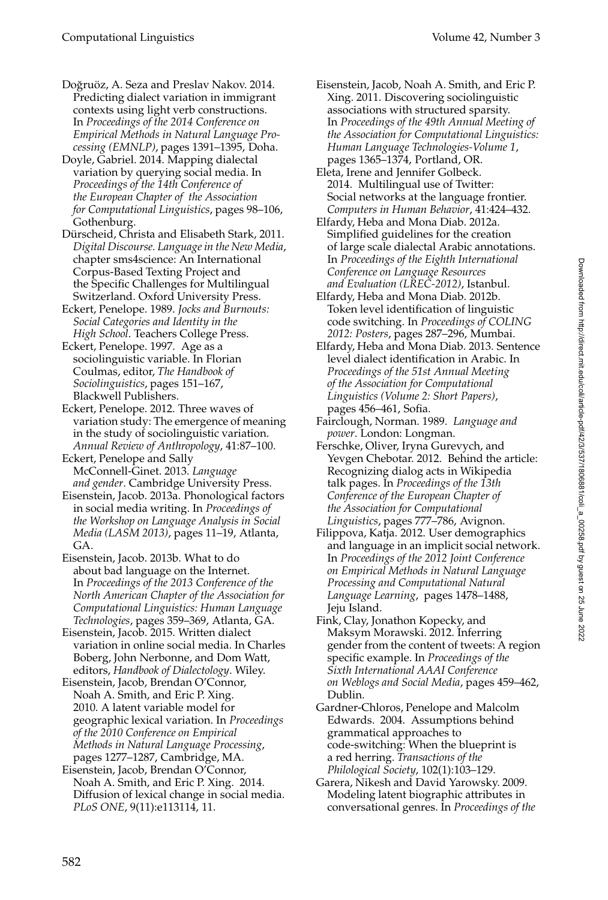- Doğruöz, A. Seza and Preslav Nakov. 2014. Predicting dialect variation in immigrant contexts using light verb constructions. In *Proceedings of the 2014 Conference on Empirical Methods in Natural Language Processing (EMNLP)*, pages 1391–1395, Doha.
- Doyle, Gabriel. 2014. Mapping dialectal variation by querying social media. In *Proceedings of the 14th Conference of the European Chapter of the Association for Computational Linguistics*, pages 98–106, Gothenburg.
- Dürscheid, Christa and Elisabeth Stark, 2011. *Digital Discourse. Language in the New Media*, chapter sms4science: An International Corpus-Based Texting Project and the Specific Challenges for Multilingual Switzerland. Oxford University Press.
- Eckert, Penelope. 1989. *Jocks and Burnouts: Social Categories and Identity in the High School*. Teachers College Press.
- Eckert, Penelope. 1997. Age as a sociolinguistic variable. In Florian Coulmas, editor, *The Handbook of Sociolinguistics*, pages 151–167, Blackwell Publishers.
- Eckert, Penelope. 2012. Three waves of variation study: The emergence of meaning in the study of sociolinguistic variation. *Annual Review of Anthropology*, 41:87–100.
- Eckert, Penelope and Sally McConnell-Ginet. 2013. *Language and gender*. Cambridge University Press.
- Eisenstein, Jacob. 2013a. Phonological factors in social media writing. In *Proceedings of the Workshop on Language Analysis in Social Media (LASM 2013)*, pages 11–19, Atlanta, GA.
- Eisenstein, Jacob. 2013b. What to do about bad language on the Internet. In *Proceedings of the 2013 Conference of the North American Chapter of the Association for Computational Linguistics: Human Language Technologies*, pages 359–369, Atlanta, GA.
- Eisenstein, Jacob. 2015. Written dialect variation in online social media. In Charles Boberg, John Nerbonne, and Dom Watt, editors, *Handbook of Dialectology*. Wiley.
- Eisenstein, Jacob, Brendan O'Connor, Noah A. Smith, and Eric P. Xing. 2010. A latent variable model for geographic lexical variation. In *Proceedings of the 2010 Conference on Empirical Methods in Natural Language Processing*, pages 1277–1287, Cambridge, MA.
- Eisenstein, Jacob, Brendan O'Connor, Noah A. Smith, and Eric P. Xing. 2014. Diffusion of lexical change in social media. *PLoS ONE*, 9(11):e113114, 11.
- Eisenstein, Jacob, Noah A. Smith, and Eric P. Xing. 2011. Discovering sociolinguistic associations with structured sparsity. In *Proceedings of the 49th Annual Meeting of the Association for Computational Linguistics: Human Language Technologies-Volume 1*, pages 1365–1374, Portland, OR.
- Eleta, Irene and Jennifer Golbeck. 2014. Multilingual use of Twitter: Social networks at the language frontier. *Computers in Human Behavior*, 41:424–432.
- Elfardy, Heba and Mona Diab. 2012a. Simplified guidelines for the creation of large scale dialectal Arabic annotations. In *Proceedings of the Eighth International Conference on Language Resources and Evaluation (LREC-2012)*, Istanbul.
- Elfardy, Heba and Mona Diab. 2012b. Token level identification of linguistic code switching. In *Proceedings of COLING 2012: Posters*, pages 287–296, Mumbai.
- Elfardy, Heba and Mona Diab. 2013. Sentence level dialect identification in Arabic. In *Proceedings of the 51st Annual Meeting of the Association for Computational Linguistics (Volume 2: Short Papers)*, pages 456–461, Sofia.
- Fairclough, Norman. 1989. *Language and power*. London: Longman.
- Ferschke, Oliver, Iryna Gurevych, and Yevgen Chebotar. 2012. Behind the article: Recognizing dialog acts in Wikipedia talk pages. In *Proceedings of the 13th Conference of the European Chapter of the Association for Computational Linguistics*, pages 777–786, Avignon.
- Filippova, Katja. 2012. User demographics and language in an implicit social network. In *Proceedings of the 2012 Joint Conference on Empirical Methods in Natural Language Processing and Computational Natural Language Learning*, pages 1478–1488, Jeju Island.
- Fink, Clay, Jonathon Kopecky, and Maksym Morawski. 2012. Inferring gender from the content of tweets: A region specific example. In *Proceedings of the Sixth International AAAI Conference on Weblogs and Social Media*, pages 459–462, Dublin.
- Gardner-Chloros, Penelope and Malcolm Edwards. 2004. Assumptions behind grammatical approaches to code-switching: When the blueprint is a red herring. *Transactions of the Philological Society*, 102(1):103–129.
- Garera, Nikesh and David Yarowsky. 2009. Modeling latent biographic attributes in conversational genres. In *Proceedings of the*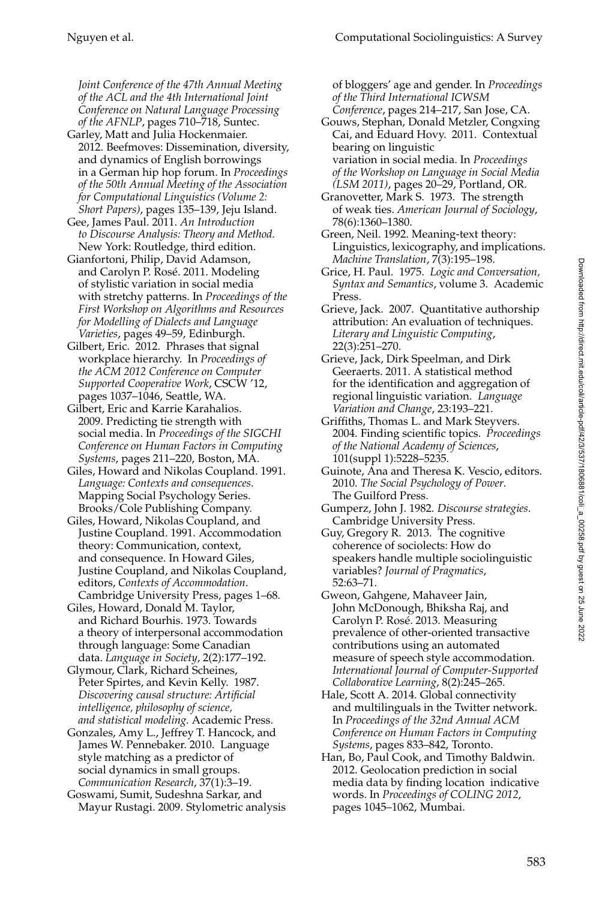*Joint Conference of the 47th Annual Meeting of the ACL and the 4th International Joint Conference on Natural Language Processing of the AFNLP*, pages 710–718, Suntec.

- Garley, Matt and Julia Hockenmaier. 2012. Beefmoves: Dissemination, diversity, and dynamics of English borrowings in a German hip hop forum. In *Proceedings of the 50th Annual Meeting of the Association for Computational Linguistics (Volume 2: Short Papers)*, pages 135–139, Jeju Island.
- Gee, James Paul. 2011. *An Introduction to Discourse Analysis: Theory and Method*. New York: Routledge, third edition.

Gianfortoni, Philip, David Adamson, and Carolyn P. Rosé. 2011. Modeling of stylistic variation in social media with stretchy patterns. In *Proceedings of the First Workshop on Algorithms and Resources for Modelling of Dialects and Language Varieties*, pages 49–59, Edinburgh.

Gilbert, Eric. 2012. Phrases that signal workplace hierarchy. In *Proceedings of the ACM 2012 Conference on Computer Supported Cooperative Work*, CSCW '12, pages 1037–1046, Seattle, WA.

Gilbert, Eric and Karrie Karahalios. 2009. Predicting tie strength with social media. In *Proceedings of the SIGCHI Conference on Human Factors in Computing Systems*, pages 211–220, Boston, MA.

Giles, Howard and Nikolas Coupland. 1991. *Language: Contexts and consequences*. Mapping Social Psychology Series. Brooks/Cole Publishing Company.

- Giles, Howard, Nikolas Coupland, and Justine Coupland. 1991. Accommodation theory: Communication, context, and consequence. In Howard Giles, Justine Coupland, and Nikolas Coupland, editors, *Contexts of Accommodation*. Cambridge University Press, pages 1–68.
- Giles, Howard, Donald M. Taylor, and Richard Bourhis. 1973. Towards a theory of interpersonal accommodation through language: Some Canadian data. *Language in Society*, 2(2):177–192.

Glymour, Clark, Richard Scheines, Peter Spirtes, and Kevin Kelly. 1987. *Discovering causal structure: Artificial intelligence, philosophy of science, and statistical modeling.* Academic Press.

- Gonzales, Amy L., Jeffrey T. Hancock, and James W. Pennebaker. 2010. Language style matching as a predictor of social dynamics in small groups. *Communication Research*, 37(1):3–19.
- Goswami, Sumit, Sudeshna Sarkar, and Mayur Rustagi. 2009. Stylometric analysis

of bloggers' age and gender. In *Proceedings of the Third International ICWSM Conference*, pages 214–217, San Jose, CA.

- Gouws, Stephan, Donald Metzler, Congxing Cai, and Eduard Hovy. 2011. Contextual bearing on linguistic variation in social media. In *Proceedings of the Workshop on Language in Social Media (LSM 2011)*, pages 20–29, Portland, OR.
- Granovetter, Mark S. 1973. The strength of weak ties. *American Journal of Sociology*, 78(6):1360–1380.
- Green, Neil. 1992. Meaning-text theory: Linguistics, lexicography, and implications. *Machine Translation*, 7(3):195–198.
- Grice, H. Paul. 1975. *Logic and Conversation, Syntax and Semantics*, volume 3. Academic Press.
- Grieve, Jack. 2007. Quantitative authorship attribution: An evaluation of techniques. *Literary and Linguistic Computing*, 22(3):251–270.
- Grieve, Jack, Dirk Speelman, and Dirk Geeraerts. 2011. A statistical method for the identification and aggregation of regional linguistic variation. *Language Variation and Change*, 23:193–221.
- Griffiths, Thomas L. and Mark Steyvers. 2004. Finding scientific topics. *Proceedings of the National Academy of Sciences*, 101(suppl 1):5228–5235.
- Guinote, Ana and Theresa K. Vescio, editors. 2010. *The Social Psychology of Power*. The Guilford Press.
- Gumperz, John J. 1982. *Discourse strategies*. Cambridge University Press.
- Guy, Gregory R. 2013. The cognitive coherence of sociolects: How do speakers handle multiple sociolinguistic variables? *Journal of Pragmatics*, 52:63–71.
- Gweon, Gahgene, Mahaveer Jain, John McDonough, Bhiksha Raj, and Carolyn P. Rosé. 2013. Measuring prevalence of other-oriented transactive contributions using an automated measure of speech style accommodation. *International Journal of Computer-Supported Collaborative Learning*, 8(2):245–265.
- Hale, Scott A. 2014. Global connectivity and multilinguals in the Twitter network. In *Proceedings of the 32nd Annual ACM Conference on Human Factors in Computing Systems*, pages 833–842, Toronto.
- Han, Bo, Paul Cook, and Timothy Baldwin. 2012. Geolocation prediction in social media data by finding location indicative words. In *Proceedings of COLING 2012*, pages 1045–1062, Mumbai.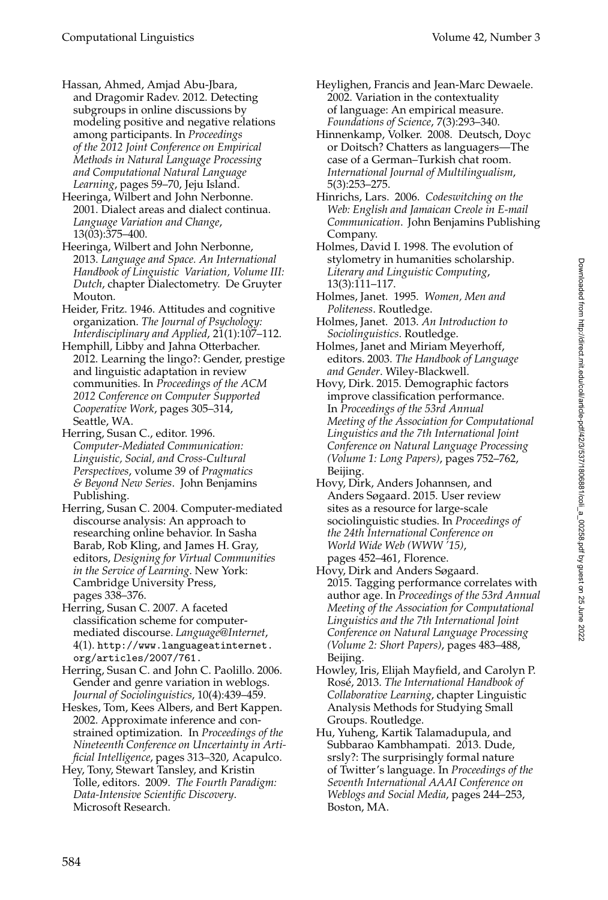- Hassan, Ahmed, Amjad Abu-Jbara, and Dragomir Radev. 2012. Detecting subgroups in online discussions by modeling positive and negative relations among participants. In *Proceedings of the 2012 Joint Conference on Empirical Methods in Natural Language Processing and Computational Natural Language Learning*, pages 59–70, Jeju Island.
- Heeringa, Wilbert and John Nerbonne. 2001. Dialect areas and dialect continua. *Language Variation and Change*, 13(03):375–400.
- Heeringa, Wilbert and John Nerbonne, 2013. *Language and Space. An International Handbook of Linguistic Variation, Volume III: Dutch*, chapter Dialectometry. De Gruyter Mouton.
- Heider, Fritz. 1946. Attitudes and cognitive organization. *The Journal of Psychology: Interdisciplinary and Applied*, 21(1):107–112.
- Hemphill, Libby and Jahna Otterbacher. 2012. Learning the lingo?: Gender, prestige and linguistic adaptation in review communities. In *Proceedings of the ACM 2012 Conference on Computer Supported Cooperative Work*, pages 305–314, Seattle, WA.
- Herring, Susan C., editor. 1996. *Computer-Mediated Communication: Linguistic, Social, and Cross-Cultural Perspectives*, volume 39 of *Pragmatics & Beyond New Series*. John Benjamins Publishing.
- Herring, Susan C. 2004. Computer-mediated discourse analysis: An approach to researching online behavior. In Sasha Barab, Rob Kling, and James H. Gray, editors, *Designing for Virtual Communities in the Service of Learning*. New York: Cambridge University Press, pages 338–376.
- Herring, Susan C. 2007. A faceted classification scheme for computermediated discourse. *Language@Internet*, 4(1). http://www.languageatinternet. org/articles/2007/761.
- Herring, Susan C. and John C. Paolillo. 2006. Gender and genre variation in weblogs. *Journal of Sociolinguistics*, 10(4):439–459.
- Heskes, Tom, Kees Albers, and Bert Kappen. 2002. Approximate inference and constrained optimization. In *Proceedings of the Nineteenth Conference on Uncertainty in Artificial Intelligence*, pages 313–320, Acapulco.
- Hey, Tony, Stewart Tansley, and Kristin Tolle, editors. 2009. *The Fourth Paradigm: Data-Intensive Scientific Discovery*. Microsoft Research.
- Heylighen, Francis and Jean-Marc Dewaele. 2002. Variation in the contextuality of language: An empirical measure. *Foundations of Science*, 7(3):293–340.
- Hinnenkamp, Volker. 2008. Deutsch, Doyc or Doitsch? Chatters as languagers—The case of a German–Turkish chat room. *International Journal of Multilingualism*, 5(3):253–275.
- Hinrichs, Lars. 2006. *Codeswitching on the Web: English and Jamaican Creole in E-mail Communication*. John Benjamins Publishing Company.
- Holmes, David I. 1998. The evolution of stylometry in humanities scholarship. *Literary and Linguistic Computing*, 13(3):111–117.
- Holmes, Janet. 1995. *Women, Men and Politeness*. Routledge.
- Holmes, Janet. 2013. *An Introduction to Sociolinguistics*. Routledge.
- Holmes, Janet and Miriam Meyerhoff, editors. 2003. *The Handbook of Language and Gender*. Wiley-Blackwell.
- Hovy, Dirk. 2015. Demographic factors improve classification performance. In *Proceedings of the 53rd Annual Meeting of the Association for Computational Linguistics and the 7th International Joint Conference on Natural Language Processing (Volume 1: Long Papers)*, pages 752–762, Beijing.
- Hovy, Dirk, Anders Johannsen, and Anders Søgaard. 2015. User review sites as a resource for large-scale sociolinguistic studies. In *Proceedings of the 24th International Conference on World Wide Web (WWW '15)*, pages 452–461, Florence.
- Hovy, Dirk and Anders Søgaard. 2015. Tagging performance correlates with author age. In *Proceedings of the 53rd Annual Meeting of the Association for Computational Linguistics and the 7th International Joint Conference on Natural Language Processing (Volume 2: Short Papers)*, pages 483–488, Beijing.
- Howley, Iris, Elijah Mayfield, and Carolyn P. Rosé, 2013. *The International Handbook of Collaborative Learning*, chapter Linguistic Analysis Methods for Studying Small Groups. Routledge.
- Hu, Yuheng, Kartik Talamadupula, and Subbarao Kambhampati. 2013. Dude, srsly?: The surprisingly formal nature of Twitter's language. In *Proceedings of the Seventh International AAAI Conference on Weblogs and Social Media*, pages 244–253, Boston, MA.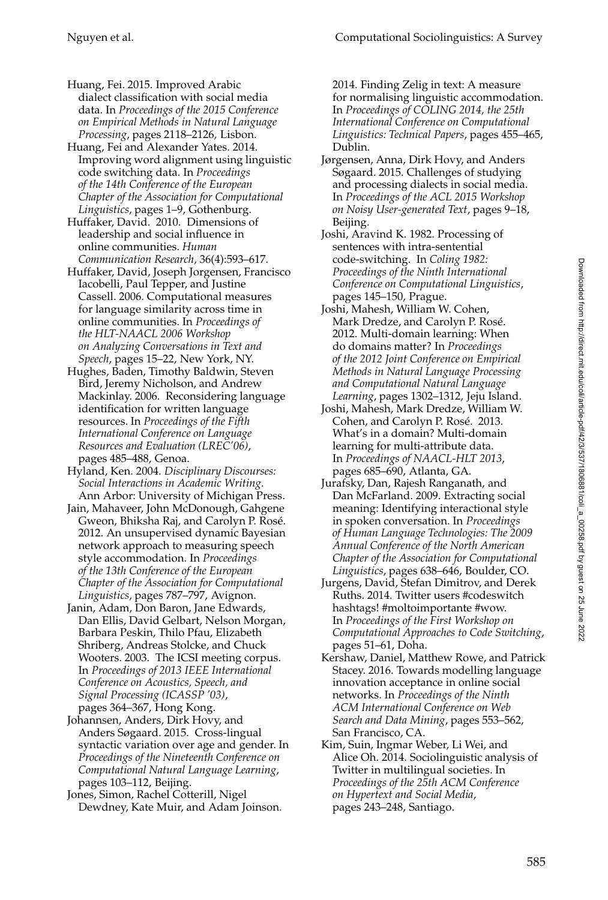Huang, Fei. 2015. Improved Arabic dialect classification with social media data. In *Proceedings of the 2015 Conference on Empirical Methods in Natural Language Processing*, pages 2118–2126, Lisbon.

Huang, Fei and Alexander Yates. 2014. Improving word alignment using linguistic code switching data. In *Proceedings of the 14th Conference of the European Chapter of the Association for Computational Linguistics*, pages 1–9, Gothenburg.

Huffaker, David. 2010. Dimensions of leadership and social influence in online communities. *Human Communication Research*, 36(4):593–617.

Huffaker, David, Joseph Jorgensen, Francisco Iacobelli, Paul Tepper, and Justine Cassell. 2006. Computational measures for language similarity across time in online communities. In *Proceedings of the HLT-NAACL 2006 Workshop on Analyzing Conversations in Text and Speech*, pages 15–22, New York, NY.

Hughes, Baden, Timothy Baldwin, Steven Bird, Jeremy Nicholson, and Andrew Mackinlay. 2006. Reconsidering language identification for written language resources. In *Proceedings of the Fifth International Conference on Language Resources and Evaluation (LREC'06)*, pages 485–488, Genoa.

Hyland, Ken. 2004. *Disciplinary Discourses: Social Interactions in Academic Writing*. Ann Arbor: University of Michigan Press.

Jain, Mahaveer, John McDonough, Gahgene Gweon, Bhiksha Raj, and Carolyn P. Rosé. 2012. An unsupervised dynamic Bayesian network approach to measuring speech style accommodation. In *Proceedings of the 13th Conference of the European Chapter of the Association for Computational Linguistics*, pages 787–797, Avignon.

Janin, Adam, Don Baron, Jane Edwards, Dan Ellis, David Gelbart, Nelson Morgan, Barbara Peskin, Thilo Pfau, Elizabeth Shriberg, Andreas Stolcke, and Chuck Wooters. 2003. The ICSI meeting corpus. In *Proceedings of 2013 IEEE International Conference on Acoustics, Speech, and Signal Processing (ICASSP '03)*, pages 364–367, Hong Kong.

Johannsen, Anders, Dirk Hovy, and Anders Søgaard. 2015. Cross-lingual syntactic variation over age and gender. In *Proceedings of the Nineteenth Conference on Computational Natural Language Learning*, pages 103–112, Beijing.

Jones, Simon, Rachel Cotterill, Nigel Dewdney, Kate Muir, and Adam Joinson. 2014. Finding Zelig in text: A measure for normalising linguistic accommodation. In *Proceedings of COLING 2014, the 25th International Conference on Computational Linguistics: Technical Papers*, pages 455–465, Dublin.

- Jørgensen, Anna, Dirk Hovy, and Anders Søgaard. 2015. Challenges of studying and processing dialects in social media. In *Proceedings of the ACL 2015 Workshop on Noisy User-generated Text*, pages 9–18, Beijing.
- Joshi, Aravind K. 1982. Processing of sentences with intra-sentential code-switching. In *Coling 1982: Proceedings of the Ninth International Conference on Computational Linguistics*, pages 145–150, Prague.
- Joshi, Mahesh, William W. Cohen, Mark Dredze, and Carolyn P. Rosé. 2012. Multi-domain learning: When do domains matter? In *Proceedings of the 2012 Joint Conference on Empirical Methods in Natural Language Processing and Computational Natural Language Learning*, pages 1302–1312, Jeju Island.
- Joshi, Mahesh, Mark Dredze, William W. Cohen, and Carolyn P. Rosé. 2013. What's in a domain? Multi-domain learning for multi-attribute data. In *Proceedings of NAACL-HLT 2013*, pages 685–690, Atlanta, GA.
- Jurafsky, Dan, Rajesh Ranganath, and Dan McFarland. 2009. Extracting social meaning: Identifying interactional style in spoken conversation. In *Proceedings of Human Language Technologies: The 2009 Annual Conference of the North American Chapter of the Association for Computational Linguistics*, pages 638–646, Boulder, CO.
- Jurgens, David, Stefan Dimitrov, and Derek Ruths. 2014. Twitter users #codeswitch hashtags! #moltoimportante #wow. In *Proceedings of the First Workshop on Computational Approaches to Code Switching*, pages 51–61, Doha.
- Kershaw, Daniel, Matthew Rowe, and Patrick Stacey. 2016. Towards modelling language innovation acceptance in online social networks. In *Proceedings of the Ninth ACM International Conference on Web Search and Data Mining*, pages 553–562, San Francisco, CA.
- Kim, Suin, Ingmar Weber, Li Wei, and Alice Oh. 2014. Sociolinguistic analysis of Twitter in multilingual societies. In *Proceedings of the 25th ACM Conference on Hypertext and Social Media*, pages 243–248, Santiago.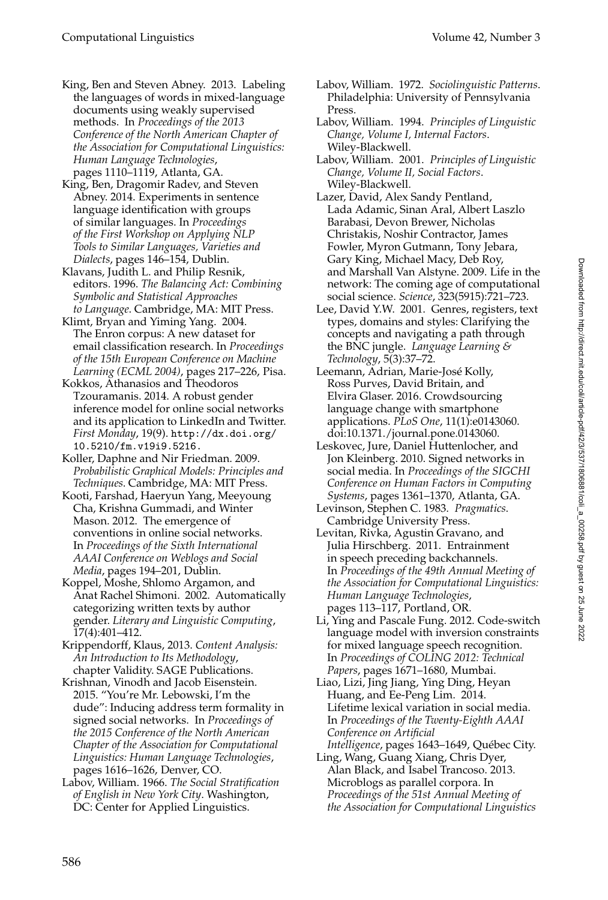- King, Ben and Steven Abney. 2013. Labeling the languages of words in mixed-language documents using weakly supervised methods. In *Proceedings of the 2013 Conference of the North American Chapter of the Association for Computational Linguistics: Human Language Technologies*, pages 1110–1119, Atlanta, GA.
- King, Ben, Dragomir Radev, and Steven Abney. 2014. Experiments in sentence language identification with groups of similar languages. In *Proceedings of the First Workshop on Applying NLP Tools to Similar Languages, Varieties and Dialects*, pages 146–154, Dublin.
- Klavans, Judith L. and Philip Resnik, editors. 1996. *The Balancing Act: Combining Symbolic and Statistical Approaches to Language*. Cambridge, MA: MIT Press.
- Klimt, Bryan and Yiming Yang. 2004. The Enron corpus: A new dataset for email classification research. In *Proceedings of the 15th European Conference on Machine Learning (ECML 2004)*, pages 217–226, Pisa.
- Kokkos, Athanasios and Theodoros Tzouramanis. 2014. A robust gender inference model for online social networks and its application to LinkedIn and Twitter. *First Monday*, 19(9). http://dx.doi.org/ 10.5210/fm.v19i9.5216.
- Koller, Daphne and Nir Friedman. 2009. *Probabilistic Graphical Models: Principles and Techniques*. Cambridge, MA: MIT Press.
- Kooti, Farshad, Haeryun Yang, Meeyoung Cha, Krishna Gummadi, and Winter Mason. 2012. The emergence of conventions in online social networks. In *Proceedings of the Sixth International AAAI Conference on Weblogs and Social Media*, pages 194–201, Dublin.
- Koppel, Moshe, Shlomo Argamon, and Anat Rachel Shimoni. 2002. Automatically categorizing written texts by author gender. *Literary and Linguistic Computing*, 17(4):401–412.
- Krippendorff, Klaus, 2013. *Content Analysis: An Introduction to Its Methodology*, chapter Validity. SAGE Publications.
- Krishnan, Vinodh and Jacob Eisenstein. 2015. "You're Mr. Lebowski, I'm the dude": Inducing address term formality in signed social networks. In *Proceedings of the 2015 Conference of the North American Chapter of the Association for Computational Linguistics: Human Language Technologies*, pages 1616–1626, Denver, CO.
- Labov, William. 1966. *The Social Stratification of English in New York City*. Washington, DC: Center for Applied Linguistics.
- Labov, William. 1972. *Sociolinguistic Patterns*. Philadelphia: University of Pennsylvania Press.
- Labov, William. 1994. *Principles of Linguistic Change, Volume I, Internal Factors*. Wiley-Blackwell.
- Labov, William. 2001. *Principles of Linguistic Change, Volume II, Social Factors*. Wiley-Blackwell.
- Lazer, David, Alex Sandy Pentland, Lada Adamic, Sinan Aral, Albert Laszlo Barabasi, Devon Brewer, Nicholas Christakis, Noshir Contractor, James Fowler, Myron Gutmann, Tony Jebara, Gary King, Michael Macy, Deb Roy, and Marshall Van Alstyne. 2009. Life in the network: The coming age of computational social science. *Science*, 323(5915):721–723.
- Lee, David Y.W. 2001. Genres, registers, text types, domains and styles: Clarifying the concepts and navigating a path through the BNC jungle. *Language Learning & Technology*, 5(3):37–72.
- Leemann, Adrian, Marie-José Kolly, Ross Purves, David Britain, and Elvira Glaser. 2016. Crowdsourcing language change with smartphone applications. *PLoS One*, 11(1):e0143060. doi:10.1371./journal.pone.0143060.
- Leskovec, Jure, Daniel Huttenlocher, and Jon Kleinberg. 2010. Signed networks in social media. In *Proceedings of the SIGCHI Conference on Human Factors in Computing Systems*, pages 1361–1370, Atlanta, GA.
- Levinson, Stephen C. 1983. *Pragmatics*. Cambridge University Press.
- Levitan, Rivka, Agustin Gravano, and Julia Hirschberg. 2011. Entrainment in speech preceding backchannels. In *Proceedings of the 49th Annual Meeting of the Association for Computational Linguistics: Human Language Technologies*, pages 113–117, Portland, OR.
- Li, Ying and Pascale Fung. 2012. Code-switch language model with inversion constraints for mixed language speech recognition. In *Proceedings of COLING 2012: Technical Papers*, pages 1671–1680, Mumbai.
- Liao, Lizi, Jing Jiang, Ying Ding, Heyan Huang, and Ee-Peng Lim. 2014. Lifetime lexical variation in social media. In *Proceedings of the Twenty-Eighth AAAI Conference on Artificial Intelligence*, pages 1643–1649, Québec City.
- Ling, Wang, Guang Xiang, Chris Dyer, Alan Black, and Isabel Trancoso. 2013. Microblogs as parallel corpora. In *Proceedings of the 51st Annual Meeting of the Association for Computational Linguistics*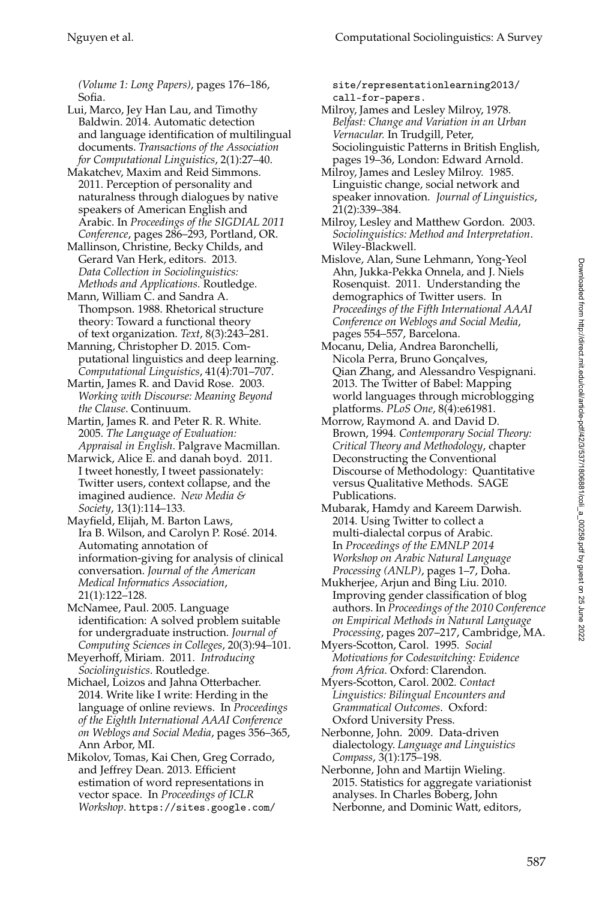*(Volume 1: Long Papers)*, pages 176–186, Sofia.

- Lui, Marco, Jey Han Lau, and Timothy Baldwin. 2014. Automatic detection and language identification of multilingual documents. *Transactions of the Association for Computational Linguistics*, 2(1):27–40.
- Makatchev, Maxim and Reid Simmons. 2011. Perception of personality and naturalness through dialogues by native speakers of American English and Arabic. In *Proceedings of the SIGDIAL 2011 Conference*, pages 286–293, Portland, OR.
- Mallinson, Christine, Becky Childs, and Gerard Van Herk, editors. 2013. *Data Collection in Sociolinguistics: Methods and Applications*. Routledge.
- Mann, William C. and Sandra A. Thompson. 1988. Rhetorical structure theory: Toward a functional theory of text organization. *Text*, 8(3):243–281.
- Manning, Christopher D. 2015. Computational linguistics and deep learning. *Computational Linguistics*, 41(4):701–707.
- Martin, James R. and David Rose. 2003. *Working with Discourse: Meaning Beyond the Clause*. Continuum.
- Martin, James R. and Peter R. R. White. 2005. *The Language of Evaluation: Appraisal in English*. Palgrave Macmillan.
- Marwick, Alice E. and danah boyd. 2011. I tweet honestly, I tweet passionately: Twitter users, context collapse, and the imagined audience. *New Media & Society*, 13(1):114–133.
- Mayfield, Elijah, M. Barton Laws, Ira B. Wilson, and Carolyn P. Rosé. 2014. Automating annotation of information-giving for analysis of clinical conversation. *Journal of the American Medical Informatics Association*, 21(1):122–128.
- McNamee, Paul. 2005. Language identification: A solved problem suitable for undergraduate instruction. *Journal of Computing Sciences in Colleges*, 20(3):94–101.
- Meyerhoff, Miriam. 2011. *Introducing Sociolinguistics*. Routledge.
- Michael, Loizos and Jahna Otterbacher. 2014. Write like I write: Herding in the language of online reviews. In *Proceedings of the Eighth International AAAI Conference on Weblogs and Social Media*, pages 356–365, Ann Arbor, MI.
- Mikolov, Tomas, Kai Chen, Greg Corrado, and Jeffrey Dean. 2013. Efficient estimation of word representations in vector space. In *Proceedings of ICLR Workshop*. https://sites.google.com/

site/representationlearning2013/ call-for-papers.

- Milroy, James and Lesley Milroy, 1978. *Belfast: Change and Variation in an Urban Vernacular.* In Trudgill, Peter, Sociolinguistic Patterns in British English, pages 19–36, London: Edward Arnold.
- Milroy, James and Lesley Milroy. 1985. Linguistic change, social network and speaker innovation. *Journal of Linguistics*, 21(2):339–384.
- Milroy, Lesley and Matthew Gordon. 2003. *Sociolinguistics: Method and Interpretation*. Wiley-Blackwell.
- Mislove, Alan, Sune Lehmann, Yong-Yeol Ahn, Jukka-Pekka Onnela, and J. Niels Rosenquist. 2011. Understanding the demographics of Twitter users. In *Proceedings of the Fifth International AAAI Conference on Weblogs and Social Media*, pages 554–557, Barcelona.
- Mocanu, Delia, Andrea Baronchelli, Nicola Perra, Bruno Gonçalves, Qian Zhang, and Alessandro Vespignani. 2013. The Twitter of Babel: Mapping world languages through microblogging platforms. *PLoS One*, 8(4):e61981.
- Morrow, Raymond A. and David D. Brown, 1994. *Contemporary Social Theory: Critical Theory and Methodology*, chapter Deconstructing the Conventional Discourse of Methodology: Quantitative versus Qualitative Methods. SAGE Publications.
- Mubarak, Hamdy and Kareem Darwish. 2014. Using Twitter to collect a multi-dialectal corpus of Arabic. In *Proceedings of the EMNLP 2014 Workshop on Arabic Natural Language Processing (ANLP)*, pages 1–7, Doha.
- Mukherjee, Arjun and Bing Liu. 2010. Improving gender classification of blog authors. In *Proceedings of the 2010 Conference on Empirical Methods in Natural Language Processing*, pages 207–217, Cambridge, MA.
- Myers-Scotton, Carol. 1995. *Social Motivations for Codeswitching: Evidence from Africa*. Oxford: Clarendon.
- Myers-Scotton, Carol. 2002. *Contact Linguistics: Bilingual Encounters and Grammatical Outcomes*. Oxford: Oxford University Press.
- Nerbonne, John. 2009. Data-driven dialectology. *Language and Linguistics Compass*, 3(1):175–198.
- Nerbonne, John and Martijn Wieling. 2015. Statistics for aggregate variationist analyses. In Charles Boberg, John Nerbonne, and Dominic Watt, editors,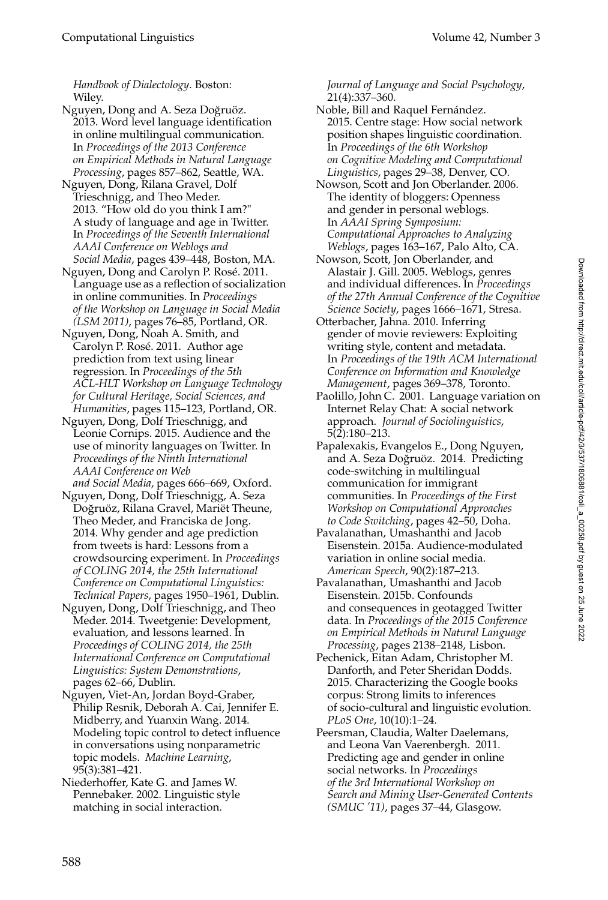*Handbook of Dialectology*. Boston: Wiley.

Nguyen, Dong and A. Seza Doğruöz. 2013. Word level language identification in online multilingual communication. In *Proceedings of the 2013 Conference on Empirical Methods in Natural Language Processing*, pages 857–862, Seattle, WA.

Nguyen, Dong, Rilana Gravel, Dolf Trieschnigg, and Theo Meder. 2013. "How old do you think I am?" A study of language and age in Twitter. In *Proceedings of the Seventh International AAAI Conference on Weblogs and Social Media*, pages 439–448, Boston, MA.

Nguyen, Dong and Carolyn P. Rosé. 2011. Language use as a reflection of socialization in online communities. In *Proceedings of the Workshop on Language in Social Media (LSM 2011)*, pages 76–85, Portland, OR.

Nguyen, Dong, Noah A. Smith, and Carolyn P. Rosé. 2011. Author age prediction from text using linear regression. In *Proceedings of the 5th ACL-HLT Workshop on Language Technology for Cultural Heritage, Social Sciences, and Humanities*, pages 115–123, Portland, OR.

Nguyen, Dong, Dolf Trieschnigg, and Leonie Cornips. 2015. Audience and the use of minority languages on Twitter. In *Proceedings of the Ninth International AAAI Conference on Web*

*and Social Media*, pages 666–669, Oxford. Nguyen, Dong, Dolf Trieschnigg, A. Seza Doğruöz, Rilana Gravel, Mariët Theune, Theo Meder, and Franciska de Jong. 2014. Why gender and age prediction from tweets is hard: Lessons from a crowdsourcing experiment. In *Proceedings of COLING 2014, the 25th International Conference on Computational Linguistics: Technical Papers*, pages 1950–1961, Dublin.

Nguyen, Dong, Dolf Trieschnigg, and Theo Meder. 2014. Tweetgenie: Development, evaluation, and lessons learned. In *Proceedings of COLING 2014, the 25th International Conference on Computational Linguistics: System Demonstrations*, pages 62–66, Dublin.

Nguyen, Viet-An, Jordan Boyd-Graber, Philip Resnik, Deborah A. Cai, Jennifer E. Midberry, and Yuanxin Wang. 2014. Modeling topic control to detect influence in conversations using nonparametric topic models. *Machine Learning*, 95(3):381–421.

Niederhoffer, Kate G. and James W. Pennebaker. 2002. Linguistic style matching in social interaction.

*Journal of Language and Social Psychology*, 21(4):337–360.

Noble, Bill and Raquel Fernández. 2015. Centre stage: How social network position shapes linguistic coordination. In *Proceedings of the 6th Workshop on Cognitive Modeling and Computational Linguistics*, pages 29–38, Denver, CO.

Nowson, Scott and Jon Oberlander. 2006. The identity of bloggers: Openness and gender in personal weblogs. In *AAAI Spring Symposium: Computational Approaches to Analyzing Weblogs*, pages 163–167, Palo Alto, CA.

- Nowson, Scott, Jon Oberlander, and Alastair J. Gill. 2005. Weblogs, genres and individual differences. In *Proceedings of the 27th Annual Conference of the Cognitive Science Society*, pages 1666–1671, Stresa.
- Otterbacher, Jahna. 2010. Inferring gender of movie reviewers: Exploiting writing style, content and metadata. In *Proceedings of the 19th ACM International Conference on Information and Knowledge Management*, pages 369–378, Toronto.
- Paolillo, John C. 2001. Language variation on Internet Relay Chat: A social network approach. *Journal of Sociolinguistics*, 5(2):180–213.
- Papalexakis, Evangelos E., Dong Nguyen, and A. Seza Doğruöz. 2014. Predicting code-switching in multilingual communication for immigrant communities. In *Proceedings of the First Workshop on Computational Approaches to Code Switching*, pages 42–50, Doha.
- Pavalanathan, Umashanthi and Jacob Eisenstein. 2015a. Audience-modulated variation in online social media. *American Speech*, 90(2):187–213.
- Pavalanathan, Umashanthi and Jacob Eisenstein. 2015b. Confounds and consequences in geotagged Twitter data. In *Proceedings of the 2015 Conference on Empirical Methods in Natural Language Processing*, pages 2138–2148, Lisbon.
- Pechenick, Eitan Adam, Christopher M. Danforth, and Peter Sheridan Dodds. 2015. Characterizing the Google books corpus: Strong limits to inferences of socio-cultural and linguistic evolution. *PLoS One*, 10(10):1–24.
- Peersman, Claudia, Walter Daelemans, and Leona Van Vaerenbergh. 2011. Predicting age and gender in online social networks. In *Proceedings of the 3rd International Workshop on Search and Mining User-Generated Contents (SMUC '11)*, pages 37–44, Glasgow.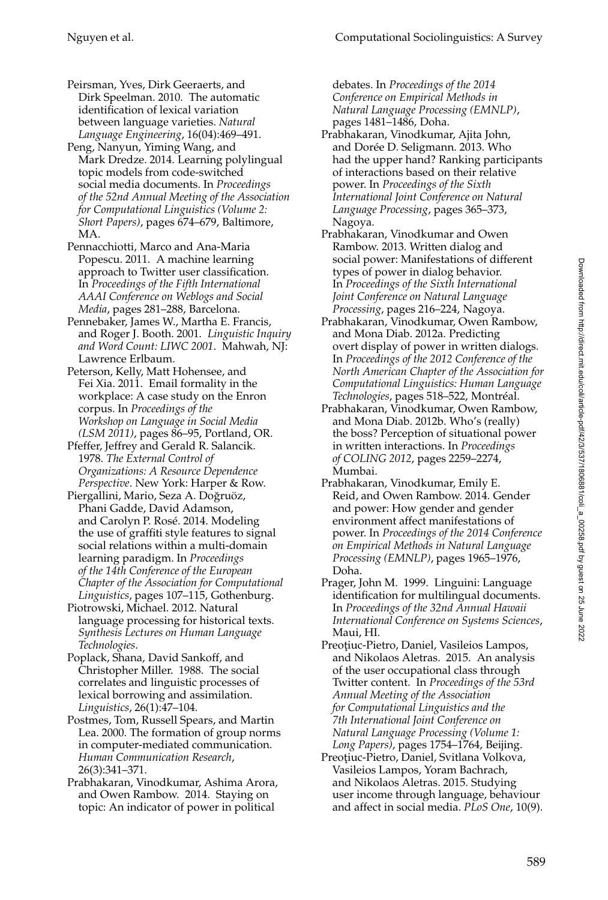Peirsman, Yves, Dirk Geeraerts, and Dirk Speelman. 2010. The automatic identification of lexical variation between language varieties. *Natural Language Engineering*, 16(04):469–491.

Peng, Nanyun, Yiming Wang, and Mark Dredze. 2014. Learning polylingual topic models from code-switched social media documents. In *Proceedings of the 52nd Annual Meeting of the Association for Computational Linguistics (Volume 2: Short Papers)*, pages 674–679, Baltimore, MA.

Pennacchiotti, Marco and Ana-Maria Popescu. 2011. A machine learning approach to Twitter user classification. In *Proceedings of the Fifth International AAAI Conference on Weblogs and Social Media*, pages 281–288, Barcelona.

Pennebaker, James W., Martha E. Francis, and Roger J. Booth. 2001. *Linguistic Inquiry and Word Count: LIWC 2001*. Mahwah, NJ: Lawrence Erlbaum.

Peterson, Kelly, Matt Hohensee, and Fei Xia. 2011. Email formality in the workplace: A case study on the Enron corpus. In *Proceedings of the Workshop on Language in Social Media (LSM 2011)*, pages 86–95, Portland, OR.

Pfeffer, Jeffrey and Gerald R. Salancik. 1978. *The External Control of Organizations: A Resource Dependence Perspective*. New York: Harper & Row.

Piergallini, Mario, Seza A. Doğruöz, Phani Gadde, David Adamson, and Carolyn P. Rosé. 2014. Modeling the use of graffiti style features to signal social relations within a multi-domain learning paradigm. In *Proceedings of the 14th Conference of the European Chapter of the Association for Computational Linguistics*, pages 107–115, Gothenburg.

Piotrowski, Michael. 2012. Natural language processing for historical texts. *Synthesis Lectures on Human Language Technologies*.

Poplack, Shana, David Sankoff, and Christopher Miller. 1988. The social correlates and linguistic processes of lexical borrowing and assimilation. *Linguistics*, 26(1):47–104.

Postmes, Tom, Russell Spears, and Martin Lea. 2000. The formation of group norms in computer-mediated communication. *Human Communication Research*, 26(3):341–371.

Prabhakaran, Vinodkumar, Ashima Arora, and Owen Rambow. 2014. Staying on topic: An indicator of power in political

debates. In *Proceedings of the 2014 Conference on Empirical Methods in Natural Language Processing (EMNLP)*, pages 1481–1486, Doha.

- Prabhakaran, Vinodkumar, Ajita John, and Dorée D. Seligmann. 2013. Who had the upper hand? Ranking participants of interactions based on their relative power. In *Proceedings of the Sixth International Joint Conference on Natural Language Processing*, pages 365–373, Nagoya.
- Prabhakaran, Vinodkumar and Owen Rambow. 2013. Written dialog and social power: Manifestations of different types of power in dialog behavior. In *Proceedings of the Sixth International Joint Conference on Natural Language Processing*, pages 216–224, Nagoya.
- Prabhakaran, Vinodkumar, Owen Rambow, and Mona Diab. 2012a. Predicting overt display of power in written dialogs. In *Proceedings of the 2012 Conference of the North American Chapter of the Association for Computational Linguistics: Human Language Technologies*, pages 518–522, Montréal.
- Prabhakaran, Vinodkumar, Owen Rambow, and Mona Diab. 2012b. Who's (really) the boss? Perception of situational power in written interactions. In *Proceedings of COLING 2012*, pages 2259–2274, Mumbai.
- Prabhakaran, Vinodkumar, Emily E. Reid, and Owen Rambow. 2014. Gender and power: How gender and gender environment affect manifestations of power. In *Proceedings of the 2014 Conference on Empirical Methods in Natural Language Processing (EMNLP)*, pages 1965–1976, Doha.
- Prager, John M. 1999. Linguini: Language identification for multilingual documents. In *Proceedings of the 32nd Annual Hawaii International Conference on Systems Sciences*, Maui, HI.
- Preoțiuc-Pietro, Daniel, Vasileios Lampos, and Nikolaos Aletras. 2015. An analysis of the user occupational class through Twitter content. In *Proceedings of the 53rd Annual Meeting of the Association for Computational Linguistics and the 7th International Joint Conference on Natural Language Processing (Volume 1: Long Papers)*, pages 1754–1764, Beijing.
- Preoțiuc-Pietro, Daniel, Svitlana Volkova, Vasileios Lampos, Yoram Bachrach, and Nikolaos Aletras. 2015. Studying user income through language, behaviour and affect in social media. *PLoS One*, 10(9).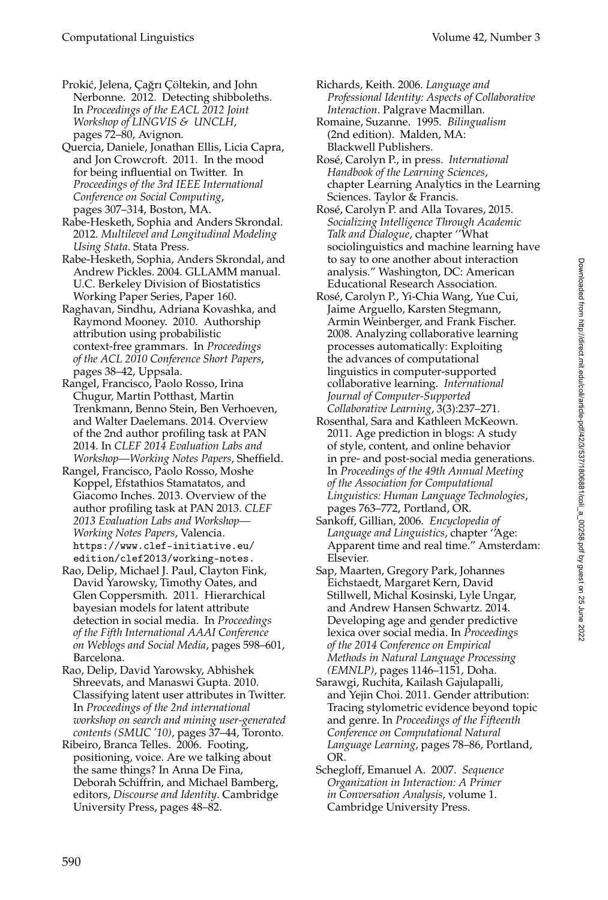Prokić, Jelena, Çağrı Çöltekin, and John Nerbonne. 2012. Detecting shibboleths. In *Proceedings of the EACL 2012 Joint Workshop of LINGVIS & UNCLH*, pages 72–80, Avignon.

Quercia, Daniele, Jonathan Ellis, Licia Capra, and Jon Crowcroft. 2011. In the mood for being influential on Twitter. In *Proceedings of the 3rd IEEE International Conference on Social Computing*, pages 307–314, Boston, MA.

Rabe-Hesketh, Sophia and Anders Skrondal. 2012. *Multilevel and Longitudinal Modeling Using Stata*. Stata Press.

Rabe-Hesketh, Sophia, Anders Skrondal, and Andrew Pickles. 2004. GLLAMM manual. U.C. Berkeley Division of Biostatistics Working Paper Series, Paper 160.

Raghavan, Sindhu, Adriana Kovashka, and Raymond Mooney. 2010. Authorship attribution using probabilistic context-free grammars. In *Proceedings of the ACL 2010 Conference Short Papers*, pages 38–42, Uppsala.

Rangel, Francisco, Paolo Rosso, Irina Chugur, Martin Potthast, Martin Trenkmann, Benno Stein, Ben Verhoeven, and Walter Daelemans. 2014. Overview of the 2nd author profiling task at PAN 2014. In *CLEF 2014 Evaluation Labs and Workshop—Working Notes Papers*, Sheffield.

Rangel, Francisco, Paolo Rosso, Moshe Koppel, Efstathios Stamatatos, and Giacomo Inches. 2013. Overview of the author profiling task at PAN 2013. *CLEF 2013 Evaluation Labs and Workshop— Working Notes Papers*, Valencia. https://www.clef-initiative.eu/ edition/clef2013/working-notes.

Rao, Delip, Michael J. Paul, Clayton Fink, David Yarowsky, Timothy Oates, and Glen Coppersmith. 2011. Hierarchical bayesian models for latent attribute detection in social media. In *Proceedings of the Fifth International AAAI Conference on Weblogs and Social Media*, pages 598–601, Barcelona.

Rao, Delip, David Yarowsky, Abhishek Shreevats, and Manaswi Gupta. 2010. Classifying latent user attributes in Twitter. In *Proceedings of the 2nd international workshop on search and mining user-generated contents (SMUC '10)*, pages 37–44, Toronto.

Ribeiro, Branca Telles. 2006. Footing, positioning, voice. Are we talking about the same things? In Anna De Fina, Deborah Schiffrin, and Michael Bamberg, editors, *Discourse and Identity*. Cambridge University Press, pages 48–82.

Richards, Keith. 2006. *Language and Professional Identity: Aspects of Collaborative Interaction*. Palgrave Macmillan.

Romaine, Suzanne. 1995. *Bilingualism* (2nd edition). Malden, MA: Blackwell Publishers.

Rosé, Carolyn P., in press. *International Handbook of the Learning Sciences*, chapter Learning Analytics in the Learning Sciences. Taylor & Francis.

Rosé, Carolyn P. and Alla Tovares, 2015. *Socializing Intelligence Through Academic Talk and Dialogue*, chapter ''What sociolinguistics and machine learning have to say to one another about interaction analysis." Washington, DC: American Educational Research Association.

Rosé, Carolyn P., Yi-Chia Wang, Yue Cui, Jaime Arguello, Karsten Stegmann, Armin Weinberger, and Frank Fischer. 2008. Analyzing collaborative learning processes automatically: Exploiting the advances of computational linguistics in computer-supported collaborative learning. *International Journal of Computer-Supported Collaborative Learning*, 3(3):237–271.

Rosenthal, Sara and Kathleen McKeown. 2011. Age prediction in blogs: A study of style, content, and online behavior in pre- and post-social media generations. In *Proceedings of the 49th Annual Meeting of the Association for Computational Linguistics: Human Language Technologies*, pages 763–772, Portland, OR.

Sankoff, Gillian, 2006. *Encyclopedia of Language and Linguistics*, chapter ''Age: Apparent time and real time." Amsterdam: Elsevier.

Sap, Maarten, Gregory Park, Johannes Eichstaedt, Margaret Kern, David Stillwell, Michal Kosinski, Lyle Ungar, and Andrew Hansen Schwartz. 2014. Developing age and gender predictive lexica over social media. In *Proceedings of the 2014 Conference on Empirical Methods in Natural Language Processing (EMNLP)*, pages 1146–1151, Doha.

Sarawgi, Ruchita, Kailash Gajulapalli, and Yejin Choi. 2011. Gender attribution: Tracing stylometric evidence beyond topic and genre. In *Proceedings of the Fifteenth Conference on Computational Natural Language Learning*, pages 78–86, Portland, OR.

Schegloff, Emanuel A. 2007. *Sequence Organization in Interaction: A Primer in Conversation Analysis*, volume 1. Cambridge University Press.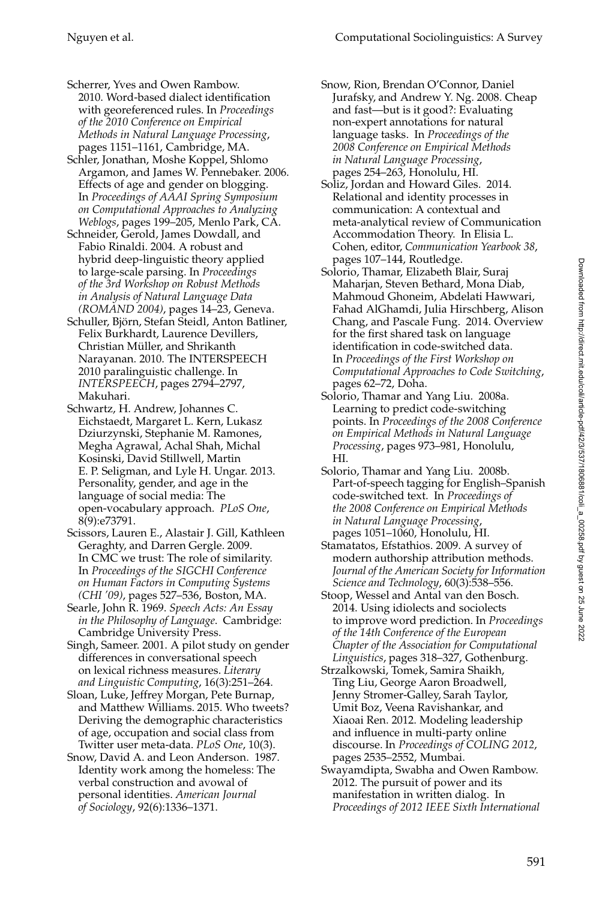Scherrer, Yves and Owen Rambow. 2010. Word-based dialect identification with georeferenced rules. In *Proceedings of the 2010 Conference on Empirical Methods in Natural Language Processing*, pages 1151–1161, Cambridge, MA.

- Schler, Jonathan, Moshe Koppel, Shlomo Argamon, and James W. Pennebaker. 2006. Effects of age and gender on blogging. In *Proceedings of AAAI Spring Symposium on Computational Approaches to Analyzing Weblogs*, pages 199–205, Menlo Park, CA.
- Schneider, Gerold, James Dowdall, and Fabio Rinaldi. 2004. A robust and hybrid deep-linguistic theory applied to large-scale parsing. In *Proceedings of the 3rd Workshop on Robust Methods in Analysis of Natural Language Data (ROMAND 2004)*, pages 14–23, Geneva.
- Schuller, Björn, Stefan Steidl, Anton Batliner, Felix Burkhardt, Laurence Devillers, Christian Müller, and Shrikanth Narayanan. 2010. The INTERSPEECH 2010 paralinguistic challenge. In *INTERSPEECH*, pages 2794–2797, Makuhari.
- Schwartz, H. Andrew, Johannes C. Eichstaedt, Margaret L. Kern, Lukasz Dziurzynski, Stephanie M. Ramones, Megha Agrawal, Achal Shah, Michal Kosinski, David Stillwell, Martin E. P. Seligman, and Lyle H. Ungar. 2013. Personality, gender, and age in the language of social media: The open-vocabulary approach. *PLoS One*, 8(9):e73791.
- Scissors, Lauren E., Alastair J. Gill, Kathleen Geraghty, and Darren Gergle. 2009. In CMC we trust: The role of similarity. In *Proceedings of the SIGCHI Conference on Human Factors in Computing Systems (CHI '09)*, pages 527–536, Boston, MA.
- Searle, John R. 1969. *Speech Acts: An Essay in the Philosophy of Language*. Cambridge: Cambridge University Press.
- Singh, Sameer. 2001. A pilot study on gender differences in conversational speech on lexical richness measures. *Literary and Linguistic Computing*, 16(3):251–264.
- Sloan, Luke, Jeffrey Morgan, Pete Burnap, and Matthew Williams. 2015. Who tweets? Deriving the demographic characteristics of age, occupation and social class from Twitter user meta-data. *PLoS One*, 10(3).
- Snow, David A. and Leon Anderson. 1987. Identity work among the homeless: The verbal construction and avowal of personal identities. *American Journal of Sociology*, 92(6):1336–1371.
- Snow, Rion, Brendan O'Connor, Daniel Jurafsky, and Andrew Y. Ng. 2008. Cheap and fast—but is it good?: Evaluating non-expert annotations for natural language tasks. In *Proceedings of the 2008 Conference on Empirical Methods in Natural Language Processing*, pages 254–263, Honolulu, HI.
- Soliz, Jordan and Howard Giles. 2014. Relational and identity processes in communication: A contextual and meta-analytical review of Communication Accommodation Theory. In Elisia L. Cohen, editor, *Communication Yearbook 38*, pages 107–144, Routledge.
- Solorio, Thamar, Elizabeth Blair, Suraj Maharjan, Steven Bethard, Mona Diab, Mahmoud Ghoneim, Abdelati Hawwari, Fahad AlGhamdi, Julia Hirschberg, Alison Chang, and Pascale Fung. 2014. Overview for the first shared task on language identification in code-switched data. In *Proceedings of the First Workshop on Computational Approaches to Code Switching*, pages 62–72, Doha.
- Solorio, Thamar and Yang Liu. 2008a. Learning to predict code-switching points. In *Proceedings of the 2008 Conference on Empirical Methods in Natural Language Processing*, pages 973–981, Honolulu, HI.
- Solorio, Thamar and Yang Liu. 2008b. Part-of-speech tagging for English–Spanish code-switched text. In *Proceedings of the 2008 Conference on Empirical Methods in Natural Language Processing*, pages 1051–1060, Honolulu, HI.
- Stamatatos, Efstathios. 2009. A survey of modern authorship attribution methods. *Journal of the American Society for Information Science and Technology*, 60(3):538–556.
- Stoop, Wessel and Antal van den Bosch. 2014. Using idiolects and sociolects to improve word prediction. In *Proceedings of the 14th Conference of the European Chapter of the Association for Computational Linguistics*, pages 318–327, Gothenburg.
- Strzalkowski, Tomek, Samira Shaikh, Ting Liu, George Aaron Broadwell, Jenny Stromer-Galley, Sarah Taylor, Umit Boz, Veena Ravishankar, and Xiaoai Ren. 2012. Modeling leadership and influence in multi-party online discourse. In *Proceedings of COLING 2012*, pages 2535–2552, Mumbai.
- Swayamdipta, Swabha and Owen Rambow. 2012. The pursuit of power and its manifestation in written dialog. In *Proceedings of 2012 IEEE Sixth International*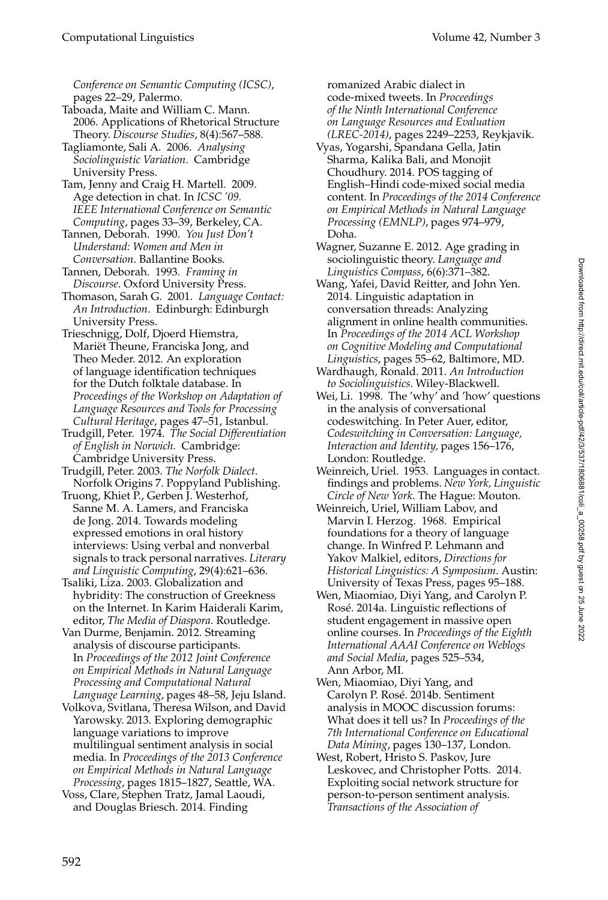*Conference on Semantic Computing (ICSC)*, pages 22–29, Palermo.

- Taboada, Maite and William C. Mann. 2006. Applications of Rhetorical Structure Theory. *Discourse Studies*, 8(4):567–588.
- Tagliamonte, Sali A. 2006. *Analysing Sociolinguistic Variation*. Cambridge University Press.
- Tam, Jenny and Craig H. Martell. 2009. Age detection in chat. In *ICSC '09. IEEE International Conference on Semantic Computing*, pages 33–39, Berkeley, CA.
- Tannen, Deborah. 1990. *You Just Don't Understand: Women and Men in Conversation*. Ballantine Books.
- Tannen, Deborah. 1993. *Framing in Discourse*. Oxford University Press.
- Thomason, Sarah G. 2001. *Language Contact: An Introduction*. Edinburgh: Edinburgh University Press.
- Trieschnigg, Dolf, Djoerd Hiemstra, Mariët Theune, Franciska Jong, and Theo Meder. 2012. An exploration of language identification techniques for the Dutch folktale database. In *Proceedings of the Workshop on Adaptation of Language Resources and Tools for Processing Cultural Heritage*, pages 47–51, Istanbul.
- Trudgill, Peter. 1974. *The Social Differentiation of English in Norwich*. Cambridge: Cambridge University Press.
- Trudgill, Peter. 2003. *The Norfolk Dialect*. Norfolk Origins 7. Poppyland Publishing.
- Truong, Khiet P., Gerben J. Westerhof, Sanne M. A. Lamers, and Franciska de Jong. 2014. Towards modeling expressed emotions in oral history interviews: Using verbal and nonverbal signals to track personal narratives. *Literary and Linguistic Computing*, 29(4):621–636.
- Tsaliki, Liza. 2003. Globalization and hybridity: The construction of Greekness on the Internet. In Karim Haiderali Karim, editor, *The Media of Diaspora*. Routledge.
- Van Durme, Benjamin. 2012. Streaming analysis of discourse participants. In *Proceedings of the 2012 Joint Conference on Empirical Methods in Natural Language Processing and Computational Natural Language Learning*, pages 48–58, Jeju Island.
- Volkova, Svitlana, Theresa Wilson, and David Yarowsky. 2013. Exploring demographic language variations to improve multilingual sentiment analysis in social media. In *Proceedings of the 2013 Conference on Empirical Methods in Natural Language Processing*, pages 1815–1827, Seattle, WA.
- Voss, Clare, Stephen Tratz, Jamal Laoudi, and Douglas Briesch. 2014. Finding

romanized Arabic dialect in code-mixed tweets. In *Proceedings of the Ninth International Conference on Language Resources and Evaluation (LREC-2014)*, pages 2249–2253, Reykjavik.

- Vyas, Yogarshi, Spandana Gella, Jatin Sharma, Kalika Bali, and Monojit Choudhury. 2014. POS tagging of English–Hindi code-mixed social media content. In *Proceedings of the 2014 Conference on Empirical Methods in Natural Language Processing (EMNLP)*, pages 974–979, Doha.
- Wagner, Suzanne E. 2012. Age grading in sociolinguistic theory. *Language and Linguistics Compass*, 6(6):371–382.
- Wang, Yafei, David Reitter, and John Yen. 2014. Linguistic adaptation in conversation threads: Analyzing alignment in online health communities. In *Proceedings of the 2014 ACL Workshop on Cognitive Modeling and Computational Linguistics*, pages 55–62, Baltimore, MD.
- Wardhaugh, Ronald. 2011. *An Introduction to Sociolinguistics*. Wiley-Blackwell.
- Wei, Li. 1998. The 'why' and 'how' questions in the analysis of conversational codeswitching. In Peter Auer, editor, *Codeswitching in Conversation: Language, Interaction and Identity,* pages 156–176, London: Routledge.
- Weinreich, Uriel. 1953. Languages in contact. findings and problems. *New York, Linguistic Circle of New York*. The Hague: Mouton.
- Weinreich, Uriel, William Labov, and Marvin I. Herzog. 1968. Empirical foundations for a theory of language change. In Winfred P. Lehmann and Yakov Malkiel, editors, *Directions for Historical Linguistics: A Symposium*. Austin: University of Texas Press, pages 95–188.
- Wen, Miaomiao, Diyi Yang, and Carolyn P. Rosé. 2014a. Linguistic reflections of student engagement in massive open online courses. In *Proceedings of the Eighth International AAAI Conference on Weblogs and Social Media*, pages 525–534, Ann Arbor, MI.
- Wen, Miaomiao, Diyi Yang, and Carolyn P. Rosé. 2014b. Sentiment analysis in MOOC discussion forums: What does it tell us? In *Proceedings of the 7th International Conference on Educational Data Mining*, pages 130–137, London.
- West, Robert, Hristo S. Paskov, Jure Leskovec, and Christopher Potts. 2014. Exploiting social network structure for person-to-person sentiment analysis. *Transactions of the Association of*